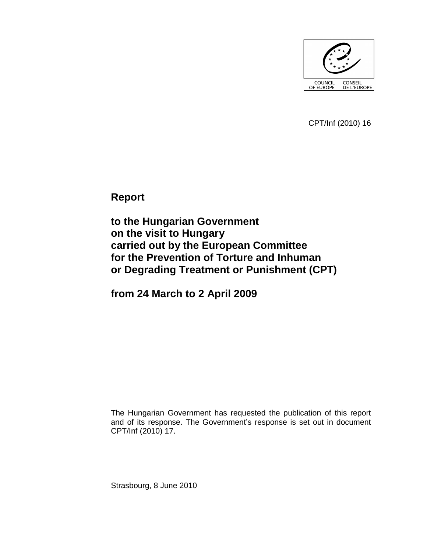

CPT/Inf (2010) 16

**Report** 

**to the Hungarian Government on the visit to Hungary carried out by the European Committee for the Prevention of Torture and Inhuman or Degrading Treatment or Punishment (CPT)** 

**from 24 March to 2 April 2009** 

The Hungarian Government has requested the publication of this report and of its response. The Government's response is set out in document CPT/Inf (2010) 17.

Strasbourg, 8 June 2010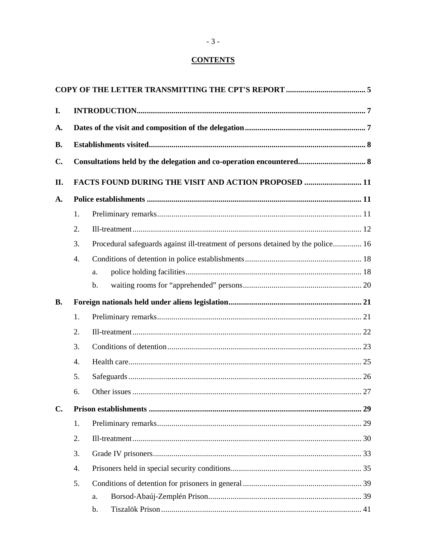# **CONTENTS**

| I.             |                                                                     |                                                                                  |  |  |  |  |
|----------------|---------------------------------------------------------------------|----------------------------------------------------------------------------------|--|--|--|--|
| A.             |                                                                     |                                                                                  |  |  |  |  |
| <b>B.</b>      |                                                                     |                                                                                  |  |  |  |  |
| $C_{\bullet}$  | Consultations held by the delegation and co-operation encountered 8 |                                                                                  |  |  |  |  |
| II.            |                                                                     | FACTS FOUND DURING THE VISIT AND ACTION PROPOSED  11                             |  |  |  |  |
| A.             |                                                                     |                                                                                  |  |  |  |  |
|                | 1.                                                                  |                                                                                  |  |  |  |  |
|                | 2.                                                                  |                                                                                  |  |  |  |  |
|                | 3.                                                                  | Procedural safeguards against ill-treatment of persons detained by the police 16 |  |  |  |  |
|                | 4.                                                                  |                                                                                  |  |  |  |  |
|                |                                                                     | a.                                                                               |  |  |  |  |
|                |                                                                     | b.                                                                               |  |  |  |  |
| <b>B.</b>      |                                                                     |                                                                                  |  |  |  |  |
|                | 1.                                                                  |                                                                                  |  |  |  |  |
|                | 2.                                                                  |                                                                                  |  |  |  |  |
|                | 3.                                                                  |                                                                                  |  |  |  |  |
|                | 4.                                                                  |                                                                                  |  |  |  |  |
|                | 5.                                                                  |                                                                                  |  |  |  |  |
|                | 6.                                                                  |                                                                                  |  |  |  |  |
| $\mathbf{C}$ . |                                                                     |                                                                                  |  |  |  |  |
|                | 1.                                                                  |                                                                                  |  |  |  |  |
|                | 2.                                                                  |                                                                                  |  |  |  |  |
|                | 3.                                                                  |                                                                                  |  |  |  |  |
|                | 4.                                                                  |                                                                                  |  |  |  |  |
|                | 5.                                                                  |                                                                                  |  |  |  |  |
|                |                                                                     | a.                                                                               |  |  |  |  |
|                |                                                                     | b.                                                                               |  |  |  |  |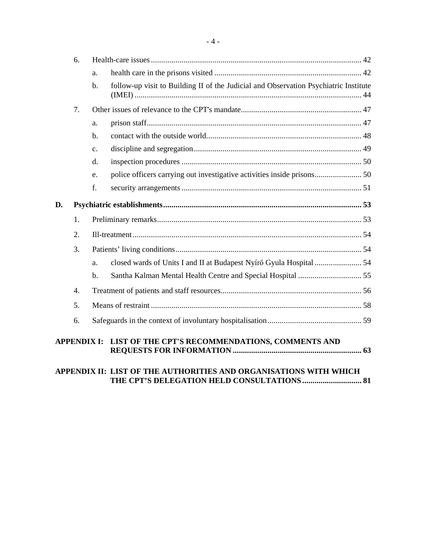|    | 6.                 |                |                                                                                      |  |  |
|----|--------------------|----------------|--------------------------------------------------------------------------------------|--|--|
|    |                    | a.             |                                                                                      |  |  |
|    |                    | $\mathbf{b}$ . | follow-up visit to Building II of the Judicial and Observation Psychiatric Institute |  |  |
|    | 7.                 |                |                                                                                      |  |  |
|    |                    | a.             |                                                                                      |  |  |
|    |                    | b.             |                                                                                      |  |  |
|    |                    | $\mathbf{c}$ . |                                                                                      |  |  |
|    |                    | d.             |                                                                                      |  |  |
|    |                    | e.             |                                                                                      |  |  |
|    |                    | f.             |                                                                                      |  |  |
| D. |                    |                |                                                                                      |  |  |
|    | 1.                 |                |                                                                                      |  |  |
|    | 2.                 |                |                                                                                      |  |  |
|    | 3.                 |                |                                                                                      |  |  |
|    |                    | a.             |                                                                                      |  |  |
|    |                    | $\mathbf{b}$ . |                                                                                      |  |  |
|    | $\overline{4}$ .   |                |                                                                                      |  |  |
|    | 5.                 |                |                                                                                      |  |  |
|    | 6.                 |                |                                                                                      |  |  |
|    | <b>APPENDIX I:</b> |                | LIST OF THE CPT'S RECOMMENDATIONS, COMMENTS AND                                      |  |  |
|    |                    |                | APPENDIX II: LIST OF THE AUTHORITIES AND ORGANISATIONS WITH WHICH                    |  |  |

### **APPENDIX II: LIST OF THE AUTHORITIES AND ORGANISATIONS WITH WHICH THE CPT'S DELEGATION HELD CONSULTATIONS ............................. 81**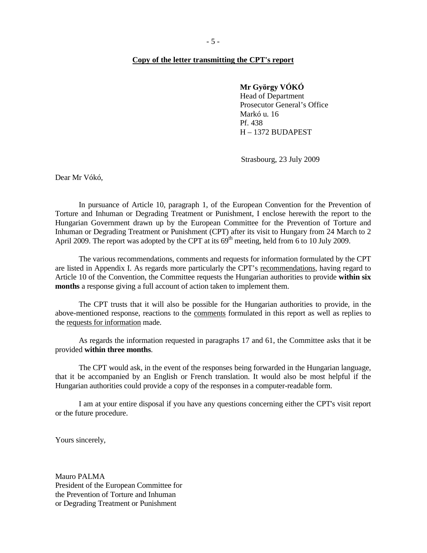#### **Copy of the letter transmitting the CPT's report**

**Mr György VÓKÓ**  Head of Department Prosecutor General's Office Markó u. 16 Pf. 438 H – 1372 BUDAPEST

Strasbourg, 23 July 2009

Dear Mr Vókó,

 In pursuance of Article 10, paragraph 1, of the European Convention for the Prevention of Torture and Inhuman or Degrading Treatment or Punishment, I enclose herewith the report to the Hungarian Government drawn up by the European Committee for the Prevention of Torture and Inhuman or Degrading Treatment or Punishment (CPT) after its visit to Hungary from 24 March to 2 April 2009. The report was adopted by the CPT at its  $69<sup>th</sup>$  meeting, held from 6 to 10 July 2009.

The various recommendations, comments and requests for information formulated by the CPT are listed in Appendix I. As regards more particularly the CPT's recommendations, having regard to Article 10 of the Convention, the Committee requests the Hungarian authorities to provide **within six months** a response giving a full account of action taken to implement them.

The CPT trusts that it will also be possible for the Hungarian authorities to provide, in the above-mentioned response, reactions to the comments formulated in this report as well as replies to the requests for information made.

As regards the information requested in paragraphs 17 and 61, the Committee asks that it be provided **within three months**.

The CPT would ask, in the event of the responses being forwarded in the Hungarian language, that it be accompanied by an English or French translation. It would also be most helpful if the Hungarian authorities could provide a copy of the responses in a computer-readable form.

 I am at your entire disposal if you have any questions concerning either the CPT's visit report or the future procedure.

Yours sincerely,

Mauro PALMA President of the European Committee for the Prevention of Torture and Inhuman or Degrading Treatment or Punishment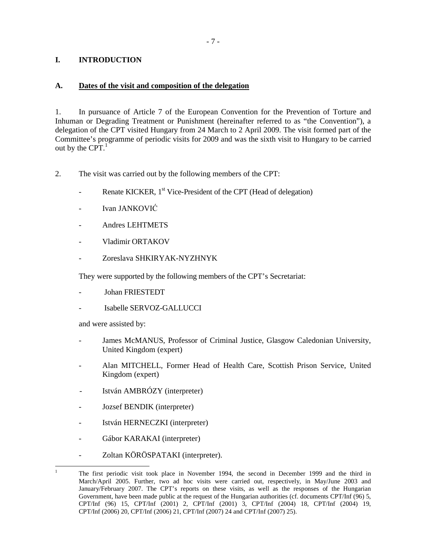### **I. INTRODUCTION**

#### **A. Dates of the visit and composition of the delegation**

1. In pursuance of Article 7 of the European Convention for the Prevention of Torture and Inhuman or Degrading Treatment or Punishment (hereinafter referred to as "the Convention"), a delegation of the CPT visited Hungary from 24 March to 2 April 2009. The visit formed part of the Committee's programme of periodic visits for 2009 and was the sixth visit to Hungary to be carried out by the  $CPT<sup>1</sup>$ 

- 2. The visit was carried out by the following members of the CPT:
	- Renate KICKER, 1<sup>st</sup> Vice-President of the CPT (Head of delegation)
	- Ivan JANKOVIĆ
	- Andres LEHTMETS
	- Vladimir ORTAKOV
	- Zoreslava SHKIRYAK-NYZHNYK

They were supported by the following members of the CPT's Secretariat:

- Johan FRIESTEDT
- Isabelle SERVOZ-GALLUCCI

and were assisted by:

- James McMANUS, Professor of Criminal Justice, Glasgow Caledonian University, United Kingdom (expert)
- Alan MITCHELL, Former Head of Health Care, Scottish Prison Service, United Kingdom (expert)
- István AMBRÓZY (interpreter)
- Jozsef BENDIK (interpreter)
- István HERNECZKI (interpreter)
- Gábor KARAKAI (interpreter)
- Zoltan KÖRÖSPATAKI (interpreter).

<sup>|&</sup>lt;br>|<br>| The first periodic visit took place in November 1994, the second in December 1999 and the third in March/April 2005. Further, two ad hoc visits were carried out, respectively, in May/June 2003 and January/February 2007. The CPT's reports on these visits, as well as the responses of the Hungarian Government, have been made public at the request of the Hungarian authorities (cf. documents CPT/Inf (96) 5, CPT/Inf (96) 15, CPT/Inf (2001) 2, CPT/Inf (2001) 3, CPT/Inf (2004) 18, CPT/Inf (2004) 19, CPT/Inf (2006) 20, CPT/Inf (2006) 21, CPT/Inf (2007) 24 and CPT/Inf (2007) 25).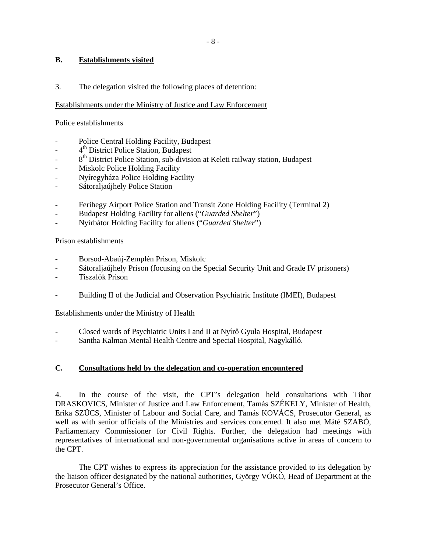### **B. Establishments visited**

3. The delegation visited the following places of detention:

#### Establishments under the Ministry of Justice and Law Enforcement

Police establishments

- Police Central Holding Facility, Budapest
- 4<sup>th</sup> District Police Station, Budapest
- <sup>-</sup> 8<sup>th</sup> District Police Station, sub-division at Keleti railway station, Budapest
- Miskolc Police Holding Facility
- Nyíregyháza Police Holding Facility
- Sátoraljaújhely Police Station
- Ferihegy Airport Police Station and Transit Zone Holding Facility (Terminal 2)
- Budapest Holding Facility for aliens ("*Guarded Shelter*")
- Nyírbátor Holding Facility for aliens ("*Guarded Shelter*")

Prison establishments

- Borsod-Abaúj-Zemplén Prison, Miskolc
- Sátoraljaújhely Prison (focusing on the Special Security Unit and Grade IV prisoners)
- Tiszalök Prison
- Building II of the Judicial and Observation Psychiatric Institute (IMEI), Budapest

#### Establishments under the Ministry of Health

- Closed wards of Psychiatric Units I and II at Nyírő Gyula Hospital, Budapest
- Santha Kalman Mental Health Centre and Special Hospital, Nagykálló.

# **C. Consultations held by the delegation and co-operation encountered**

4. In the course of the visit, the CPT's delegation held consultations with Tibor DRASKOVICS, Minister of Justice and Law Enforcement, Tamás SZÉKELY, Minister of Health, Erika SZÜCS, Minister of Labour and Social Care, and Tamás KOVÁCS, Prosecutor General, as well as with senior officials of the Ministries and services concerned. It also met Máté SZABÓ, Parliamentary Commissioner for Civil Rights. Further, the delegation had meetings with representatives of international and non-governmental organisations active in areas of concern to the CPT.

 The CPT wishes to express its appreciation for the assistance provided to its delegation by the liaison officer designated by the national authorities, György VÓKÓ, Head of Department at the Prosecutor General's Office.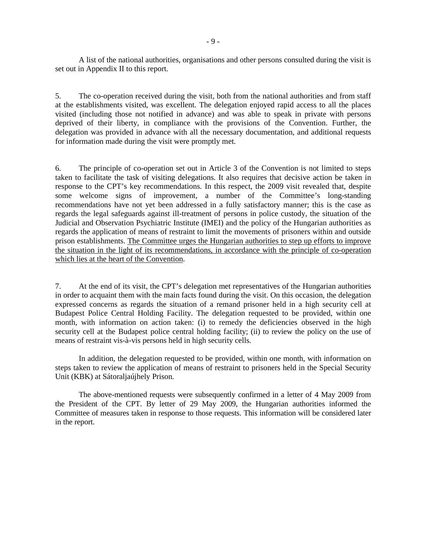A list of the national authorities, organisations and other persons consulted during the visit is set out in Appendix II to this report.

5. The co-operation received during the visit, both from the national authorities and from staff at the establishments visited, was excellent. The delegation enjoyed rapid access to all the places visited (including those not notified in advance) and was able to speak in private with persons deprived of their liberty, in compliance with the provisions of the Convention. Further, the delegation was provided in advance with all the necessary documentation, and additional requests for information made during the visit were promptly met.

6. The principle of co-operation set out in Article 3 of the Convention is not limited to steps taken to facilitate the task of visiting delegations. It also requires that decisive action be taken in response to the CPT's key recommendations. In this respect, the 2009 visit revealed that, despite some welcome signs of improvement, a number of the Committee's long-standing recommendations have not yet been addressed in a fully satisfactory manner; this is the case as regards the legal safeguards against ill-treatment of persons in police custody, the situation of the Judicial and Observation Psychiatric Institute (IMEI) and the policy of the Hungarian authorities as regards the application of means of restraint to limit the movements of prisoners within and outside prison establishments. The Committee urges the Hungarian authorities to step up efforts to improve the situation in the light of its recommendations, in accordance with the principle of co-operation which lies at the heart of the Convention.

7. At the end of its visit, the CPT's delegation met representatives of the Hungarian authorities in order to acquaint them with the main facts found during the visit. On this occasion, the delegation expressed concerns as regards the situation of a remand prisoner held in a high security cell at Budapest Police Central Holding Facility. The delegation requested to be provided, within one month, with information on action taken: (i) to remedy the deficiencies observed in the high security cell at the Budapest police central holding facility; (ii) to review the policy on the use of means of restraint vis-à-vis persons held in high security cells.

 In addition, the delegation requested to be provided, within one month, with information on steps taken to review the application of means of restraint to prisoners held in the Special Security Unit (KBK) at Sátoraljaújhely Prison.

 The above-mentioned requests were subsequently confirmed in a letter of 4 May 2009 from the President of the CPT. By letter of 29 May 2009, the Hungarian authorities informed the Committee of measures taken in response to those requests. This information will be considered later in the report.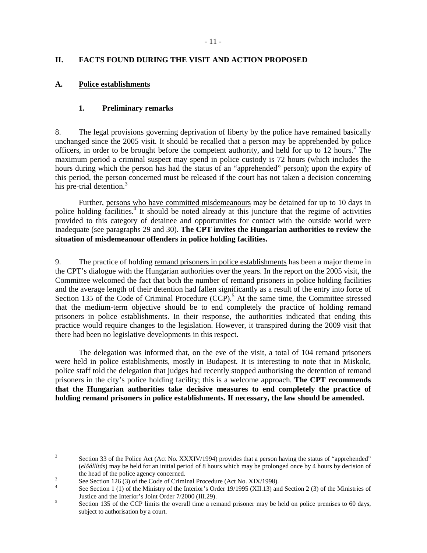# **II. FACTS FOUND DURING THE VISIT AND ACTION PROPOSED**

# **A. Police establishments**

### **1. Preliminary remarks**

8. The legal provisions governing deprivation of liberty by the police have remained basically unchanged since the 2005 visit. It should be recalled that a person may be apprehended by police officers, in order to be brought before the competent authority, and held for up to 12 hours.<sup>2</sup> The maximum period a criminal suspect may spend in police custody is 72 hours (which includes the hours during which the person has had the status of an "apprehended" person); upon the expiry of this period, the person concerned must be released if the court has not taken a decision concerning his pre-trial detention.<sup>3</sup>

 Further, persons who have committed misdemeanours may be detained for up to 10 days in police holding facilities.<sup>4</sup> It should be noted already at this juncture that the regime of activities provided to this category of detainee and opportunities for contact with the outside world were inadequate (see paragraphs 29 and 30). **The CPT invites the Hungarian authorities to review the situation of misdemeanour offenders in police holding facilities.**

9. The practice of holding remand prisoners in police establishments has been a major theme in the CPT's dialogue with the Hungarian authorities over the years. In the report on the 2005 visit, the Committee welcomed the fact that both the number of remand prisoners in police holding facilities and the average length of their detention had fallen significantly as a result of the entry into force of Section 135 of the Code of Criminal Procedure (CCP).<sup>5</sup> At the same time, the Committee stressed that the medium-term objective should be to end completely the practice of holding remand prisoners in police establishments. In their response, the authorities indicated that ending this practice would require changes to the legislation. However, it transpired during the 2009 visit that there had been no legislative developments in this respect.

 The delegation was informed that, on the eve of the visit, a total of 104 remand prisoners were held in police establishments, mostly in Budapest. It is interesting to note that in Miskolc, police staff told the delegation that judges had recently stopped authorising the detention of remand prisoners in the city's police holding facility; this is a welcome approach. **The CPT recommends that the Hungarian authorities take decisive measures to end completely the practice of holding remand prisoners in police establishments. If necessary, the law should be amended.** 

 $\frac{1}{2}$  Section 33 of the Police Act (Act No. XXXIV/1994) provides that a person having the status of "apprehended" (*el*ı*állítás*) may be held for an initial period of 8 hours which may be prolonged once by 4 hours by decision of the head of the police agency concerned.

<sup>3</sup> See Section 126 (3) of the Code of Criminal Procedure (Act No. XIX/1998).

<sup>4</sup> See Section 1 (1) of the Ministry of the Interior's Order 19/1995 (XII.13) and Section 2 (3) of the Ministries of Justice and the Interior's Joint Order 7/2000 (III.29).

<sup>5</sup> Section 135 of the CCP limits the overall time a remand prisoner may be held on police premises to 60 days, subject to authorisation by a court.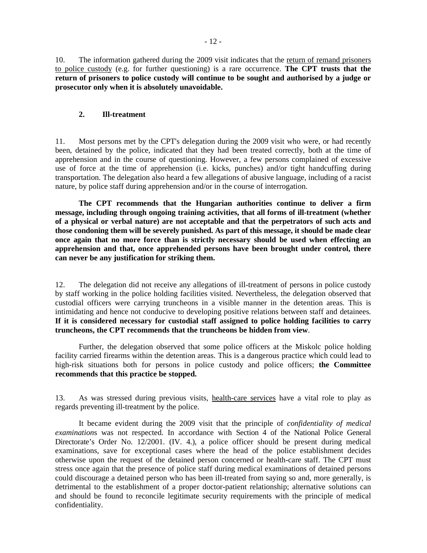10. The information gathered during the 2009 visit indicates that the return of remand prisoners to police custody (e.g. for further questioning) is a rare occurrence. **The CPT trusts that the return of prisoners to police custody will continue to be sought and authorised by a judge or prosecutor only when it is absolutely unavoidable.** 

#### **2. Ill-treatment**

11. Most persons met by the CPT's delegation during the 2009 visit who were, or had recently been, detained by the police, indicated that they had been treated correctly, both at the time of apprehension and in the course of questioning. However, a few persons complained of excessive use of force at the time of apprehension (i.e. kicks, punches) and/or tight handcuffing during transportation. The delegation also heard a few allegations of abusive language, including of a racist nature, by police staff during apprehension and/or in the course of interrogation.

**The CPT recommends that the Hungarian authorities continue to deliver a firm message, including through ongoing training activities, that all forms of ill-treatment (whether of a physical or verbal nature) are not acceptable and that the perpetrators of such acts and those condoning them will be severely punished. As part of this message, it should be made clear once again that no more force than is strictly necessary should be used when effecting an apprehension and that, once apprehended persons have been brought under control, there can never be any justification for striking them.**

12. The delegation did not receive any allegations of ill-treatment of persons in police custody by staff working in the police holding facilities visited. Nevertheless, the delegation observed that custodial officers were carrying truncheons in a visible manner in the detention areas. This is intimidating and hence not conducive to developing positive relations between staff and detainees. **If it is considered necessary for custodial staff assigned to police holding facilities to carry truncheons, the CPT recommends that the truncheons be hidden from view**.

 Further, the delegation observed that some police officers at the Miskolc police holding facility carried firearms within the detention areas. This is a dangerous practice which could lead to high-risk situations both for persons in police custody and police officers; **the Committee recommends that this practice be stopped.**

13. As was stressed during previous visits, health-care services have a vital role to play as regards preventing ill-treatment by the police.

 It became evident during the 2009 visit that the principle of *confidentiality of medical examination*s was not respected. In accordance with Section 4 of the National Police General Directorate's Order No. 12/2001. (IV. 4.), a police officer should be present during medical examinations, save for exceptional cases where the head of the police establishment decides otherwise upon the request of the detained person concerned or health-care staff. The CPT must stress once again that the presence of police staff during medical examinations of detained persons could discourage a detained person who has been ill-treated from saying so and, more generally, is detrimental to the establishment of a proper doctor-patient relationship; alternative solutions can and should be found to reconcile legitimate security requirements with the principle of medical confidentiality.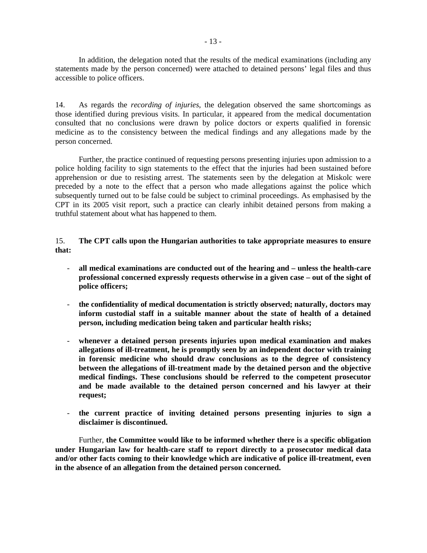In addition, the delegation noted that the results of the medical examinations (including any statements made by the person concerned) were attached to detained persons' legal files and thus accessible to police officers.

14. As regards the *recording of injuries*, the delegation observed the same shortcomings as those identified during previous visits. In particular, it appeared from the medical documentation consulted that no conclusions were drawn by police doctors or experts qualified in forensic medicine as to the consistency between the medical findings and any allegations made by the person concerned.

 Further, the practice continued of requesting persons presenting injuries upon admission to a police holding facility to sign statements to the effect that the injuries had been sustained before apprehension or due to resisting arrest. The statements seen by the delegation at Miskolc were preceded by a note to the effect that a person who made allegations against the police which subsequently turned out to be false could be subject to criminal proceedings. As emphasised by the CPT in its 2005 visit report, such a practice can clearly inhibit detained persons from making a truthful statement about what has happened to them.

15. **The CPT calls upon the Hungarian authorities to take appropriate measures to ensure that:** 

- **all medical examinations are conducted out of the hearing and unless the health-care professional concerned expressly requests otherwise in a given case – out of the sight of police officers;**
- **the confidentiality of medical documentation is strictly observed; naturally, doctors may inform custodial staff in a suitable manner about the state of health of a detained person, including medication being taken and particular health risks;**
- whenever a detained person presents injuries upon medical examination and makes **allegations of ill-treatment, he is promptly seen by an independent doctor with training in forensic medicine who should draw conclusions as to the degree of consistency between the allegations of ill-treatment made by the detained person and the objective medical findings. These conclusions should be referred to the competent prosecutor and be made available to the detained person concerned and his lawyer at their request;**
- **the current practice of inviting detained persons presenting injuries to sign a disclaimer is discontinued.**

 Further, **the Committee would like to be informed whether there is a specific obligation under Hungarian law for health-care staff to report directly to a prosecutor medical data and/or other facts coming to their knowledge which are indicative of police ill-treatment, even in the absence of an allegation from the detained person concerned.**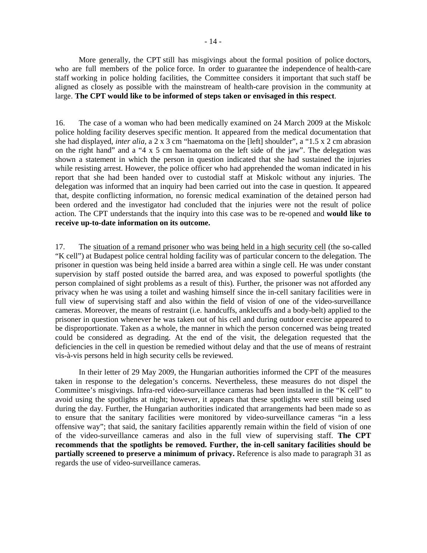More generally, the CPT still has misgivings about the formal position of police doctors, who are full members of the police force. In order to guarantee the independence of health-care staff working in police holding facilities, the Committee considers it important that such staff be aligned as closely as possible with the mainstream of health-care provision in the community at large. **The CPT would like to be informed of steps taken or envisaged in this respect**.

16. The case of a woman who had been medically examined on 24 March 2009 at the Miskolc police holding facility deserves specific mention. It appeared from the medical documentation that she had displayed, *inter alia,* a 2 x 3 cm "haematoma on the [left] shoulder", a "1.5 x 2 cm abrasion on the right hand" and a "4  $\times$  5 cm haematoma on the left side of the jaw". The delegation was shown a statement in which the person in question indicated that she had sustained the injuries while resisting arrest. However, the police officer who had apprehended the woman indicated in his report that she had been handed over to custodial staff at Miskolc without any injuries. The delegation was informed that an inquiry had been carried out into the case in question. It appeared that, despite conflicting information, no forensic medical examination of the detained person had been ordered and the investigator had concluded that the injuries were not the result of police action. The CPT understands that the inquiry into this case was to be re-opened and **would like to receive up-to-date information on its outcome.** 

17. The situation of a remand prisoner who was being held in a high security cell (the so-called "K cell") at Budapest police central holding facility was of particular concern to the delegation. The prisoner in question was being held inside a barred area within a single cell. He was under constant supervision by staff posted outside the barred area, and was exposed to powerful spotlights (the person complained of sight problems as a result of this). Further, the prisoner was not afforded any privacy when he was using a toilet and washing himself since the in-cell sanitary facilities were in full view of supervising staff and also within the field of vision of one of the video-surveillance cameras. Moreover, the means of restraint (i.e. handcuffs, anklecuffs and a body-belt) applied to the prisoner in question whenever he was taken out of his cell and during outdoor exercise appeared to be disproportionate. Taken as a whole, the manner in which the person concerned was being treated could be considered as degrading. At the end of the visit, the delegation requested that the deficiencies in the cell in question be remedied without delay and that the use of means of restraint vis-à-vis persons held in high security cells be reviewed.

 In their letter of 29 May 2009, the Hungarian authorities informed the CPT of the measures taken in response to the delegation's concerns. Nevertheless, these measures do not dispel the Committee's misgivings. Infra-red video-surveillance cameras had been installed in the "K cell" to avoid using the spotlights at night; however, it appears that these spotlights were still being used during the day. Further, the Hungarian authorities indicated that arrangements had been made so as to ensure that the sanitary facilities were monitored by video-surveillance cameras "in a less offensive way"; that said, the sanitary facilities apparently remain within the field of vision of one of the video-surveillance cameras and also in the full view of supervising staff. **The CPT recommends that the spotlights be removed. Further, the in-cell sanitary facilities should be partially screened to preserve a minimum of privacy.** Reference is also made to paragraph 31 as regards the use of video-surveillance cameras.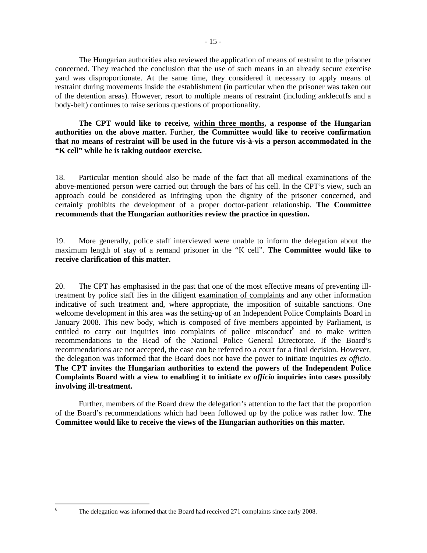The Hungarian authorities also reviewed the application of means of restraint to the prisoner concerned. They reached the conclusion that the use of such means in an already secure exercise yard was disproportionate. At the same time, they considered it necessary to apply means of restraint during movements inside the establishment (in particular when the prisoner was taken out of the detention areas). However, resort to multiple means of restraint (including anklecuffs and a body-belt) continues to raise serious questions of proportionality.

 **The CPT would like to receive, within three months, a response of the Hungarian authorities on the above matter.** Further, **the Committee would like to receive confirmation that no means of restraint will be used in the future vis-à-vis a person accommodated in the "K cell" while he is taking outdoor exercise.** 

18. Particular mention should also be made of the fact that all medical examinations of the above-mentioned person were carried out through the bars of his cell. In the CPT's view, such an approach could be considered as infringing upon the dignity of the prisoner concerned, and certainly prohibits the development of a proper doctor-patient relationship. **The Committee recommends that the Hungarian authorities review the practice in question.** 

19. More generally, police staff interviewed were unable to inform the delegation about the maximum length of stay of a remand prisoner in the "K cell". **The Committee would like to receive clarification of this matter.**

20. The CPT has emphasised in the past that one of the most effective means of preventing illtreatment by police staff lies in the diligent examination of complaints and any other information indicative of such treatment and, where appropriate, the imposition of suitable sanctions. One welcome development in this area was the setting-up of an Independent Police Complaints Board in January 2008. This new body, which is composed of five members appointed by Parliament, is entitled to carry out inquiries into complaints of police misconduct<sup>6</sup> and to make written recommendations to the Head of the National Police General Directorate. If the Board's recommendations are not accepted, the case can be referred to a court for a final decision. However, the delegation was informed that the Board does not have the power to initiate inquiries *ex officio*. **The CPT invites the Hungarian authorities to extend the powers of the Independent Police Complaints Board with a view to enabling it to initiate** *ex officio* **inquiries into cases possibly involving ill-treatment.** 

 Further, members of the Board drew the delegation's attention to the fact that the proportion of the Board's recommendations which had been followed up by the police was rather low. **The Committee would like to receive the views of the Hungarian authorities on this matter.**

6

The delegation was informed that the Board had received 271 complaints since early 2008.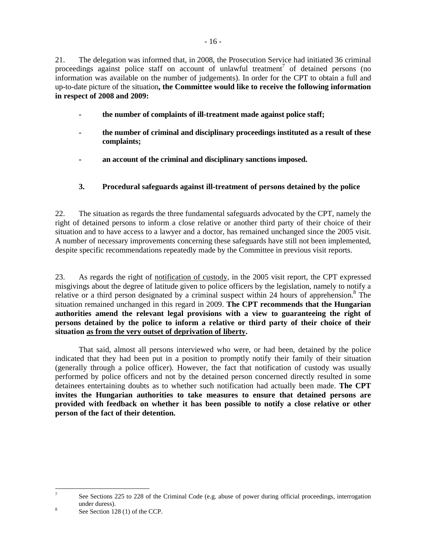21. The delegation was informed that, in 2008, the Prosecution Service had initiated 36 criminal proceedings against police staff on account of unlawful treatment<sup>7</sup> of detained persons (no information was available on the number of judgements). In order for the CPT to obtain a full and up-to-date picture of the situation**, the Committee would like to receive the following information in respect of 2008 and 2009:**

- **the number of complaints of ill-treatment made against police staff;**
- **the number of criminal and disciplinary proceedings instituted as a result of these complaints;**
- an account of the criminal and disciplinary sanctions imposed.
- **3. Procedural safeguards against ill-treatment of persons detained by the police**

22. The situation as regards the three fundamental safeguards advocated by the CPT, namely the right of detained persons to inform a close relative or another third party of their choice of their situation and to have access to a lawyer and a doctor, has remained unchanged since the 2005 visit. A number of necessary improvements concerning these safeguards have still not been implemented, despite specific recommendations repeatedly made by the Committee in previous visit reports.

23. As regards the right of notification of custody, in the 2005 visit report, the CPT expressed misgivings about the degree of latitude given to police officers by the legislation, namely to notify a relative or a third person designated by a criminal suspect within 24 hours of apprehension.<sup>8</sup> The situation remained unchanged in this regard in 2009. **The CPT recommends that the Hungarian authorities amend the relevant legal provisions with a view to guaranteeing the right of persons detained by the police to inform a relative or third party of their choice of their situation as from the very outset of deprivation of liberty.** 

 That said, almost all persons interviewed who were, or had been, detained by the police indicated that they had been put in a position to promptly notify their family of their situation (generally through a police officer). However, the fact that notification of custody was usually performed by police officers and not by the detained person concerned directly resulted in some detainees entertaining doubts as to whether such notification had actually been made. **The CPT invites the Hungarian authorities to take measures to ensure that detained persons are provided with feedback on whether it has been possible to notify a close relative or other person of the fact of their detention.**

<sup>-&</sup>lt;br>7 See Sections 225 to 228 of the Criminal Code (e.g. abuse of power during official proceedings, interrogation under duress).

<sup>8</sup> See Section 128 (1) of the CCP.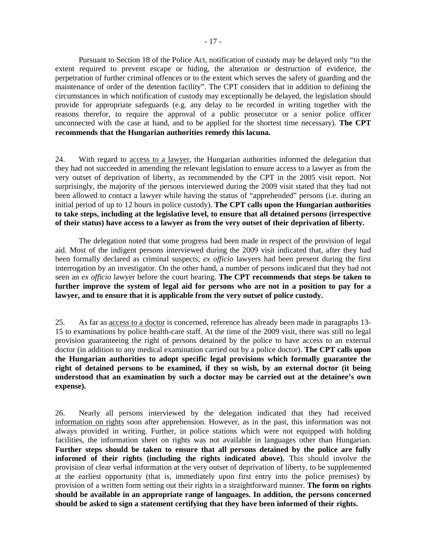Pursuant to Section 18 of the Police Act, notification of custody may be delayed only "to the extent required to prevent escape or hiding, the alteration or destruction of evidence, the perpetration of further criminal offences or to the extent which serves the safety of guarding and the maintenance of order of the detention facility". The CPT considers that in addition to defining the circumstances in which notification of custody may exceptionally be delayed, the legislation should provide for appropriate safeguards (e.g. any delay to be recorded in writing together with the reasons therefor, to require the approval of a public prosecutor or a senior police officer unconnected with the case at hand, and to be applied for the shortest time necessary). **The CPT recommends that the Hungarian authorities remedy this lacuna.**

24. With regard to access to a lawyer, the Hungarian authorities informed the delegation that they had not succeeded in amending the relevant legislation to ensure access to a lawyer as from the very outset of deprivation of liberty, as recommended by the CPT in the 2005 visit report. Not surprisingly, the majority of the persons interviewed during the 2009 visit stated that they had not been allowed to contact a lawyer while having the status of "apprehended" persons (i.e. during an initial period of up to 12 hours in police custody). **The CPT calls upon the Hungarian authorities to take steps, including at the legislative level, to ensure that all detained persons (irrespective of their status) have access to a lawyer as from the very outset of their deprivation of liberty.** 

 The delegation noted that some progress had been made in respect of the provision of legal aid. Most of the indigent persons interviewed during the 2009 visit indicated that, after they had been formally declared as criminal suspects, *ex officio* lawyers had been present during the first interrogation by an investigator. On the other hand, a number of persons indicated that they had not seen an *ex officio* lawyer before the court hearing. **The CPT recommends that steps be taken to further improve the system of legal aid for persons who are not in a position to pay for a lawyer, and to ensure that it is applicable from the very outset of police custody.**

25. As far as access to a doctor is concerned, reference has already been made in paragraphs 13- 15 to examinations by police health-care staff. At the time of the 2009 visit, there was still no legal provision guaranteeing the right of persons detained by the police to have access to an external doctor (in addition to any medical examination carried out by a police doctor). **The CPT calls upon the Hungarian authorities to adopt specific legal provisions which formally guarantee the right of detained persons to be examined, if they so wish, by an external doctor (it being understood that an examination by such a doctor may be carried out at the detainee's own expense).** 

26. Nearly all persons interviewed by the delegation indicated that they had received information on rights soon after apprehension. However, as in the past, this information was not always provided in writing. Further, in police stations which were not equipped with holding facilities, the information sheet on rights was not available in languages other than Hungarian. **Further steps should be taken to ensure that all persons detained by the police are fully informed of their rights (including the rights indicated above).** This should involve the provision of clear verbal information at the very outset of deprivation of liberty, to be supplemented at the earliest opportunity (that is, immediately upon first entry into the police premises) by provision of a written form setting out their rights in a straightforward manner. **The form on rights should be available in an appropriate range of languages. In addition, the persons concerned should be asked to sign a statement certifying that they have been informed of their rights.**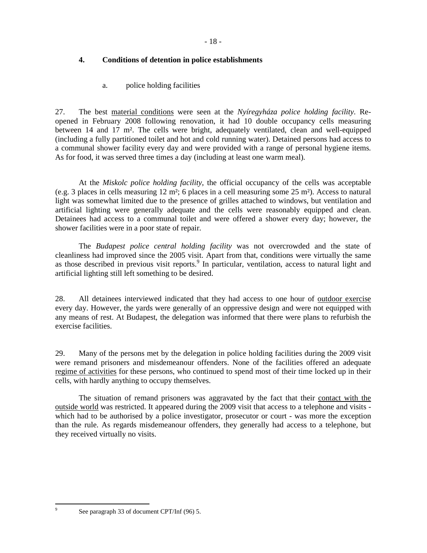# **4. Conditions of detention in police establishments**

a. police holding facilities

27. The best material conditions were seen at the *Nyíregyháza police holding facility*. Reopened in February 2008 following renovation, it had 10 double occupancy cells measuring between 14 and 17 m². The cells were bright, adequately ventilated, clean and well-equipped (including a fully partitioned toilet and hot and cold running water). Detained persons had access to a communal shower facility every day and were provided with a range of personal hygiene items. As for food, it was served three times a day (including at least one warm meal).

 At the *Miskolc police holding facility*, the official occupancy of the cells was acceptable (e.g. 3 places in cells measuring 12 m²; 6 places in a cell measuring some 25 m²). Access to natural light was somewhat limited due to the presence of grilles attached to windows, but ventilation and artificial lighting were generally adequate and the cells were reasonably equipped and clean. Detainees had access to a communal toilet and were offered a shower every day; however, the shower facilities were in a poor state of repair.

 The *Budapest police central holding facility* was not overcrowded and the state of cleanliness had improved since the 2005 visit. Apart from that, conditions were virtually the same as those described in previous visit reports.<sup>9</sup> In particular, ventilation, access to natural light and artificial lighting still left something to be desired.

28. All detainees interviewed indicated that they had access to one hour of <u>outdoor exercise</u> every day. However, the yards were generally of an oppressive design and were not equipped with any means of rest. At Budapest, the delegation was informed that there were plans to refurbish the exercise facilities.

29. Many of the persons met by the delegation in police holding facilities during the 2009 visit were remand prisoners and misdemeanour offenders. None of the facilities offered an adequate regime of activities for these persons, who continued to spend most of their time locked up in their cells, with hardly anything to occupy themselves.

The situation of remand prisoners was aggravated by the fact that their contact with the outside world was restricted. It appeared during the 2009 visit that access to a telephone and visits which had to be authorised by a police investigator, prosecutor or court - was more the exception than the rule. As regards misdemeanour offenders, they generally had access to a telephone, but they received virtually no visits.

-<br>9

See paragraph 33 of document CPT/Inf (96) 5.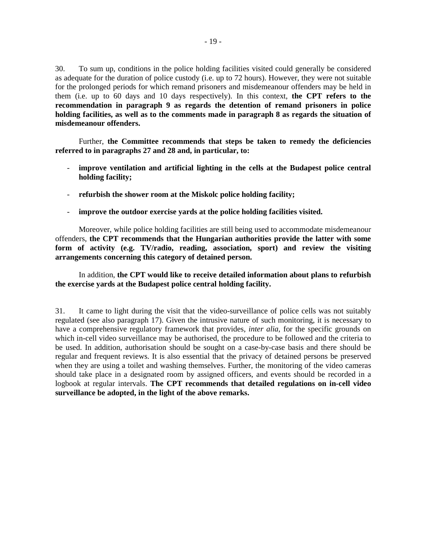30. To sum up, conditions in the police holding facilities visited could generally be considered as adequate for the duration of police custody (i.e. up to 72 hours). However, they were not suitable for the prolonged periods for which remand prisoners and misdemeanour offenders may be held in them (i.e. up to 60 days and 10 days respectively). In this context, **the CPT refers to the recommendation in paragraph 9 as regards the detention of remand prisoners in police holding facilities, as well as to the comments made in paragraph 8 as regards the situation of misdemeanour offenders.**

 Further, **the Committee recommends that steps be taken to remedy the deficiencies referred to in paragraphs 27 and 28 and, in particular, to:** 

- improve ventilation and artificial lighting in the cells at the Budapest police central **holding facility;**
- **refurbish the shower room at the Miskolc police holding facility;**
- improve the outdoor exercise vards at the police holding facilities visited.

 Moreover, while police holding facilities are still being used to accommodate misdemeanour offenders, **the CPT recommends that the Hungarian authorities provide the latter with some form of activity (e.g. TV/radio, reading, association, sport) and review the visiting arrangements concerning this category of detained person.** 

In addition, **the CPT would like to receive detailed information about plans to refurbish the exercise yards at the Budapest police central holding facility.** 

31. It came to light during the visit that the video-surveillance of police cells was not suitably regulated (see also paragraph 17). Given the intrusive nature of such monitoring, it is necessary to have a comprehensive regulatory framework that provides, *inter alia,* for the specific grounds on which in-cell video surveillance may be authorised, the procedure to be followed and the criteria to be used. In addition, authorisation should be sought on a case-by-case basis and there should be regular and frequent reviews. It is also essential that the privacy of detained persons be preserved when they are using a toilet and washing themselves. Further, the monitoring of the video cameras should take place in a designated room by assigned officers, and events should be recorded in a logbook at regular intervals. **The CPT recommends that detailed regulations on in-cell video surveillance be adopted, in the light of the above remarks.**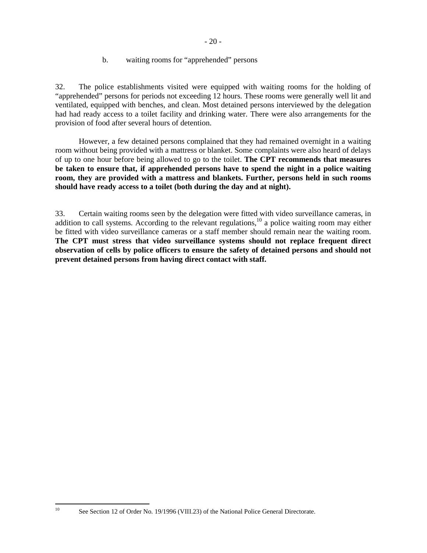### b. waiting rooms for "apprehended" persons

32. The police establishments visited were equipped with waiting rooms for the holding of "apprehended" persons for periods not exceeding 12 hours. These rooms were generally well lit and ventilated, equipped with benches, and clean. Most detained persons interviewed by the delegation had had ready access to a toilet facility and drinking water. There were also arrangements for the provision of food after several hours of detention.

 However, a few detained persons complained that they had remained overnight in a waiting room without being provided with a mattress or blanket. Some complaints were also heard of delays of up to one hour before being allowed to go to the toilet. **The CPT recommends that measures be taken to ensure that, if apprehended persons have to spend the night in a police waiting room, they are provided with a mattress and blankets. Further, persons held in such rooms should have ready access to a toilet (both during the day and at night).** 

33. Certain waiting rooms seen by the delegation were fitted with video surveillance cameras, in addition to call systems. According to the relevant regulations,  $10$  a police waiting room may either be fitted with video surveillance cameras or a staff member should remain near the waiting room. **The CPT must stress that video surveillance systems should not replace frequent direct observation of cells by police officers to ensure the safety of detained persons and should not prevent detained persons from having direct contact with staff.** 

10

See Section 12 of Order No. 19/1996 (VIII.23) of the National Police General Directorate.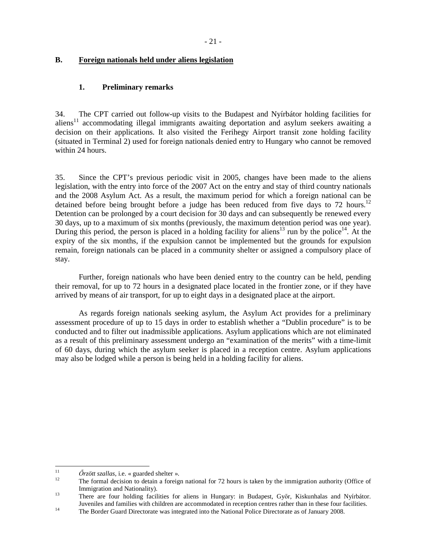### **B. Foreign nationals held under aliens legislation**

### **1. Preliminary remarks**

34. The CPT carried out follow-up visits to the Budapest and Nyírbátor holding facilities for aliens<sup>11</sup> accommodating illegal immigrants awaiting deportation and asylum seekers awaiting a decision on their applications. It also visited the Ferihegy Airport transit zone holding facility (situated in Terminal 2) used for foreign nationals denied entry to Hungary who cannot be removed within 24 hours.

35. Since the CPT's previous periodic visit in 2005, changes have been made to the aliens legislation, with the entry into force of the 2007 Act on the entry and stay of third country nationals and the 2008 Asylum Act. As a result, the maximum period for which a foreign national can be detained before being brought before a judge has been reduced from five days to 72 hours.<sup>12</sup> Detention can be prolonged by a court decision for 30 days and can subsequently be renewed every 30 days, up to a maximum of six months (previously, the maximum detention period was one year). During this period, the person is placed in a holding facility for aliens<sup>13</sup> run by the police<sup>14</sup>. At the expiry of the six months, if the expulsion cannot be implemented but the grounds for expulsion remain, foreign nationals can be placed in a community shelter or assigned a compulsory place of stay.

 Further, foreign nationals who have been denied entry to the country can be held, pending their removal, for up to 72 hours in a designated place located in the frontier zone, or if they have arrived by means of air transport, for up to eight days in a designated place at the airport.

 As regards foreign nationals seeking asylum, the Asylum Act provides for a preliminary assessment procedure of up to 15 days in order to establish whether a "Dublin procedure" is to be conducted and to filter out inadmissible applications. Asylum applications which are not eliminated as a result of this preliminary assessment undergo an "examination of the merits" with a time-limit of 60 days, during which the asylum seeker is placed in a reception centre. Asylum applications may also be lodged while a person is being held in a holding facility for aliens.

<sup>|&</sup>lt;br>|<br>| 11  $\ddot{o}$ *rzött szallas*, i.e. « guarded shelter ».

The formal decision to detain a foreign national for 72 hours is taken by the immigration authority (Office of Immigration and Nationality).

<sup>&</sup>lt;sup>13</sup> There are four holding facilities for aliens in Hungary: in Budapest, Győr, Kiskunhalas and Nyírbátor. Juveniles and families with children are accommodated in reception centres rather than in these four facilities.

<sup>&</sup>lt;sup>14</sup> The Border Guard Directorate was integrated into the National Police Directorate as of January 2008.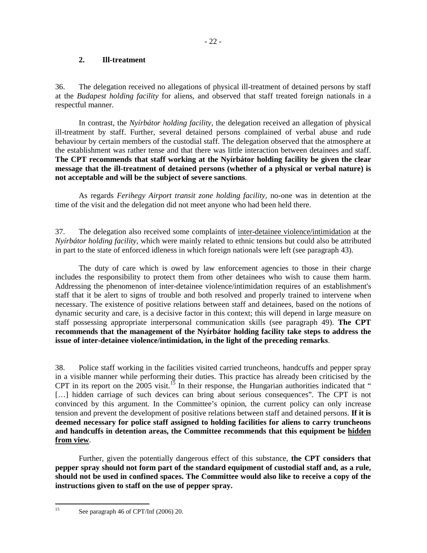#### **2. Ill-treatment**

36. The delegation received no allegations of physical ill-treatment of detained persons by staff at the *Budapest holding facility* for aliens, and observed that staff treated foreign nationals in a respectful manner.

 In contrast, the *Nyírbátor holding facility,* the delegation received an allegation of physical ill-treatment by staff. Further, several detained persons complained of verbal abuse and rude behaviour by certain members of the custodial staff. The delegation observed that the atmosphere at the establishment was rather tense and that there was little interaction between detainees and staff. **The CPT recommends that staff working at the Nyírbátor holding facility be given the clear message that the ill-treatment of detained persons (whether of a physical or verbal nature) is not acceptable and will be the subject of severe sanctions**.

 As regards *Ferihegy Airport transit zone holding facility,* no-one was in detention at the time of the visit and the delegation did not meet anyone who had been held there.

37. The delegation also received some complaints of inter-detainee violence/intimidation at the *Nyírbátor holding facility*, which were mainly related to ethnic tensions but could also be attributed in part to the state of enforced idleness in which foreign nationals were left (see paragraph 43).

 The duty of care which is owed by law enforcement agencies to those in their charge includes the responsibility to protect them from other detainees who wish to cause them harm. Addressing the phenomenon of inter-detainee violence/intimidation requires of an establishment's staff that it be alert to signs of trouble and both resolved and properly trained to intervene when necessary. The existence of positive relations between staff and detainees, based on the notions of dynamic security and care, is a decisive factor in this context; this will depend in large measure on staff possessing appropriate interpersonal communication skills (see paragraph 49). **The CPT recommends that the management of the Nyírbátor holding facility take steps to address the issue of inter-detainee violence/intimidation, in the light of the preceding remarks**.

38. Police staff working in the facilities visited carried truncheons, handcuffs and pepper spray in a visible manner while performing their duties. This practice has already been criticised by the CPT in its report on the 2005 visit.<sup>15</sup> In their response, the Hungarian authorities indicated that " [...] hidden carriage of such devices can bring about serious consequences". The CPT is not convinced by this argument. In the Committee's opinion, the current policy can only increase tension and prevent the development of positive relations between staff and detained persons. **If it is deemed necessary for police staff assigned to holding facilities for aliens to carry truncheons and handcuffs in detention areas, the Committee recommends that this equipment be hidden from view**.

 Further, given the potentially dangerous effect of this substance, **the CPT considers that pepper spray should not form part of the standard equipment of custodial staff and, as a rule, should not be used in confined spaces. The Committee would also like to receive a copy of the instructions given to staff on the use of pepper spray.**

15

See paragraph 46 of CPT/Inf (2006) 20.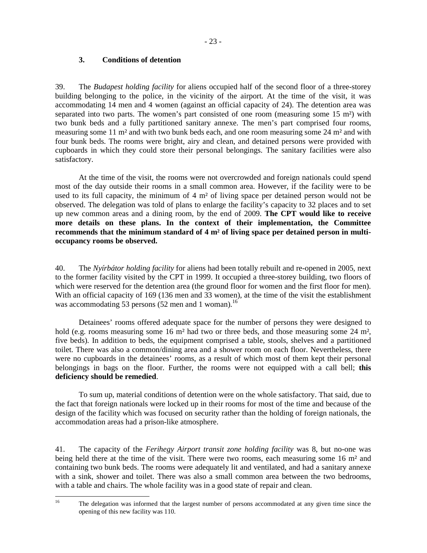#### **3. Conditions of detention**

39. The *Budapest holding facility* for aliens occupied half of the second floor of a three-storey building belonging to the police, in the vicinity of the airport. At the time of the visit, it was accommodating 14 men and 4 women (against an official capacity of 24). The detention area was separated into two parts. The women's part consisted of one room (measuring some  $15 \text{ m}^2$ ) with two bunk beds and a fully partitioned sanitary annexe. The men's part comprised four rooms, measuring some  $11 \text{ m}^2$  and with two bunk beds each, and one room measuring some  $24 \text{ m}^2$  and with four bunk beds. The rooms were bright, airy and clean, and detained persons were provided with cupboards in which they could store their personal belongings. The sanitary facilities were also satisfactory.

 At the time of the visit, the rooms were not overcrowded and foreign nationals could spend most of the day outside their rooms in a small common area. However, if the facility were to be used to its full capacity, the minimum of 4 m² of living space per detained person would not be observed. The delegation was told of plans to enlarge the facility's capacity to 32 places and to set up new common areas and a dining room, by the end of 2009. **The CPT would like to receive more details on these plans. In the context of their implementation, the Committee recommends that the minimum standard of 4 m² of living space per detained person in multioccupancy rooms be observed.** 

40. The *Nyírbátor holding facility* for aliens had been totally rebuilt and re-opened in 2005, next to the former facility visited by the CPT in 1999. It occupied a three-storey building, two floors of which were reserved for the detention area (the ground floor for women and the first floor for men). With an official capacity of 169 (136 men and 33 women), at the time of the visit the establishment was accommodating 53 persons (52 men and 1 woman).<sup>16</sup>

 Detainees' rooms offered adequate space for the number of persons they were designed to hold (e.g. rooms measuring some 16 m<sup>2</sup> had two or three beds, and those measuring some 24 m<sup>2</sup>, five beds). In addition to beds, the equipment comprised a table, stools, shelves and a partitioned toilet. There was also a common/dining area and a shower room on each floor. Nevertheless, there were no cupboards in the detainees' rooms, as a result of which most of them kept their personal belongings in bags on the floor. Further, the rooms were not equipped with a call bell; **this deficiency should be remedied**.

 To sum up, material conditions of detention were on the whole satisfactory. That said, due to the fact that foreign nationals were locked up in their rooms for most of the time and because of the design of the facility which was focused on security rather than the holding of foreign nationals, the accommodation areas had a prison-like atmosphere.

41. The capacity of the *Ferihegy Airport transit zone holding facility* was 8, but no-one was being held there at the time of the visit. There were two rooms, each measuring some 16 m<sup>2</sup> and containing two bunk beds. The rooms were adequately lit and ventilated, and had a sanitary annexe with a sink, shower and toilet. There was also a small common area between the two bedrooms, with a table and chairs. The whole facility was in a good state of repair and clean.

 $16<sup>16</sup>$ The delegation was informed that the largest number of persons accommodated at any given time since the opening of this new facility was 110.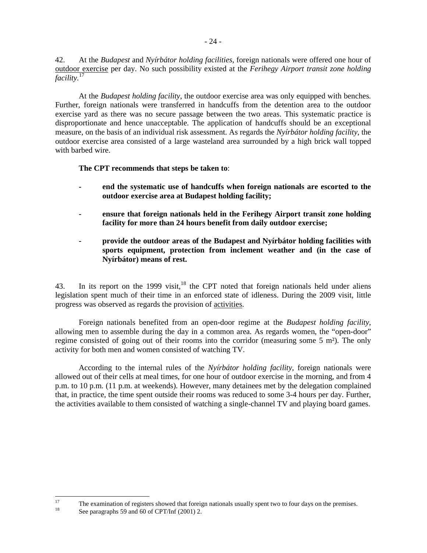42. At the *Budapest* and *Nyírbátor holding facilities*, foreign nationals were offered one hour of outdoor exercise per day. No such possibility existed at the *Ferihegy Airport transit zone holding facility.*<sup>17</sup>

 At the *Budapest holding facility*, the outdoor exercise area was only equipped with benches. Further, foreign nationals were transferred in handcuffs from the detention area to the outdoor exercise yard as there was no secure passage between the two areas. This systematic practice is disproportionate and hence unacceptable. The application of handcuffs should be an exceptional measure, on the basis of an individual risk assessment. As regards the *Nyírbátor holding facility*, the outdoor exercise area consisted of a large wasteland area surrounded by a high brick wall topped with barbed wire.

 **The CPT recommends that steps be taken to**:

- **end the systematic use of handcuffs when foreign nationals are escorted to the outdoor exercise area at Budapest holding facility;**
- **ensure that foreign nationals held in the Ferihegy Airport transit zone holding facility for more than 24 hours benefit from daily outdoor exercise;**
- **provide the outdoor areas of the Budapest and Nyírbátor holding facilities with sports equipment, protection from inclement weather and (in the case of Nyírbátor) means of rest.**

43. In its report on the 1999 visit,  $18$  the CPT noted that foreign nationals held under aliens legislation spent much of their time in an enforced state of idleness. During the 2009 visit, little progress was observed as regards the provision of activities.

 Foreign nationals benefited from an open-door regime at the *Budapest holding facility*, allowing men to assemble during the day in a common area. As regards women, the "open-door" regime consisted of going out of their rooms into the corridor (measuring some 5 m²). The only activity for both men and women consisted of watching TV.

 According to the internal rules of the *Nyírbátor holding facility*, foreign nationals were allowed out of their cells at meal times, for one hour of outdoor exercise in the morning, and from 4 p.m. to 10 p.m. (11 p.m. at weekends). However, many detainees met by the delegation complained that, in practice, the time spent outside their rooms was reduced to some 3-4 hours per day. Further, the activities available to them consisted of watching a single-channel TV and playing board games.

<sup>&</sup>lt;sup>17</sup> The examination of registers showed that foreign nationals usually spent two to four days on the premises.<br>See negative 50 and 60 of CDT/lef (2001).

See paragraphs 59 and 60 of CPT/Inf (2001) 2.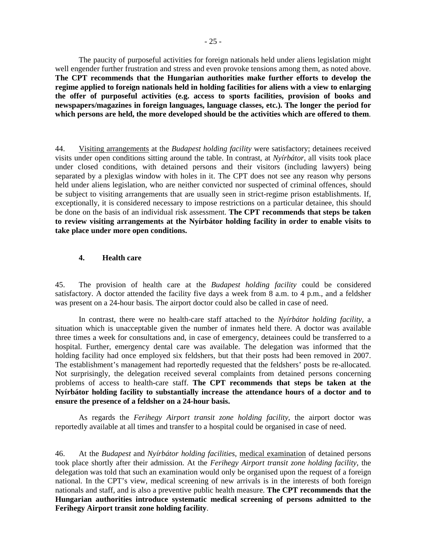The paucity of purposeful activities for foreign nationals held under aliens legislation might well engender further frustration and stress and even provoke tensions among them, as noted above. **The CPT recommends that the Hungarian authorities make further efforts to develop the regime applied to foreign nationals held in holding facilities for aliens with a view to enlarging the offer of purposeful activities (e.g. access to sports facilities, provision of books and newspapers/magazines in foreign languages, language classes, etc.). The longer the period for which persons are held, the more developed should be the activities which are offered to them**.

44. Visiting arrangements at the *Budapest holding facility* were satisfactory; detainees received visits under open conditions sitting around the table. In contrast, at *Nyírbátor*, all visits took place under closed conditions, with detained persons and their visitors (including lawyers) being separated by a plexiglas window with holes in it. The CPT does not see any reason why persons held under aliens legislation, who are neither convicted nor suspected of criminal offences, should be subject to visiting arrangements that are usually seen in strict-regime prison establishments. If, exceptionally, it is considered necessary to impose restrictions on a particular detainee, this should be done on the basis of an individual risk assessment. **The CPT recommends that steps be taken to review visiting arrangements at the Nyírbátor holding facility in order to enable visits to take place under more open conditions.**

### **4. Health care**

45. The provision of health care at the *Budapest holding facility* could be considered satisfactory. A doctor attended the facility five days a week from 8 a.m. to 4 p.m., and a feldsher was present on a 24-hour basis. The airport doctor could also be called in case of need.

 In contrast, there were no health-care staff attached to the *Nyírbátor holding facility*, a situation which is unacceptable given the number of inmates held there. A doctor was available three times a week for consultations and, in case of emergency, detainees could be transferred to a hospital. Further, emergency dental care was available. The delegation was informed that the holding facility had once employed six feldshers, but that their posts had been removed in 2007. The establishment's management had reportedly requested that the feldshers' posts be re-allocated. Not surprisingly, the delegation received several complaints from detained persons concerning problems of access to health-care staff. **The CPT recommends that steps be taken at the Nyírbátor holding facility to substantially increase the attendance hours of a doctor and to ensure the presence of a feldsher on a 24-hour basis.** 

 As regards the *Ferihegy Airport transit zone holding facility*, the airport doctor was reportedly available at all times and transfer to a hospital could be organised in case of need.

46. At the *Budapest* and *Nyírbátor holding facilities,* medical examination of detained persons took place shortly after their admission. At the *Ferihegy Airport transit zone holding facility*, the delegation was told that such an examination would only be organised upon the request of a foreign national. In the CPT's view, medical screening of new arrivals is in the interests of both foreign nationals and staff, and is also a preventive public health measure. **The CPT recommends that the Hungarian authorities introduce systematic medical screening of persons admitted to the Ferihegy Airport transit zone holding facility**.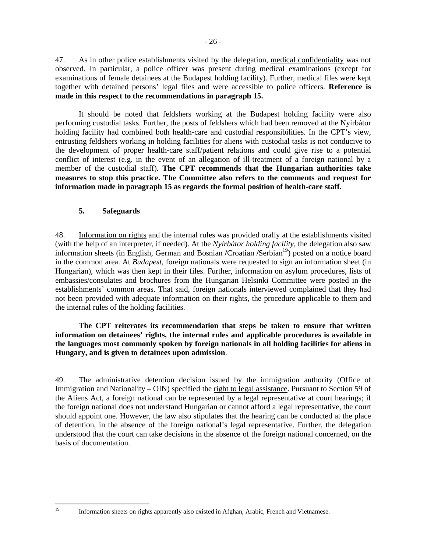47. As in other police establishments visited by the delegation, medical confidentiality was not observed. In particular, a police officer was present during medical examinations (except for examinations of female detainees at the Budapest holding facility). Further, medical files were kept together with detained persons' legal files and were accessible to police officers. **Reference is made in this respect to the recommendations in paragraph 15.**

 It should be noted that feldshers working at the Budapest holding facility were also performing custodial tasks. Further, the posts of feldshers which had been removed at the Nyírbátor holding facility had combined both health-care and custodial responsibilities. In the CPT's view, entrusting feldshers working in holding facilities for aliens with custodial tasks is not conducive to the development of proper health-care staff/patient relations and could give rise to a potential conflict of interest (e.g. in the event of an allegation of ill-treatment of a foreign national by a member of the custodial staff). **The CPT recommends that the Hungarian authorities take measures to stop this practice. The Committee also refers to the comments and request for information made in paragraph 15 as regards the formal position of health-care staff.**

### **5. Safeguards**

48. Information on rights and the internal rules was provided orally at the establishments visited (with the help of an interpreter, if needed). At the *Nyírbátor holding facility*, the delegation also saw information sheets (in English, German and Bosnian **/**Croatian **/**Serbian<sup>19</sup>) posted on a notice board in the common area. At *Budapest*, foreign nationals were requested to sign an information sheet (in Hungarian), which was then kept in their files. Further, information on asylum procedures, lists of embassies/consulates and brochures from the Hungarian Helsinki Committee were posted in the establishments' common areas. That said, foreign nationals interviewed complained that they had not been provided with adequate information on their rights, the procedure applicable to them and the internal rules of the holding facilities.

 **The CPT reiterates its recommendation that steps be taken to ensure that written information on detainees' rights, the internal rules and applicable procedures is available in the languages most commonly spoken by foreign nationals in all holding facilities for aliens in Hungary, and is given to detainees upon admission**.

49. The administrative detention decision issued by the immigration authority (Office of Immigration and Nationality – OIN) specified the right to legal assistance. Pursuant to Section 59 of the Aliens Act, a foreign national can be represented by a legal representative at court hearings; if the foreign national does not understand Hungarian or cannot afford a legal representative, the court should appoint one. However, the law also stipulates that the hearing can be conducted at the place of detention, in the absence of the foreign national's legal representative. Further, the delegation understood that the court can take decisions in the absence of the foreign national concerned, on the basis of documentation.

19

<sup>19</sup> Information sheets on rights apparently also existed in Afghan, Arabic, French and Vietnamese.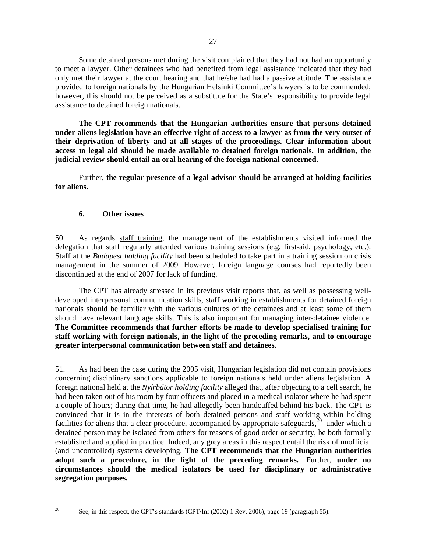Some detained persons met during the visit complained that they had not had an opportunity to meet a lawyer. Other detainees who had benefited from legal assistance indicated that they had only met their lawyer at the court hearing and that he/she had had a passive attitude. The assistance provided to foreign nationals by the Hungarian Helsinki Committee's lawyers is to be commended; however, this should not be perceived as a substitute for the State's responsibility to provide legal assistance to detained foreign nationals.

 **The CPT recommends that the Hungarian authorities ensure that persons detained under aliens legislation have an effective right of access to a lawyer as from the very outset of their deprivation of liberty and at all stages of the proceedings. Clear information about access to legal aid should be made available to detained foreign nationals. In addition, the judicial review should entail an oral hearing of the foreign national concerned.** 

 Further, **the regular presence of a legal advisor should be arranged at holding facilities for aliens.** 

#### **6. Other issues**

20

50. As regards staff training, the management of the establishments visited informed the delegation that staff regularly attended various training sessions (e.g. first-aid, psychology, etc.). Staff at the *Budapest holding facility* had been scheduled to take part in a training session on crisis management in the summer of 2009. However, foreign language courses had reportedly been discontinued at the end of 2007 for lack of funding.

 The CPT has already stressed in its previous visit reports that, as well as possessing welldeveloped interpersonal communication skills, staff working in establishments for detained foreign nationals should be familiar with the various cultures of the detainees and at least some of them should have relevant language skills. This is also important for managing inter-detainee violence. **The Committee recommends that further efforts be made to develop specialised training for staff working with foreign nationals, in the light of the preceding remarks, and to encourage greater interpersonal communication between staff and detainees.** 

51. As had been the case during the 2005 visit, Hungarian legislation did not contain provisions concerning disciplinary sanctions applicable to foreign nationals held under aliens legislation. A foreign national held at the *Nyírbátor holding facility* alleged that, after objecting to a cell search, he had been taken out of his room by four officers and placed in a medical isolator where he had spent a couple of hours; during that time, he had allegedly been handcuffed behind his back. The CPT is convinced that it is in the interests of both detained persons and staff working within holding facilities for aliens that a clear procedure, accompanied by appropriate safeguards,  $^{20}$  under which a detained person may be isolated from others for reasons of good order or security, be both formally established and applied in practice. Indeed, any grey areas in this respect entail the risk of unofficial (and uncontrolled) systems developing. **The CPT recommends that the Hungarian authorities adopt such a procedure, in the light of the preceding remarks.** Further, **under no circumstances should the medical isolators be used for disciplinary or administrative segregation purposes.**

See, in this respect, the CPT's standards (CPT/Inf (2002) 1 Rev. 2006), page 19 (paragraph 55).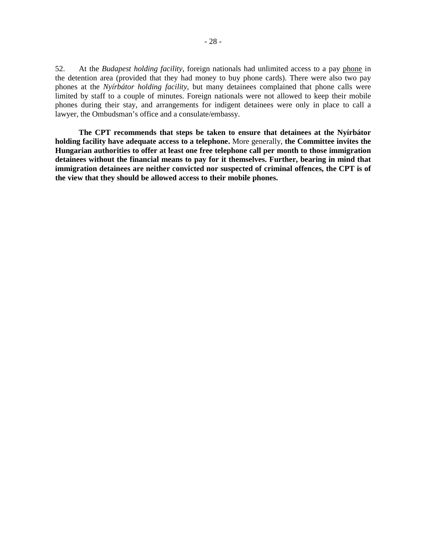52. At the *Budapest holding facility*, foreign nationals had unlimited access to a pay phone in the detention area (provided that they had money to buy phone cards). There were also two pay phones at the *Nyírbátor holding facility*, but many detainees complained that phone calls were limited by staff to a couple of minutes. Foreign nationals were not allowed to keep their mobile phones during their stay, and arrangements for indigent detainees were only in place to call a lawyer, the Ombudsman's office and a consulate/embassy.

 **The CPT recommends that steps be taken to ensure that detainees at the Nyírbátor holding facility have adequate access to a telephone.** More generally, **the Committee invites the Hungarian authorities to offer at least one free telephone call per month to those immigration detainees without the financial means to pay for it themselves. Further, bearing in mind that immigration detainees are neither convicted nor suspected of criminal offences, the CPT is of the view that they should be allowed access to their mobile phones.**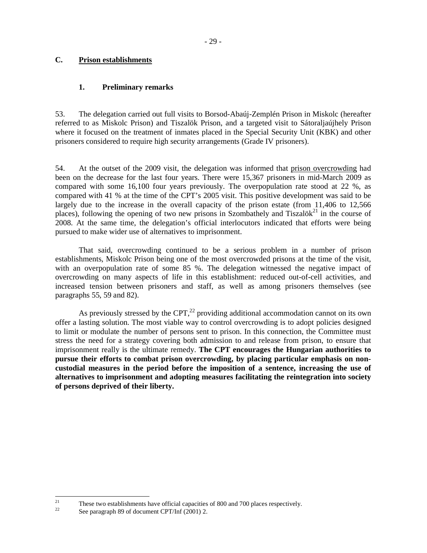### **C. Prison establishments**

### **1. Preliminary remarks**

53. The delegation carried out full visits to Borsod-Abaúj-Zemplén Prison in Miskolc (hereafter referred to as Miskolc Prison) and Tiszalök Prison, and a targeted visit to Sátoraljaújhely Prison where it focused on the treatment of inmates placed in the Special Security Unit (KBK) and other prisoners considered to require high security arrangements (Grade IV prisoners).

54. At the outset of the 2009 visit, the delegation was informed that prison overcrowding had been on the decrease for the last four years. There were 15,367 prisoners in mid-March 2009 as compared with some 16,100 four years previously. The overpopulation rate stood at 22 %, as compared with 41 % at the time of the CPT's 2005 visit. This positive development was said to be largely due to the increase in the overall capacity of the prison estate (from 11,406 to 12,566 places), following the opening of two new prisons in Szombathely and Tiszalö $k^{21}$  in the course of 2008. At the same time, the delegation's official interlocutors indicated that efforts were being pursued to make wider use of alternatives to imprisonment.

 That said, overcrowding continued to be a serious problem in a number of prison establishments, Miskolc Prison being one of the most overcrowded prisons at the time of the visit, with an overpopulation rate of some 85 %. The delegation witnessed the negative impact of overcrowding on many aspects of life in this establishment: reduced out-of-cell activities, and increased tension between prisoners and staff, as well as among prisoners themselves (see paragraphs 55, 59 and 82).

As previously stressed by the CPT, $^{22}$  providing additional accommodation cannot on its own offer a lasting solution. The most viable way to control overcrowding is to adopt policies designed to limit or modulate the number of persons sent to prison. In this connection, the Committee must stress the need for a strategy covering both admission to and release from prison, to ensure that imprisonment really is the ultimate remedy. **The CPT encourages the Hungarian authorities to pursue their efforts to combat prison overcrowding, by placing particular emphasis on noncustodial measures in the period before the imposition of a sentence, increasing the use of alternatives to imprisonment and adopting measures facilitating the reintegration into society of persons deprived of their liberty.**

 $21$ <sup>21</sup> These two establishments have official capacities of 800 and 700 places respectively.

See paragraph 89 of document CPT/Inf (2001) 2.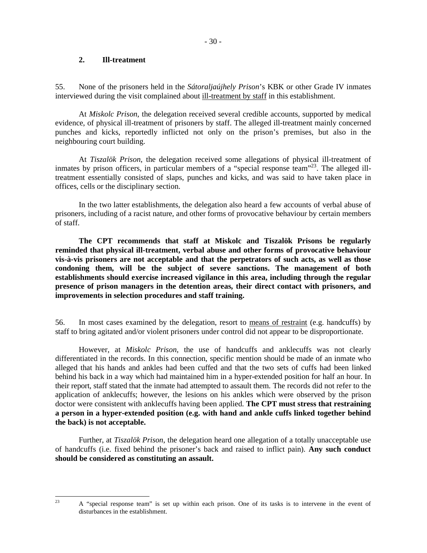#### **2. Ill-treatment**

55. None of the prisoners held in the *Sátoraljaújhely Prison*'s KBK or other Grade IV inmates interviewed during the visit complained about ill-treatment by staff in this establishment.

 At *Miskolc Prison*, the delegation received several credible accounts, supported by medical evidence, of physical ill-treatment of prisoners by staff. The alleged ill-treatment mainly concerned punches and kicks, reportedly inflicted not only on the prison's premises, but also in the neighbouring court building.

 At *Tiszalök Prison*, the delegation received some allegations of physical ill-treatment of inmates by prison officers, in particular members of a "special response team"<sup>23</sup>. The alleged illtreatment essentially consisted of slaps, punches and kicks, and was said to have taken place in offices, cells or the disciplinary section.

 In the two latter establishments, the delegation also heard a few accounts of verbal abuse of prisoners, including of a racist nature, and other forms of provocative behaviour by certain members of staff.

 **The CPT recommends that staff at Miskolc and Tiszalök Prisons be regularly reminded that physical ill-treatment, verbal abuse and other forms of provocative behaviour vis-à-vis prisoners are not acceptable and that the perpetrators of such acts, as well as those condoning them, will be the subject of severe sanctions. The management of both establishments should exercise increased vigilance in this area, including through the regular presence of prison managers in the detention areas, their direct contact with prisoners, and improvements in selection procedures and staff training.** 

56. In most cases examined by the delegation, resort to means of restraint (e.g. handcuffs) by staff to bring agitated and/or violent prisoners under control did not appear to be disproportionate.

 However, at *Miskolc Prison*, the use of handcuffs and anklecuffs was not clearly differentiated in the records. In this connection, specific mention should be made of an inmate who alleged that his hands and ankles had been cuffed and that the two sets of cuffs had been linked behind his back in a way which had maintained him in a hyper-extended position for half an hour. In their report, staff stated that the inmate had attempted to assault them. The records did not refer to the application of anklecuffs; however, the lesions on his ankles which were observed by the prison doctor were consistent with anklecuffs having been applied. **The CPT must stress that restraining a person in a hyper-extended position (e.g. with hand and ankle cuffs linked together behind the back) is not acceptable.**

 Further, at *Tiszalök Prison*, the delegation heard one allegation of a totally unacceptable use of handcuffs (i.e. fixed behind the prisoner's back and raised to inflict pain). **Any such conduct should be considered as constituting an assault.**

 $23$ 

<sup>23</sup> A "special response team" is set up within each prison. One of its tasks is to intervene in the event of disturbances in the establishment.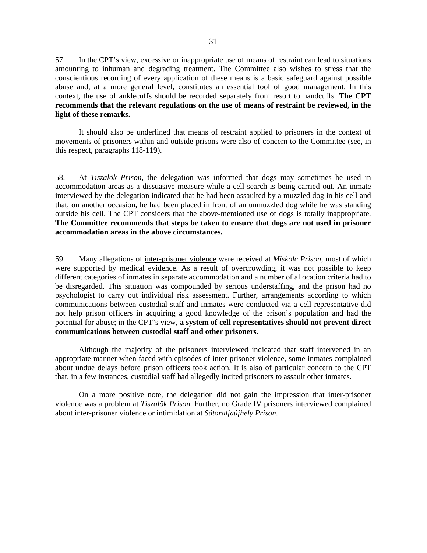57. In the CPT's view, excessive or inappropriate use of means of restraint can lead to situations amounting to inhuman and degrading treatment. The Committee also wishes to stress that the conscientious recording of every application of these means is a basic safeguard against possible abuse and, at a more general level, constitutes an essential tool of good management. In this context, the use of anklecuffs should be recorded separately from resort to handcuffs. **The CPT recommends that the relevant regulations on the use of means of restraint be reviewed, in the light of these remarks.** 

 It should also be underlined that means of restraint applied to prisoners in the context of movements of prisoners within and outside prisons were also of concern to the Committee (see, in this respect, paragraphs 118-119).

58. At *Tiszalök Prison,* the delegation was informed that dogs may sometimes be used in accommodation areas as a dissuasive measure while a cell search is being carried out. An inmate interviewed by the delegation indicated that he had been assaulted by a muzzled dog in his cell and that, on another occasion, he had been placed in front of an unmuzzled dog while he was standing outside his cell. The CPT considers that the above-mentioned use of dogs is totally inappropriate. **The Committee recommends that steps be taken to ensure that dogs are not used in prisoner accommodation areas in the above circumstances.**

59. Many allegations of inter-prisoner violence were received at *Miskolc Prison*, most of which were supported by medical evidence. As a result of overcrowding, it was not possible to keep different categories of inmates in separate accommodation and a number of allocation criteria had to be disregarded. This situation was compounded by serious understaffing, and the prison had no psychologist to carry out individual risk assessment. Further, arrangements according to which communications between custodial staff and inmates were conducted via a cell representative did not help prison officers in acquiring a good knowledge of the prison's population and had the potential for abuse; in the CPT's view, **a system of cell representatives should not prevent direct communications between custodial staff and other prisoners.**

 Although the majority of the prisoners interviewed indicated that staff intervened in an appropriate manner when faced with episodes of inter-prisoner violence, some inmates complained about undue delays before prison officers took action. It is also of particular concern to the CPT that, in a few instances, custodial staff had allegedly incited prisoners to assault other inmates.

 On a more positive note, the delegation did not gain the impression that inter-prisoner violence was a problem at *Tiszalök Prison*. Further, no Grade IV prisoners interviewed complained about inter-prisoner violence or intimidation at *Sátoraljaújhely Prison*.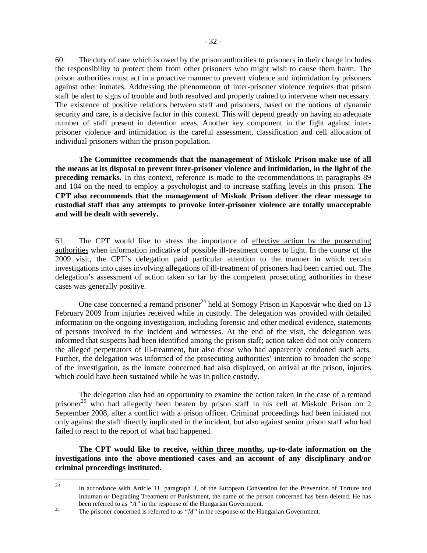60. The duty of care which is owed by the prison authorities to prisoners in their charge includes the responsibility to protect them from other prisoners who might wish to cause them harm. The prison authorities must act in a proactive manner to prevent violence and intimidation by prisoners against other inmates. Addressing the phenomenon of inter-prisoner violence requires that prison staff be alert to signs of trouble and both resolved and properly trained to intervene when necessary. The existence of positive relations between staff and prisoners, based on the notions of dynamic security and care, is a decisive factor in this context. This will depend greatly on having an adequate number of staff present in detention areas. Another key component in the fight against interprisoner violence and intimidation is the careful assessment, classification and cell allocation of individual prisoners within the prison population.

 **The Committee recommends that the management of Miskolc Prison make use of all the means at its disposal to prevent inter-prisoner violence and intimidation, in the light of the preceding remarks.** In this context, reference is made to the recommendations in paragraphs 89 and 104 on the need to employ a psychologist and to increase staffing levels in this prison. **The CPT also recommends that the management of Miskolc Prison deliver the clear message to custodial staff that any attempts to provoke inter-prisoner violence are totally unacceptable and will be dealt with severely.**

61. The CPT would like to stress the importance of effective action by the prosecuting authorities when information indicative of possible ill-treatment comes to light. In the course of the 2009 visit, the CPT's delegation paid particular attention to the manner in which certain investigations into cases involving allegations of ill-treatment of prisoners had been carried out. The delegation's assessment of action taken so far by the competent prosecuting authorities in these cases was generally positive.

One case concerned a remand prisoner<sup>24</sup> held at Somogy Prison in Kaposvár who died on 13 February 2009 from injuries received while in custody. The delegation was provided with detailed information on the ongoing investigation, including forensic and other medical evidence, statements of persons involved in the incident and witnesses. At the end of the visit, the delegation was informed that suspects had been identified among the prison staff; action taken did not only concern the alleged perpetrators of ill-treatment, but also those who had apparently condoned such acts. Further, the delegation was informed of the prosecuting authorities' intention to broaden the scope of the investigation, as the inmate concerned had also displayed, on arrival at the prison, injuries which could have been sustained while he was in police custody.

 The delegation also had an opportunity to examine the action taken in the case of a remand prisoner<sup>25</sup> who had allegedly been beaten by prison staff in his cell at Miskolc Prison on 2 September 2008, after a conflict with a prison officer. Criminal proceedings had been initiated not only against the staff directly implicated in the incident, but also against senior prison staff who had failed to react to the report of what had happened.

**The CPT would like to receive, within three months, up-to-date information on the investigations into the above-mentioned cases and an account of any disciplinary and/or criminal proceedings instituted.** 

 $\frac{1}{24}$  In accordance with Article 11, paragraph 3, of the European Convention for the Prevention of Torture and Inhuman or Degrading Treatment or Punishment, the name of the person concerned has been deleted. He has been referred to as "A" in the response of the Hungarian Government.

The prisoner concerned is referred to as *"M"* in the response of the Hungarian Government.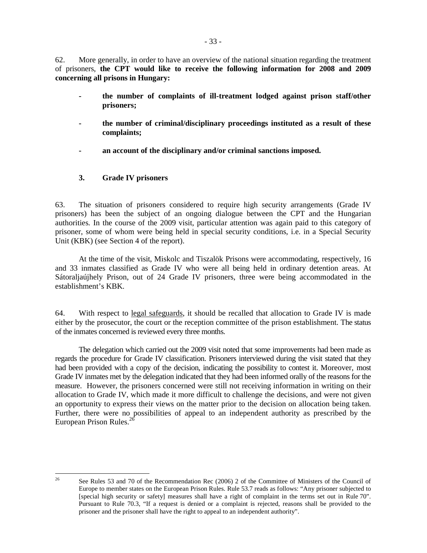62. More generally, in order to have an overview of the national situation regarding the treatment of prisoners, **the CPT would like to receive the following information for 2008 and 2009 concerning all prisons in Hungary:** 

- **the number of complaints of ill-treatment lodged against prison staff/other prisoners;**
- **the number of criminal/disciplinary proceedings instituted as a result of these complaints;**
- **an account of the disciplinary and/or criminal sanctions imposed.**

#### **3. Grade IV prisoners**

63. The situation of prisoners considered to require high security arrangements (Grade IV prisoners) has been the subject of an ongoing dialogue between the CPT and the Hungarian authorities. In the course of the 2009 visit, particular attention was again paid to this category of prisoner, some of whom were being held in special security conditions, i.e. in a Special Security Unit (KBK) (see Section 4 of the report).

 At the time of the visit, Miskolc and Tiszalök Prisons were accommodating, respectively, 16 and 33 inmates classified as Grade IV who were all being held in ordinary detention areas. At Sátoraljaújhely Prison, out of 24 Grade IV prisoners, three were being accommodated in the establishment's KBK.

64. With respect to legal safeguards, it should be recalled that allocation to Grade IV is made either by the prosecutor, the court or the reception committee of the prison establishment. The status of the inmates concerned is reviewed every three months.

 The delegation which carried out the 2009 visit noted that some improvements had been made as regards the procedure for Grade IV classification. Prisoners interviewed during the visit stated that they had been provided with a copy of the decision, indicating the possibility to contest it. Moreover, most Grade IV inmates met by the delegation indicated that they had been informed orally of the reasons for the measure. However, the prisoners concerned were still not receiving information in writing on their allocation to Grade IV, which made it more difficult to challenge the decisions, and were not given an opportunity to express their views on the matter prior to the decision on allocation being taken. Further, there were no possibilities of appeal to an independent authority as prescribed by the European Prison Rules.<sup>26</sup>

 $26$ 

<sup>26</sup> See Rules 53 and 70 of the Recommendation Rec (2006) 2 of the Committee of Ministers of the Council of Europe to member states on the European Prison Rules. Rule 53.7 reads as follows: "Any prisoner subjected to [special high security or safety] measures shall have a right of complaint in the terms set out in Rule 70". Pursuant to Rule 70.3, "If a request is denied or a complaint is rejected, reasons shall be provided to the prisoner and the prisoner shall have the right to appeal to an independent authority".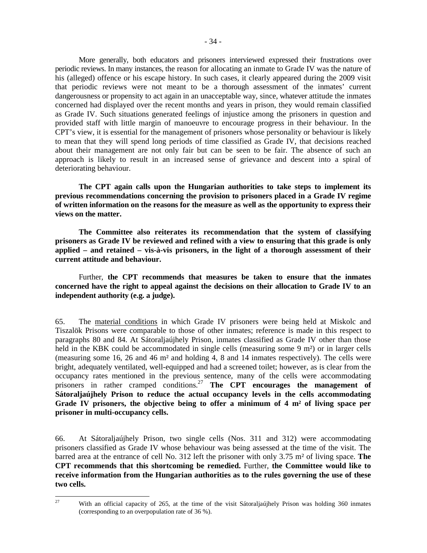More generally, both educators and prisoners interviewed expressed their frustrations over periodic reviews. In many instances, the reason for allocating an inmate to Grade IV was the nature of his (alleged) offence or his escape history. In such cases, it clearly appeared during the 2009 visit that periodic reviews were not meant to be a thorough assessment of the inmates' current dangerousness or propensity to act again in an unacceptable way, since, whatever attitude the inmates concerned had displayed over the recent months and years in prison, they would remain classified as Grade IV. Such situations generated feelings of injustice among the prisoners in question and provided staff with little margin of manoeuvre to encourage progress in their behaviour. In the CPT's view, it is essential for the management of prisoners whose personality or behaviour is likely to mean that they will spend long periods of time classified as Grade IV, that decisions reached about their management are not only fair but can be seen to be fair. The absence of such an approach is likely to result in an increased sense of grievance and descent into a spiral of deteriorating behaviour.

**The CPT again calls upon the Hungarian authorities to take steps to implement its previous recommendations concerning the provision to prisoners placed in a Grade IV regime of written information on the reasons for the measure as well as the opportunity to express their views on the matter.** 

 **The Committee also reiterates its recommendation that the system of classifying prisoners as Grade IV be reviewed and refined with a view to ensuring that this grade is only applied – and retained – vis-à-vis prisoners, in the light of a thorough assessment of their current attitude and behaviour.** 

Further, **the CPT recommends that measures be taken to ensure that the inmates concerned have the right to appeal against the decisions on their allocation to Grade IV to an independent authority (e.g. a judge).** 

65. The material conditions in which Grade IV prisoners were being held at Miskolc and Tiszalök Prisons were comparable to those of other inmates; reference is made in this respect to paragraphs 80 and 84. At Sátoraljaújhely Prison, inmates classified as Grade IV other than those held in the KBK could be accommodated in single cells (measuring some 9 m<sup>2</sup>) or in larger cells (measuring some 16, 26 and 46 m² and holding 4, 8 and 14 inmates respectively). The cells were bright, adequately ventilated, well-equipped and had a screened toilet; however, as is clear from the occupancy rates mentioned in the previous sentence, many of the cells were accommodating prisoners in rather cramped conditions.<sup>27</sup> **The CPT encourages the management of Sátoraljaújhely Prison to reduce the actual occupancy levels in the cells accommodating Grade IV prisoners, the objective being to offer a minimum of 4 m² of living space per prisoner in multi-occupancy cells.**

66. At Sátoraljaújhely Prison, two single cells (Nos. 311 and 312) were accommodating prisoners classified as Grade IV whose behaviour was being assessed at the time of the visit. The barred area at the entrance of cell No. 312 left the prisoner with only 3.75 m² of living space. **The CPT recommends that this shortcoming be remedied.** Further, **the Committee would like to receive information from the Hungarian authorities as to the rules governing the use of these two cells.**

<sup>27</sup> <sup>27</sup> With an official capacity of 265, at the time of the visit Sátoraljaújhely Prison was holding 360 inmates (corresponding to an overpopulation rate of 36 %).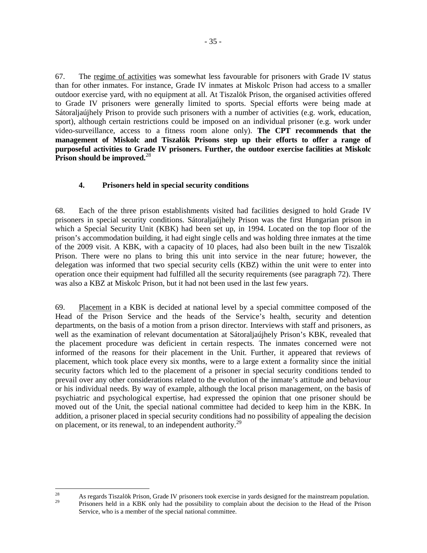67. The regime of activities was somewhat less favourable for prisoners with Grade IV status than for other inmates. For instance, Grade IV inmates at Miskolc Prison had access to a smaller outdoor exercise yard, with no equipment at all. At Tiszalök Prison, the organised activities offered to Grade IV prisoners were generally limited to sports. Special efforts were being made at Sátoraljaújhely Prison to provide such prisoners with a number of activities (e.g. work, education, sport), although certain restrictions could be imposed on an individual prisoner (e.g. work under video-surveillance, access to a fitness room alone only). **The CPT recommends that the management of Miskolc and Tiszalök Prisons step up their efforts to offer a range of purposeful activities to Grade IV prisoners. Further, the outdoor exercise facilities at Miskolc Prison should be improved.**<sup>28</sup>

# **4. Prisoners held in special security conditions**

68. Each of the three prison establishments visited had facilities designed to hold Grade IV prisoners in special security conditions. Sátoraljaújhely Prison was the first Hungarian prison in which a Special Security Unit (KBK) had been set up, in 1994. Located on the top floor of the prison's accommodation building, it had eight single cells and was holding three inmates at the time of the 2009 visit. A KBK, with a capacity of 10 places, had also been built in the new Tiszalök Prison. There were no plans to bring this unit into service in the near future; however, the delegation was informed that two special security cells (KBZ) within the unit were to enter into operation once their equipment had fulfilled all the security requirements (see paragraph 72). There was also a KBZ at Miskolc Prison, but it had not been used in the last few years.

69. Placement in a KBK is decided at national level by a special committee composed of the Head of the Prison Service and the heads of the Service's health, security and detention departments, on the basis of a motion from a prison director. Interviews with staff and prisoners, as well as the examination of relevant documentation at Sátoraljaújhely Prison's KBK, revealed that the placement procedure was deficient in certain respects. The inmates concerned were not informed of the reasons for their placement in the Unit. Further, it appeared that reviews of placement, which took place every six months, were to a large extent a formality since the initial security factors which led to the placement of a prisoner in special security conditions tended to prevail over any other considerations related to the evolution of the inmate's attitude and behaviour or his individual needs. By way of example, although the local prison management, on the basis of psychiatric and psychological expertise, had expressed the opinion that one prisoner should be moved out of the Unit, the special national committee had decided to keep him in the KBK. In addition, a prisoner placed in special security conditions had no possibility of appealing the decision on placement, or its renewal, to an independent authority.<sup>29</sup>

<sup>28</sup> <sup>28</sup> As regards Tiszalök Prison, Grade IV prisoners took exercise in yards designed for the mainstream population. Prisoners held in a KBK only had the possibility to complain about the decision to the Head of the Prison Service, who is a member of the special national committee.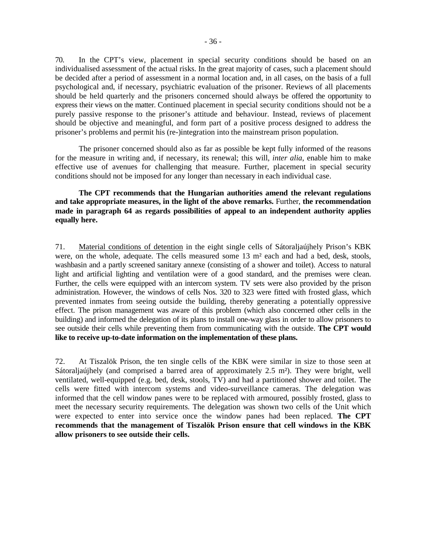70. In the CPT's view, placement in special security conditions should be based on an individualised assessment of the actual risks. In the great majority of cases, such a placement should be decided after a period of assessment in a normal location and, in all cases, on the basis of a full psychological and, if necessary, psychiatric evaluation of the prisoner. Reviews of all placements should be held quarterly and the prisoners concerned should always be offered the opportunity to express their views on the matter. Continued placement in special security conditions should not be a purely passive response to the prisoner's attitude and behaviour. Instead, reviews of placement should be objective and meaningful, and form part of a positive process designed to address the prisoner's problems and permit his (re-)integration into the mainstream prison population.

 The prisoner concerned should also as far as possible be kept fully informed of the reasons for the measure in writing and, if necessary, its renewal; this will, *inter alia*, enable him to make effective use of avenues for challenging that measure. Further, placement in special security conditions should not be imposed for any longer than necessary in each individual case.

 **The CPT recommends that the Hungarian authorities amend the relevant regulations and take appropriate measures, in the light of the above remarks.** Further, **the recommendation made in paragraph 64 as regards possibilities of appeal to an independent authority applies equally here.** 

71. Material conditions of detention in the eight single cells of Sátoraljaújhely Prison's KBK were, on the whole, adequate. The cells measured some 13 m² each and had a bed, desk, stools, washbasin and a partly screened sanitary annexe (consisting of a shower and toilet). Access to natural light and artificial lighting and ventilation were of a good standard, and the premises were clean. Further, the cells were equipped with an intercom system. TV sets were also provided by the prison administration. However, the windows of cells Nos. 320 to 323 were fitted with frosted glass, which prevented inmates from seeing outside the building, thereby generating a potentially oppressive effect. The prison management was aware of this problem (which also concerned other cells in the building) and informed the delegation of its plans to install one-way glass in order to allow prisoners to see outside their cells while preventing them from communicating with the outside. **The CPT would like to receive up-to-date information on the implementation of these plans.**

72. At Tiszalök Prison, the ten single cells of the KBK were similar in size to those seen at Sátoraljaújhely (and comprised a barred area of approximately  $2.5 \text{ m}^2$ ). They were bright, well ventilated, well-equipped (e.g. bed, desk, stools, TV) and had a partitioned shower and toilet. The cells were fitted with intercom systems and video-surveillance cameras. The delegation was informed that the cell window panes were to be replaced with armoured, possibly frosted, glass to meet the necessary security requirements. The delegation was shown two cells of the Unit which were expected to enter into service once the window panes had been replaced. **The CPT recommends that the management of Tiszalök Prison ensure that cell windows in the KBK allow prisoners to see outside their cells.**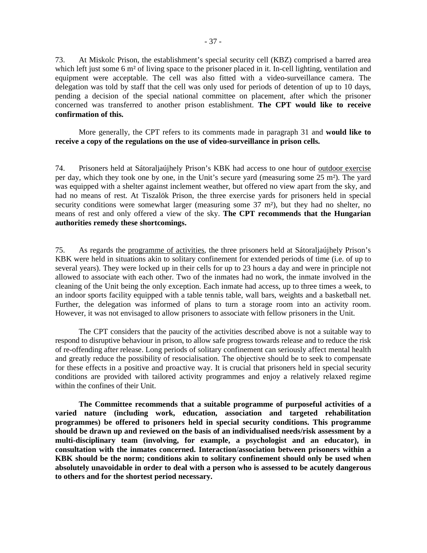73. At Miskolc Prison, the establishment's special security cell (KBZ) comprised a barred area which left just some 6 m<sup>2</sup> of living space to the prisoner placed in it. In-cell lighting, ventilation and equipment were acceptable. The cell was also fitted with a video-surveillance camera. The delegation was told by staff that the cell was only used for periods of detention of up to 10 days, pending a decision of the special national committee on placement, after which the prisoner concerned was transferred to another prison establishment. **The CPT would like to receive confirmation of this.** 

 More generally, the CPT refers to its comments made in paragraph 31 and **would like to receive a copy of the regulations on the use of video-surveillance in prison cells.**

74. Prisoners held at Sátoraljaújhely Prison's KBK had access to one hour of outdoor exercise per day, which they took one by one, in the Unit's secure yard (measuring some 25 m²). The yard was equipped with a shelter against inclement weather, but offered no view apart from the sky, and had no means of rest. At Tiszalök Prison, the three exercise yards for prisoners held in special security conditions were somewhat larger (measuring some 37 m<sup>2</sup>), but they had no shelter, no means of rest and only offered a view of the sky. **The CPT recommends that the Hungarian authorities remedy these shortcomings.**

75. As regards the programme of activities, the three prisoners held at Sátoraljaújhely Prison's KBK were held in situations akin to solitary confinement for extended periods of time (i.e. of up to several years). They were locked up in their cells for up to 23 hours a day and were in principle not allowed to associate with each other. Two of the inmates had no work, the inmate involved in the cleaning of the Unit being the only exception. Each inmate had access, up to three times a week, to an indoor sports facility equipped with a table tennis table, wall bars, weights and a basketball net. Further, the delegation was informed of plans to turn a storage room into an activity room. However, it was not envisaged to allow prisoners to associate with fellow prisoners in the Unit.

 The CPT considers that the paucity of the activities described above is not a suitable way to respond to disruptive behaviour in prison, to allow safe progress towards release and to reduce the risk of re-offending after release. Long periods of solitary confinement can seriously affect mental health and greatly reduce the possibility of resocialisation. The objective should be to seek to compensate for these effects in a positive and proactive way. It is crucial that prisoners held in special security conditions are provided with tailored activity programmes and enjoy a relatively relaxed regime within the confines of their Unit.

**The Committee recommends that a suitable programme of purposeful activities of a varied nature (including work, education, association and targeted rehabilitation programmes) be offered to prisoners held in special security conditions. This programme should be drawn up and reviewed on the basis of an individualised needs/risk assessment by a multi-disciplinary team (involving, for example, a psychologist and an educator), in consultation with the inmates concerned. Interaction/association between prisoners within a KBK should be the norm; conditions akin to solitary confinement should only be used when absolutely unavoidable in order to deal with a person who is assessed to be acutely dangerous to others and for the shortest period necessary.**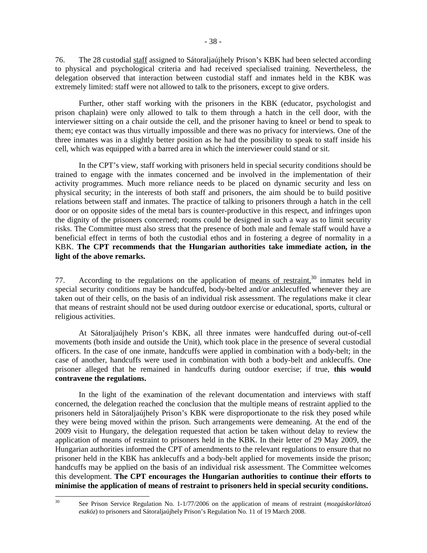76. The 28 custodial staff assigned to Sátoraljaújhely Prison's KBK had been selected according to physical and psychological criteria and had received specialised training. Nevertheless, the delegation observed that interaction between custodial staff and inmates held in the KBK was extremely limited: staff were not allowed to talk to the prisoners, except to give orders.

 Further, other staff working with the prisoners in the KBK (educator, psychologist and prison chaplain) were only allowed to talk to them through a hatch in the cell door, with the interviewer sitting on a chair outside the cell, and the prisoner having to kneel or bend to speak to them; eye contact was thus virtually impossible and there was no privacy for interviews. One of the three inmates was in a slightly better position as he had the possibility to speak to staff inside his cell, which was equipped with a barred area in which the interviewer could stand or sit.

 In the CPT's view, staff working with prisoners held in special security conditions should be trained to engage with the inmates concerned and be involved in the implementation of their activity programmes. Much more reliance needs to be placed on dynamic security and less on physical security; in the interests of both staff and prisoners, the aim should be to build positive relations between staff and inmates. The practice of talking to prisoners through a hatch in the cell door or on opposite sides of the metal bars is counter-productive in this respect, and infringes upon the dignity of the prisoners concerned; rooms could be designed in such a way as to limit security risks. The Committee must also stress that the presence of both male and female staff would have a beneficial effect in terms of both the custodial ethos and in fostering a degree of normality in a KBK. **The CPT recommends that the Hungarian authorities take immediate action, in the light of the above remarks.** 

77. According to the regulations on the application of <u>means of restraint</u>,<sup>30</sup> inmates held in special security conditions may be handcuffed, body-belted and/or anklecuffed whenever they are taken out of their cells, on the basis of an individual risk assessment. The regulations make it clear that means of restraint should not be used during outdoor exercise or educational, sports, cultural or religious activities.

 At Sátoraljaújhely Prison's KBK, all three inmates were handcuffed during out-of-cell movements (both inside and outside the Unit), which took place in the presence of several custodial officers. In the case of one inmate, handcuffs were applied in combination with a body-belt; in the case of another, handcuffs were used in combination with both a body-belt and anklecuffs. One prisoner alleged that he remained in handcuffs during outdoor exercise; if true, **this would contravene the regulations.**

 In the light of the examination of the relevant documentation and interviews with staff concerned, the delegation reached the conclusion that the multiple means of restraint applied to the prisoners held in Sátoraljaújhely Prison's KBK were disproportionate to the risk they posed while they were being moved within the prison. Such arrangements were demeaning. At the end of the 2009 visit to Hungary, the delegation requested that action be taken without delay to review the application of means of restraint to prisoners held in the KBK. In their letter of 29 May 2009, the Hungarian authorities informed the CPT of amendments to the relevant regulations to ensure that no prisoner held in the KBK has anklecuffs and a body-belt applied for movements inside the prison; handcuffs may be applied on the basis of an individual risk assessment. The Committee welcomes this development. **The CPT encourages the Hungarian authorities to continue their efforts to minimise the application of means of restraint to prisoners held in special security conditions.**

 $30<sup>°</sup>$ 

<sup>30</sup> See Prison Service Regulation No. 1-1/77/2006 on the application of means of restraint (*mozgáskorlátozó eszköz*) to prisoners and Sátoraljaújhely Prison's Regulation No. 11 of 19 March 2008.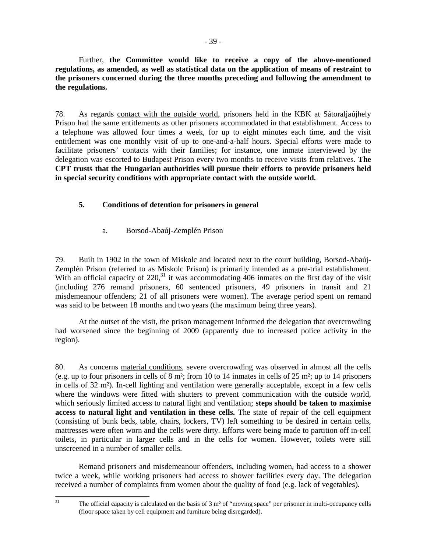Further, **the Committee would like to receive a copy of the above-mentioned regulations, as amended, as well as statistical data on the application of means of restraint to the prisoners concerned during the three months preceding and following the amendment to the regulations.**

78. As regards contact with the outside world, prisoners held in the KBK at Sátoraljaújhely Prison had the same entitlements as other prisoners accommodated in that establishment. Access to a telephone was allowed four times a week, for up to eight minutes each time, and the visit entitlement was one monthly visit of up to one-and-a-half hours. Special efforts were made to facilitate prisoners' contacts with their families; for instance, one inmate interviewed by the delegation was escorted to Budapest Prison every two months to receive visits from relatives. **The CPT trusts that the Hungarian authorities will pursue their efforts to provide prisoners held in special security conditions with appropriate contact with the outside world.**

## **5. Conditions of detention for prisoners in general**

a. Borsod-Abaúj-Zemplén Prison

79. Built in 1902 in the town of Miskolc and located next to the court building, Borsod-Abaúj-Zemplén Prison (referred to as Miskolc Prison) is primarily intended as a pre-trial establishment. With an official capacity of  $220$ ,<sup>31</sup> it was accommodating 406 inmates on the first day of the visit (including 276 remand prisoners, 60 sentenced prisoners, 49 prisoners in transit and 21 misdemeanour offenders; 21 of all prisoners were women). The average period spent on remand was said to be between 18 months and two years (the maximum being three years).

 At the outset of the visit, the prison management informed the delegation that overcrowding had worsened since the beginning of 2009 (apparently due to increased police activity in the region).

80. As concerns material conditions, severe overcrowding was observed in almost all the cells (e.g. up to four prisoners in cells of 8 m²; from 10 to 14 inmates in cells of 25 m²; up to 14 prisoners in cells of 32 m²). In-cell lighting and ventilation were generally acceptable, except in a few cells where the windows were fitted with shutters to prevent communication with the outside world, which seriously limited access to natural light and ventilation; **steps should be taken to maximise access to natural light and ventilation in these cells.** The state of repair of the cell equipment (consisting of bunk beds, table, chairs, lockers, TV) left something to be desired in certain cells, mattresses were often worn and the cells were dirty. Efforts were being made to partition off in-cell toilets, in particular in larger cells and in the cells for women. However, toilets were still unscreened in a number of smaller cells.

 Remand prisoners and misdemeanour offenders, including women, had access to a shower twice a week, while working prisoners had access to shower facilities every day. The delegation received a number of complaints from women about the quality of food (e.g. lack of vegetables).

 $31$ The official capacity is calculated on the basis of  $3 \text{ m}^2$  of "moving space" per prisoner in multi-occupancy cells (floor space taken by cell equipment and furniture being disregarded).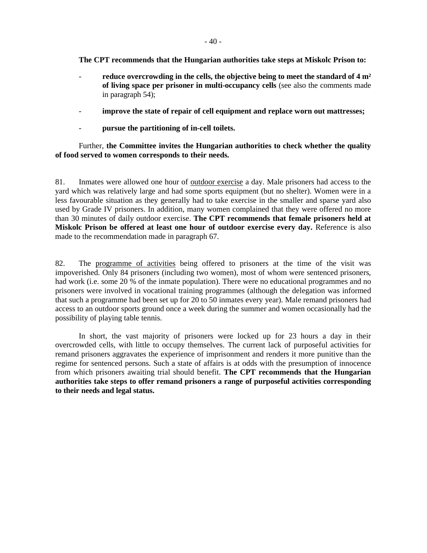**The CPT recommends that the Hungarian authorities take steps at Miskolc Prison to:** 

- reduce overcrowding in the cells, the objective being to meet the standard of 4 m<sup>2</sup> **of living space per prisoner in multi-occupancy cells** (see also the comments made in paragraph 54);
- improve the state of repair of cell equipment and replace worn out mattresses;
- **pursue the partitioning of in-cell toilets.**

## Further, **the Committee invites the Hungarian authorities to check whether the quality of food served to women corresponds to their needs.**

81. Inmates were allowed one hour of outdoor exercise a day. Male prisoners had access to the yard which was relatively large and had some sports equipment (but no shelter). Women were in a less favourable situation as they generally had to take exercise in the smaller and sparse yard also used by Grade IV prisoners. In addition, many women complained that they were offered no more than 30 minutes of daily outdoor exercise. **The CPT recommends that female prisoners held at Miskolc Prison be offered at least one hour of outdoor exercise every day.** Reference is also made to the recommendation made in paragraph 67.

82. The programme of activities being offered to prisoners at the time of the visit was impoverished. Only 84 prisoners (including two women), most of whom were sentenced prisoners, had work (i.e. some 20 % of the inmate population). There were no educational programmes and no prisoners were involved in vocational training programmes (although the delegation was informed that such a programme had been set up for 20 to 50 inmates every year). Male remand prisoners had access to an outdoor sports ground once a week during the summer and women occasionally had the possibility of playing table tennis.

 In short, the vast majority of prisoners were locked up for 23 hours a day in their overcrowded cells, with little to occupy themselves. The current lack of purposeful activities for remand prisoners aggravates the experience of imprisonment and renders it more punitive than the regime for sentenced persons. Such a state of affairs is at odds with the presumption of innocence from which prisoners awaiting trial should benefit. **The CPT recommends that the Hungarian authorities take steps to offer remand prisoners a range of purposeful activities corresponding to their needs and legal status.**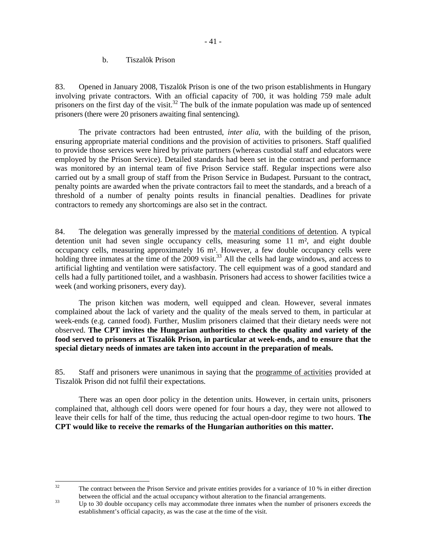## b. Tiszalök Prison

83. Opened in January 2008, Tiszalök Prison is one of the two prison establishments in Hungary involving private contractors. With an official capacity of 700, it was holding 759 male adult prisoners on the first day of the visit.<sup>32</sup> The bulk of the inmate population was made up of sentenced prisoners (there were 20 prisoners awaiting final sentencing).

 The private contractors had been entrusted, *inter alia*, with the building of the prison, ensuring appropriate material conditions and the provision of activities to prisoners. Staff qualified to provide those services were hired by private partners (whereas custodial staff and educators were employed by the Prison Service). Detailed standards had been set in the contract and performance was monitored by an internal team of five Prison Service staff. Regular inspections were also carried out by a small group of staff from the Prison Service in Budapest. Pursuant to the contract, penalty points are awarded when the private contractors fail to meet the standards, and a breach of a threshold of a number of penalty points results in financial penalties. Deadlines for private contractors to remedy any shortcomings are also set in the contract.

84. The delegation was generally impressed by the material conditions of detention. A typical detention unit had seven single occupancy cells, measuring some 11 m², and eight double occupancy cells, measuring approximately 16 m². However, a few double occupancy cells were holding three inmates at the time of the 2009 visit.<sup>33</sup> All the cells had large windows, and access to artificial lighting and ventilation were satisfactory. The cell equipment was of a good standard and cells had a fully partitioned toilet, and a washbasin. Prisoners had access to shower facilities twice a week (and working prisoners, every day).

 The prison kitchen was modern, well equipped and clean. However, several inmates complained about the lack of variety and the quality of the meals served to them, in particular at week-ends (e.g. canned food). Further, Muslim prisoners claimed that their dietary needs were not observed. **The CPT invites the Hungarian authorities to check the quality and variety of the food served to prisoners at Tiszalök Prison, in particular at week-ends, and to ensure that the special dietary needs of inmates are taken into account in the preparation of meals.**

85. Staff and prisoners were unanimous in saying that the programme of activities provided at Tiszalök Prison did not fulfil their expectations.

 There was an open door policy in the detention units. However, in certain units, prisoners complained that, although cell doors were opened for four hours a day, they were not allowed to leave their cells for half of the time, thus reducing the actual open-door regime to two hours. **The CPT would like to receive the remarks of the Hungarian authorities on this matter.** 

 $32$ <sup>32</sup> The contract between the Prison Service and private entities provides for a variance of 10 % in either direction between the official and the actual occupancy without alteration to the financial arrangements.

<sup>&</sup>lt;sup>33</sup> Up to 30 double occupancy cells may accommodate three inmates when the number of prisoners exceeds the establishment's official capacity, as was the case at the time of the visit.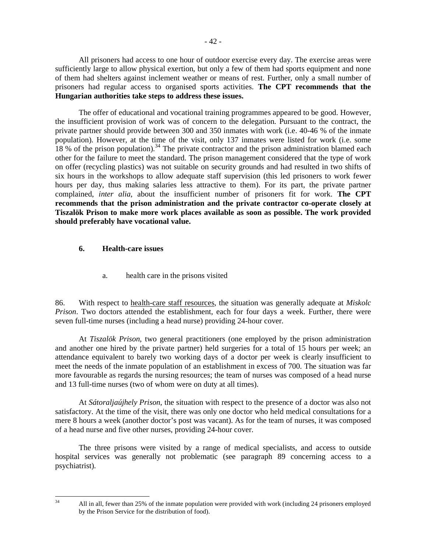All prisoners had access to one hour of outdoor exercise every day. The exercise areas were sufficiently large to allow physical exertion, but only a few of them had sports equipment and none of them had shelters against inclement weather or means of rest. Further, only a small number of prisoners had regular access to organised sports activities. **The CPT recommends that the Hungarian authorities take steps to address these issues.**

 The offer of educational and vocational training programmes appeared to be good. However, the insufficient provision of work was of concern to the delegation. Pursuant to the contract, the private partner should provide between 300 and 350 inmates with work (i.e. 40-46 % of the inmate population). However, at the time of the visit, only 137 inmates were listed for work (i.e. some  $18\%$  of the prison population).<sup>34</sup> The private contractor and the prison administration blamed each other for the failure to meet the standard. The prison management considered that the type of work on offer (recycling plastics) was not suitable on security grounds and had resulted in two shifts of six hours in the workshops to allow adequate staff supervision (this led prisoners to work fewer hours per day, thus making salaries less attractive to them). For its part, the private partner complained, *inter alia*, about the insufficient number of prisoners fit for work. **The CPT recommends that the prison administration and the private contractor co-operate closely at Tiszalök Prison to make more work places available as soon as possible. The work provided should preferably have vocational value.**

## **6. Health-care issues**

a. health care in the prisons visited

86. With respect to health-care staff resources, the situation was generally adequate at *Miskolc Prison*. Two doctors attended the establishment, each for four days a week. Further, there were seven full-time nurses (including a head nurse) providing 24-hour cover.

 At *Tiszalök Prison*, two general practitioners (one employed by the prison administration and another one hired by the private partner) held surgeries for a total of 15 hours per week; an attendance equivalent to barely two working days of a doctor per week is clearly insufficient to meet the needs of the inmate population of an establishment in excess of 700. The situation was far more favourable as regards the nursing resources; the team of nurses was composed of a head nurse and 13 full-time nurses (two of whom were on duty at all times).

 At *Sátoraljaújhely Prison*, the situation with respect to the presence of a doctor was also not satisfactory. At the time of the visit, there was only one doctor who held medical consultations for a mere 8 hours a week (another doctor's post was vacant). As for the team of nurses, it was composed of a head nurse and five other nurses, providing 24-hour cover.

 The three prisons were visited by a range of medical specialists, and access to outside hospital services was generally not problematic (see paragraph 89 concerning access to a psychiatrist).

 $34$ 

<sup>34</sup> All in all, fewer than 25% of the inmate population were provided with work (including 24 prisoners employed by the Prison Service for the distribution of food).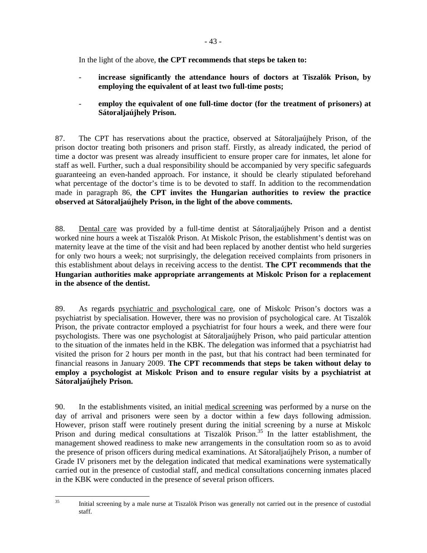- 43 -

In the light of the above, **the CPT recommends that steps be taken to:** 

- increase significantly the attendance hours of doctors at Tiszalök Prison, by **employing the equivalent of at least two full-time posts;**
- employ the equivalent of one full-time doctor (for the treatment of prisoners) at **Sátoraljaújhely Prison.**

87. The CPT has reservations about the practice, observed at Sátoraljaújhely Prison, of the prison doctor treating both prisoners and prison staff. Firstly, as already indicated, the period of time a doctor was present was already insufficient to ensure proper care for inmates, let alone for staff as well. Further, such a dual responsibility should be accompanied by very specific safeguards guaranteeing an even-handed approach. For instance, it should be clearly stipulated beforehand what percentage of the doctor's time is to be devoted to staff. In addition to the recommendation made in paragraph 86, **the CPT invites the Hungarian authorities to review the practice observed at Sátoraljaújhely Prison, in the light of the above comments.**

88. Dental care was provided by a full-time dentist at Sátoraljaújhely Prison and a dentist worked nine hours a week at Tiszalök Prison. At Miskolc Prison, the establishment's dentist was on maternity leave at the time of the visit and had been replaced by another dentist who held surgeries for only two hours a week; not surprisingly, the delegation received complaints from prisoners in this establishment about delays in receiving access to the dentist. **The CPT recommends that the Hungarian authorities make appropriate arrangements at Miskolc Prison for a replacement in the absence of the dentist.** 

89. As regards psychiatric and psychological care, one of Miskolc Prison's doctors was a psychiatrist by specialisation. However, there was no provision of psychological care. At Tiszalök Prison, the private contractor employed a psychiatrist for four hours a week, and there were four psychologists. There was one psychologist at Sátoraljaújhely Prison, who paid particular attention to the situation of the inmates held in the KBK. The delegation was informed that a psychiatrist had visited the prison for 2 hours per month in the past, but that his contract had been terminated for financial reasons in January 2009. **The CPT recommends that steps be taken without delay to employ a psychologist at Miskolc Prison and to ensure regular visits by a psychiatrist at Sátoraljaújhely Prison.**

90. In the establishments visited, an initial medical screening was performed by a nurse on the day of arrival and prisoners were seen by a doctor within a few days following admission. However, prison staff were routinely present during the initial screening by a nurse at Miskolc Prison and during medical consultations at Tiszalök Prison.<sup>35</sup> In the latter establishment, the management showed readiness to make new arrangements in the consultation room so as to avoid the presence of prison officers during medical examinations. At Sátoraljaújhely Prison, a number of Grade IV prisoners met by the delegation indicated that medical examinations were systematically carried out in the presence of custodial staff, and medical consultations concerning inmates placed in the KBK were conducted in the presence of several prison officers.

 $35$ <sup>35</sup> Initial screening by a male nurse at Tiszalök Prison was generally not carried out in the presence of custodial staff.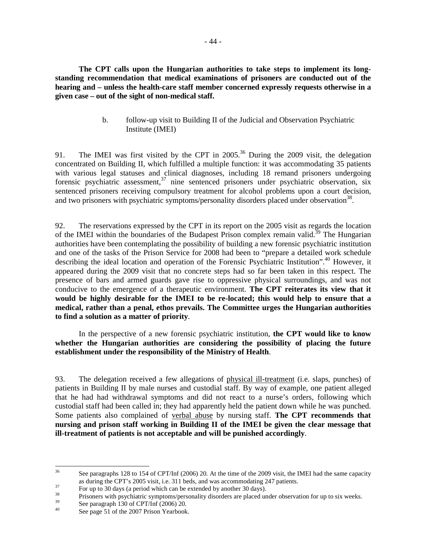**The CPT calls upon the Hungarian authorities to take steps to implement its longstanding recommendation that medical examinations of prisoners are conducted out of the hearing and – unless the health-care staff member concerned expressly requests otherwise in a given case – out of the sight of non-medical staff.**

> b. follow-up visit to Building II of the Judicial and Observation Psychiatric Institute (IMEI)

91. The IMEI was first visited by the CPT in 2005.<sup>36</sup> During the 2009 visit, the delegation concentrated on Building II, which fulfilled a multiple function: it was accommodating 35 patients with various legal statuses and clinical diagnoses, including 18 remand prisoners undergoing forensic psychiatric assessment,  $37$  nine sentenced prisoners under psychiatric observation, six sentenced prisoners receiving compulsory treatment for alcohol problems upon a court decision, and two prisoners with psychiatric symptoms/personality disorders placed under observation<sup>38</sup>.

92. The reservations expressed by the CPT in its report on the 2005 visit as regards the location of the IMEI within the boundaries of the Budapest Prison complex remain valid.<sup>39</sup> The Hungarian authorities have been contemplating the possibility of building a new forensic psychiatric institution and one of the tasks of the Prison Service for 2008 had been to "prepare a detailed work schedule describing the ideal location and operation of the Forensic Psychiatric Institution".<sup>40</sup> However, it appeared during the 2009 visit that no concrete steps had so far been taken in this respect. The presence of bars and armed guards gave rise to oppressive physical surroundings, and was not conducive to the emergence of a therapeutic environment. **The CPT reiterates its view that it would be highly desirable for the IMEI to be re-located; this would help to ensure that a medical, rather than a penal, ethos prevails. The Committee urges the Hungarian authorities to find a solution as a matter of priority**.

 In the perspective of a new forensic psychiatric institution, **the CPT would like to know whether the Hungarian authorities are considering the possibility of placing the future establishment under the responsibility of the Ministry of Health**.

93. The delegation received a few allegations of physical ill-treatment (i.e. slaps, punches) of patients in Building II by male nurses and custodial staff. By way of example, one patient alleged that he had had withdrawal symptoms and did not react to a nurse's orders, following which custodial staff had been called in; they had apparently held the patient down while he was punched. Some patients also complained of verbal abuse by nursing staff. **The CPT recommends that nursing and prison staff working in Building II of the IMEI be given the clear message that ill-treatment of patients is not acceptable and will be punished accordingly**.

<sup>36</sup> See paragraphs 128 to 154 of CPT/Inf (2006) 20. At the time of the 2009 visit, the IMEI had the same capacity as during the CPT's 2005 visit, i.e. 311 beds, and was accommodating 247 patients.

<sup>&</sup>lt;sup>37</sup> For up to 30 days (a period which can be extended by another 30 days).

<sup>&</sup>lt;sup>38</sup> Prisoners with psychiatric symptoms/personality disorders are placed under observation for up to six weeks.

 $^{39}$  See paragraph 130 of CPT/Inf (2006) 20.

See page 51 of the 2007 Prison Yearbook.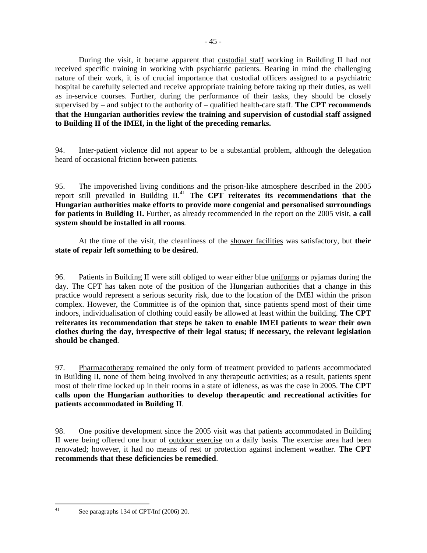During the visit, it became apparent that custodial staff working in Building II had not received specific training in working with psychiatric patients. Bearing in mind the challenging nature of their work, it is of crucial importance that custodial officers assigned to a psychiatric hospital be carefully selected and receive appropriate training before taking up their duties, as well as in-service courses. Further, during the performance of their tasks, they should be closely supervised by – and subject to the authority of – qualified health-care staff. **The CPT recommends that the Hungarian authorities review the training and supervision of custodial staff assigned to Building II of the IMEI, in the light of the preceding remarks.** 

94. Inter-patient violence did not appear to be a substantial problem, although the delegation heard of occasional friction between patients.

95. The impoverished living conditions and the prison-like atmosphere described in the 2005 report still prevailed in Building II.<sup>41</sup> The CPT reiterates its recommendations that the **Hungarian authorities make efforts to provide more congenial and personalised surroundings for patients in Building II.** Further, as already recommended in the report on the 2005 visit, **a call system should be installed in all rooms**.

 At the time of the visit, the cleanliness of the shower facilities was satisfactory, but **their state of repair left something to be desired**.

96. Patients in Building II were still obliged to wear either blue uniforms or pyjamas during the day. The CPT has taken note of the position of the Hungarian authorities that a change in this practice would represent a serious security risk, due to the location of the IMEI within the prison complex. However, the Committee is of the opinion that, since patients spend most of their time indoors, individualisation of clothing could easily be allowed at least within the building. **The CPT reiterates its recommendation that steps be taken to enable IMEI patients to wear their own clothes during the day, irrespective of their legal status; if necessary, the relevant legislation should be changed**.

97. Pharmacotherapy remained the only form of treatment provided to patients accommodated in Building II, none of them being involved in any therapeutic activities; as a result, patients spent most of their time locked up in their rooms in a state of idleness, as was the case in 2005. **The CPT calls upon the Hungarian authorities to develop therapeutic and recreational activities for patients accommodated in Building II**.

98. One positive development since the 2005 visit was that patients accommodated in Building II were being offered one hour of outdoor exercise on a daily basis. The exercise area had been renovated; however, it had no means of rest or protection against inclement weather. **The CPT recommends that these deficiencies be remedied**.

 $41$ 

See paragraphs 134 of CPT/Inf (2006) 20.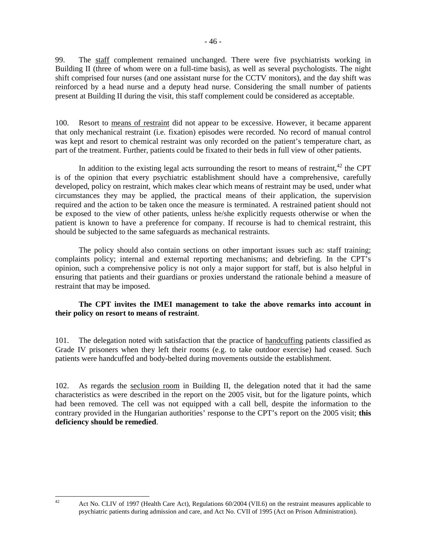99. The staff complement remained unchanged. There were five psychiatrists working in Building II (three of whom were on a full-time basis), as well as several psychologists. The night shift comprised four nurses (and one assistant nurse for the CCTV monitors), and the day shift was reinforced by a head nurse and a deputy head nurse. Considering the small number of patients present at Building II during the visit, this staff complement could be considered as acceptable.

100. Resort to means of restraint did not appear to be excessive. However, it became apparent that only mechanical restraint (i.e. fixation) episodes were recorded. No record of manual control was kept and resort to chemical restraint was only recorded on the patient's temperature chart, as part of the treatment. Further, patients could be fixated to their beds in full view of other patients.

In addition to the existing legal acts surrounding the resort to means of restraint, $42$  the CPT is of the opinion that every psychiatric establishment should have a comprehensive, carefully developed, policy on restraint, which makes clear which means of restraint may be used, under what circumstances they may be applied, the practical means of their application, the supervision required and the action to be taken once the measure is terminated. A restrained patient should not be exposed to the view of other patients, unless he/she explicitly requests otherwise or when the patient is known to have a preference for company. If recourse is had to chemical restraint, this should be subjected to the same safeguards as mechanical restraints.

 The policy should also contain sections on other important issues such as: staff training; complaints policy; internal and external reporting mechanisms; and debriefing. In the CPT's opinion, such a comprehensive policy is not only a major support for staff, but is also helpful in ensuring that patients and their guardians or proxies understand the rationale behind a measure of restraint that may be imposed.

## **The CPT invites the IMEI management to take the above remarks into account in their policy on resort to means of restraint**.

101. The delegation noted with satisfaction that the practice of handcuffing patients classified as Grade IV prisoners when they left their rooms (e.g. to take outdoor exercise) had ceased. Such patients were handcuffed and body-belted during movements outside the establishment.

102. As regards the seclusion room in Building II, the delegation noted that it had the same characteristics as were described in the report on the 2005 visit, but for the ligature points, which had been removed. The cell was not equipped with a call bell, despite the information to the contrary provided in the Hungarian authorities' response to the CPT's report on the 2005 visit; **this deficiency should be remedied**.

 $42$ 

Act No. CLIV of 1997 (Health Care Act), Regulations 60/2004 (VII.6) on the restraint measures applicable to psychiatric patients during admission and care, and Act No. CVII of 1995 (Act on Prison Administration).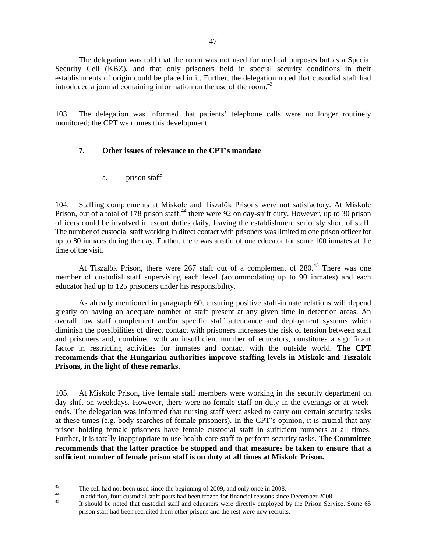The delegation was told that the room was not used for medical purposes but as a Special Security Cell (KBZ), and that only prisoners held in special security conditions in their establishments of origin could be placed in it. Further, the delegation noted that custodial staff had introduced a journal containing information on the use of the room.<sup>43</sup>

103. The delegation was informed that patients' telephone calls were no longer routinely monitored; the CPT welcomes this development.

## **7. Other issues of relevance to the CPT's mandate**

a. prison staff

104. Staffing complements at Miskolc and Tiszalök Prisons were not satisfactory. At Miskolc Prison, out of a total of 178 prison staff,<sup>44</sup> there were 92 on day-shift duty. However, up to 30 prison officers could be involved in escort duties daily, leaving the establishment seriously short of staff. The number of custodial staff working in direct contact with prisoners was limited to one prison officer for up to 80 inmates during the day. Further, there was a ratio of one educator for some 100 inmates at the time of the visit.

At Tiszalök Prison, there were  $267$  staff out of a complement of  $280<sup>45</sup>$  There was one member of custodial staff supervising each level (accommodating up to 90 inmates) and each educator had up to 125 prisoners under his responsibility.

 As already mentioned in paragraph 60, ensuring positive staff-inmate relations will depend greatly on having an adequate number of staff present at any given time in detention areas. An overall low staff complement and/or specific staff attendance and deployment systems which diminish the possibilities of direct contact with prisoners increases the risk of tension between staff and prisoners and, combined with an insufficient number of educators, constitutes a significant factor in restricting activities for inmates and contact with the outside world. **The CPT recommends that the Hungarian authorities improve staffing levels in Miskolc and Tiszalök Prisons, in the light of these remarks.** 

105. At Miskolc Prison, five female staff members were working in the security department on day shift on weekdays. However, there were no female staff on duty in the evenings or at weekends. The delegation was informed that nursing staff were asked to carry out certain security tasks at these times (e.g. body searches of female prisoners). In the CPT's opinion, it is crucial that any prison holding female prisoners have female custodial staff in sufficient numbers at all times. Further, it is totally inappropriate to use health-care staff to perform security tasks. **The Committee recommends that the latter practice be stopped and that measures be taken to ensure that a sufficient number of female prison staff is on duty at all times at Miskolc Prison.** 

 $43$  $^{43}$  The cell had not been used since the beginning of 2009, and only once in 2008.

 $\frac{44}{15}$  In addition, four custodial staff posts had been frozen for financial reasons since December 2008.

It should be noted that custodial staff and educators were directly employed by the Prison Service. Some 65 prison staff had been recruited from other prisons and the rest were new recruits.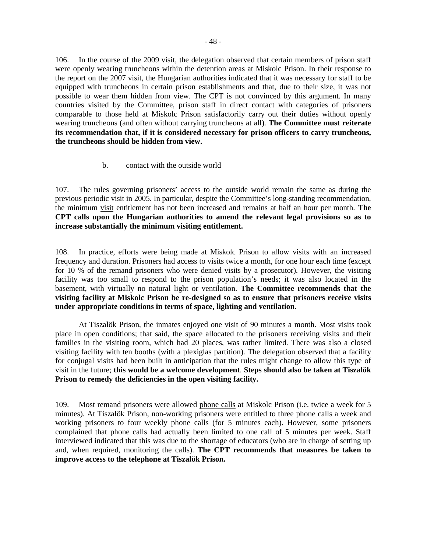106. In the course of the 2009 visit, the delegation observed that certain members of prison staff were openly wearing truncheons within the detention areas at Miskolc Prison. In their response to the report on the 2007 visit, the Hungarian authorities indicated that it was necessary for staff to be equipped with truncheons in certain prison establishments and that, due to their size, it was not possible to wear them hidden from view. The CPT is not convinced by this argument. In many countries visited by the Committee, prison staff in direct contact with categories of prisoners comparable to those held at Miskolc Prison satisfactorily carry out their duties without openly wearing truncheons (and often without carrying truncheons at all). **The Committee must reiterate its recommendation that, if it is considered necessary for prison officers to carry truncheons, the truncheons should be hidden from view.** 

b. contact with the outside world

107. The rules governing prisoners' access to the outside world remain the same as during the previous periodic visit in 2005. In particular, despite the Committee's long-standing recommendation, the minimum visit entitlement has not been increased and remains at half an hour per month. **The CPT calls upon the Hungarian authorities to amend the relevant legal provisions so as to increase substantially the minimum visiting entitlement.** 

108. In practice, efforts were being made at Miskolc Prison to allow visits with an increased frequency and duration. Prisoners had access to visits twice a month, for one hour each time (except for 10 % of the remand prisoners who were denied visits by a prosecutor). However, the visiting facility was too small to respond to the prison population's needs; it was also located in the basement, with virtually no natural light or ventilation. **The Committee recommends that the visiting facility at Miskolc Prison be re-designed so as to ensure that prisoners receive visits under appropriate conditions in terms of space, lighting and ventilation.**

 At Tiszalök Prison, the inmates enjoyed one visit of 90 minutes a month. Most visits took place in open conditions; that said, the space allocated to the prisoners receiving visits and their families in the visiting room, which had 20 places, was rather limited. There was also a closed visiting facility with ten booths (with a plexiglas partition). The delegation observed that a facility for conjugal visits had been built in anticipation that the rules might change to allow this type of visit in the future; **this would be a welcome development**. **Steps should also be taken at Tiszalök Prison to remedy the deficiencies in the open visiting facility.** 

109. Most remand prisoners were allowed phone calls at Miskolc Prison (i.e. twice a week for 5 minutes). At Tiszalök Prison, non-working prisoners were entitled to three phone calls a week and working prisoners to four weekly phone calls (for 5 minutes each). However, some prisoners complained that phone calls had actually been limited to one call of 5 minutes per week. Staff interviewed indicated that this was due to the shortage of educators (who are in charge of setting up and, when required, monitoring the calls). **The CPT recommends that measures be taken to improve access to the telephone at Tiszalök Prison.**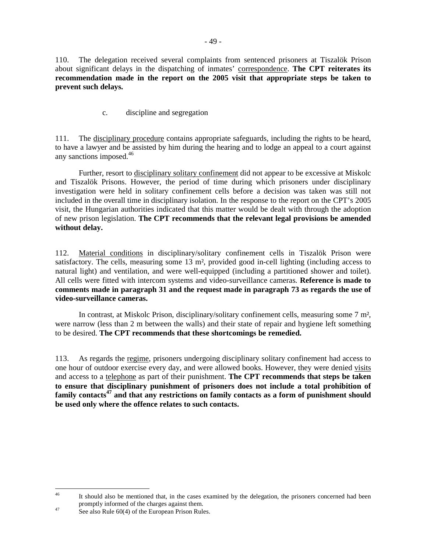110. The delegation received several complaints from sentenced prisoners at Tiszalök Prison about significant delays in the dispatching of inmates' correspondence. **The CPT reiterates its recommendation made in the report on the 2005 visit that appropriate steps be taken to prevent such delays.** 

c. discipline and segregation

111. The disciplinary procedure contains appropriate safeguards, including the rights to be heard, to have a lawyer and be assisted by him during the hearing and to lodge an appeal to a court against any sanctions imposed.<sup>46</sup>

 Further, resort to disciplinary solitary confinement did not appear to be excessive at Miskolc and Tiszalök Prisons. However, the period of time during which prisoners under disciplinary investigation were held in solitary confinement cells before a decision was taken was still not included in the overall time in disciplinary isolation. In the response to the report on the CPT's 2005 visit, the Hungarian authorities indicated that this matter would be dealt with through the adoption of new prison legislation. **The CPT recommends that the relevant legal provisions be amended without delay.**

112. Material conditions in disciplinary/solitary confinement cells in Tiszalök Prison were satisfactory. The cells, measuring some 13 m<sup>2</sup>, provided good in-cell lighting (including access to natural light) and ventilation, and were well-equipped (including a partitioned shower and toilet). All cells were fitted with intercom systems and video-surveillance cameras. **Reference is made to comments made in paragraph 31 and the request made in paragraph 73 as regards the use of video-surveillance cameras.**

 In contrast, at Miskolc Prison, disciplinary/solitary confinement cells, measuring some 7 m², were narrow (less than 2 m between the walls) and their state of repair and hygiene left something to be desired. **The CPT recommends that these shortcomings be remedied.**

113. As regards the regime, prisoners undergoing disciplinary solitary confinement had access to one hour of outdoor exercise every day, and were allowed books. However, they were denied visits and access to a telephone as part of their punishment. **The CPT recommends that steps be taken to ensure that disciplinary punishment of prisoners does not include a total prohibition of family contacts<sup>47</sup> and that any restrictions on family contacts as a form of punishment should be used only where the offence relates to such contacts.** 

 $46$ It should also be mentioned that, in the cases examined by the delegation, the prisoners concerned had been promptly informed of the charges against them.

<sup>47</sup> See also Rule 60(4) of the European Prison Rules.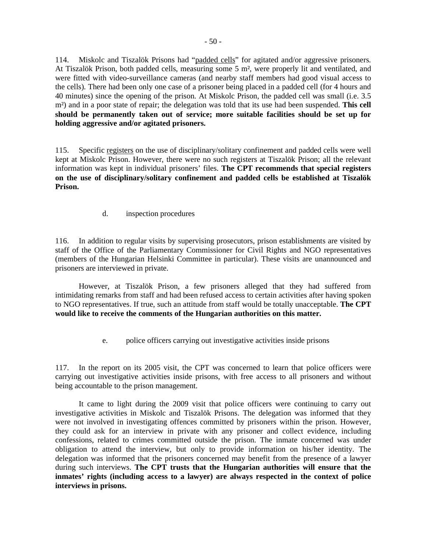114. Miskolc and Tiszalök Prisons had "padded cells" for agitated and/or aggressive prisoners. At Tiszalök Prison, both padded cells, measuring some 5 m², were properly lit and ventilated, and were fitted with video-surveillance cameras (and nearby staff members had good visual access to the cells). There had been only one case of a prisoner being placed in a padded cell (for 4 hours and 40 minutes) since the opening of the prison. At Miskolc Prison, the padded cell was small (i.e. 3.5 m<sup>2</sup>) and in a poor state of repair; the delegation was told that its use had been suspended. **This cell should be permanently taken out of service; more suitable facilities should be set up for holding aggressive and/or agitated prisoners.** 

115. Specific registers on the use of disciplinary/solitary confinement and padded cells were well kept at Miskolc Prison. However, there were no such registers at Tiszalök Prison; all the relevant information was kept in individual prisoners' files. **The CPT recommends that special registers on the use of disciplinary/solitary confinement and padded cells be established at Tiszalök Prison.**

d. inspection procedures

116. In addition to regular visits by supervising prosecutors, prison establishments are visited by staff of the Office of the Parliamentary Commissioner for Civil Rights and NGO representatives (members of the Hungarian Helsinki Committee in particular). These visits are unannounced and prisoners are interviewed in private.

 However, at Tiszalök Prison, a few prisoners alleged that they had suffered from intimidating remarks from staff and had been refused access to certain activities after having spoken to NGO representatives. If true, such an attitude from staff would be totally unacceptable. **The CPT would like to receive the comments of the Hungarian authorities on this matter.**

e. police officers carrying out investigative activities inside prisons

117. In the report on its 2005 visit, the CPT was concerned to learn that police officers were carrying out investigative activities inside prisons, with free access to all prisoners and without being accountable to the prison management.

 It came to light during the 2009 visit that police officers were continuing to carry out investigative activities in Miskolc and Tiszalök Prisons. The delegation was informed that they were not involved in investigating offences committed by prisoners within the prison. However, they could ask for an interview in private with any prisoner and collect evidence, including confessions, related to crimes committed outside the prison. The inmate concerned was under obligation to attend the interview, but only to provide information on his/her identity. The delegation was informed that the prisoners concerned may benefit from the presence of a lawyer during such interviews. **The CPT trusts that the Hungarian authorities will ensure that the inmates' rights (including access to a lawyer) are always respected in the context of police interviews in prisons.**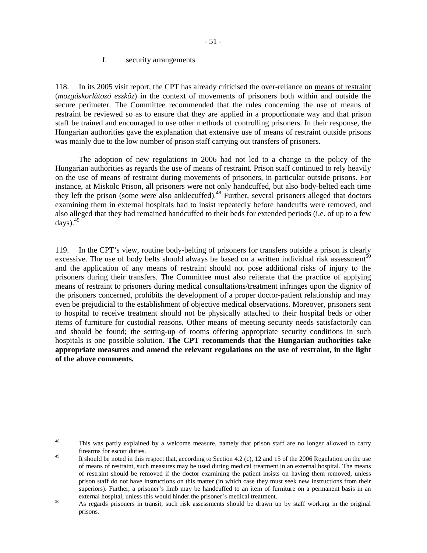#### f. security arrangements

118. In its 2005 visit report, the CPT has already criticised the over-reliance on means of restraint (*mozgáskorlátozó eszköz*) in the context of movements of prisoners both within and outside the secure perimeter. The Committee recommended that the rules concerning the use of means of restraint be reviewed so as to ensure that they are applied in a proportionate way and that prison staff be trained and encouraged to use other methods of controlling prisoners. In their response, the Hungarian authorities gave the explanation that extensive use of means of restraint outside prisons was mainly due to the low number of prison staff carrying out transfers of prisoners.

 The adoption of new regulations in 2006 had not led to a change in the policy of the Hungarian authorities as regards the use of means of restraint. Prison staff continued to rely heavily on the use of means of restraint during movements of prisoners, in particular outside prisons. For instance, at Miskolc Prison, all prisoners were not only handcuffed, but also body-belted each time they left the prison (some were also anklecuffed).<sup>48</sup> Further, several prisoners alleged that doctors examining them in external hospitals had to insist repeatedly before handcuffs were removed, and also alleged that they had remained handcuffed to their beds for extended periods (i.e. of up to a few  $\frac{days}{1.49}$ 

119. In the CPT's view, routine body-belting of prisoners for transfers outside a prison is clearly excessive. The use of body belts should always be based on a written individual risk assessment<sup>50</sup> and the application of any means of restraint should not pose additional risks of injury to the prisoners during their transfers. The Committee must also reiterate that the practice of applying means of restraint to prisoners during medical consultations/treatment infringes upon the dignity of the prisoners concerned, prohibits the development of a proper doctor-patient relationship and may even be prejudicial to the establishment of objective medical observations. Moreover, prisoners sent to hospital to receive treatment should not be physically attached to their hospital beds or other items of furniture for custodial reasons. Other means of meeting security needs satisfactorily can and should be found; the setting-up of rooms offering appropriate security conditions in such hospitals is one possible solution. **The CPT recommends that the Hungarian authorities take appropriate measures and amend the relevant regulations on the use of restraint, in the light of the above comments.**

 $48$ This was partly explained by a welcome measure, namely that prison staff are no longer allowed to carry firearms for escort duties.

<sup>&</sup>lt;sup>49</sup> It should be noted in this respect that, according to Section 4.2 (c), 12 and 15 of the 2006 Regulation on the use of means of restraint, such measures may be used during medical treatment in an external hospital. The means of restraint should be removed if the doctor examining the patient insists on having them removed, unless prison staff do not have instructions on this matter (in which case they must seek new instructions from their superiors). Further, a prisoner's limb may be handcuffed to an item of furniture on a permanent basis in an external hospital, unless this would hinder the prisoner's medical treatment.

<sup>&</sup>lt;sup>50</sup> As regards prisoners in transit, such risk assessments should be drawn up by staff working in the original prisons.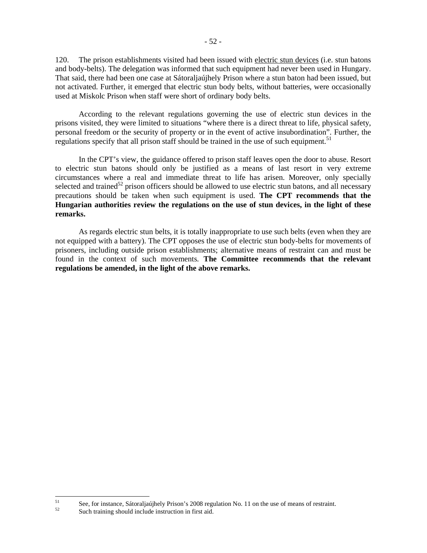120. The prison establishments visited had been issued with electric stun devices (i.e. stun batons and body-belts). The delegation was informed that such equipment had never been used in Hungary. That said, there had been one case at Sátoraljaújhely Prison where a stun baton had been issued, but not activated. Further, it emerged that electric stun body belts, without batteries, were occasionally used at Miskolc Prison when staff were short of ordinary body belts.

 According to the relevant regulations governing the use of electric stun devices in the prisons visited, they were limited to situations "where there is a direct threat to life, physical safety, personal freedom or the security of property or in the event of active insubordination". Further, the regulations specify that all prison staff should be trained in the use of such equipment.<sup>51</sup>

 In the CPT's view, the guidance offered to prison staff leaves open the door to abuse. Resort to electric stun batons should only be justified as a means of last resort in very extreme circumstances where a real and immediate threat to life has arisen. Moreover, only specially selected and trained<sup>52</sup> prison officers should be allowed to use electric stun batons, and all necessary precautions should be taken when such equipment is used. **The CPT recommends that the Hungarian authorities review the regulations on the use of stun devices, in the light of these remarks.** 

 As regards electric stun belts, it is totally inappropriate to use such belts (even when they are not equipped with a battery). The CPT opposes the use of electric stun body-belts for movements of prisoners, including outside prison establishments; alternative means of restraint can and must be found in the context of such movements. **The Committee recommends that the relevant regulations be amended, in the light of the above remarks.**

 $51$ <sup>51</sup> See, for instance, Sátoraljaújhely Prison's 2008 regulation No. 11 on the use of means of restraint.

Such training should include instruction in first aid.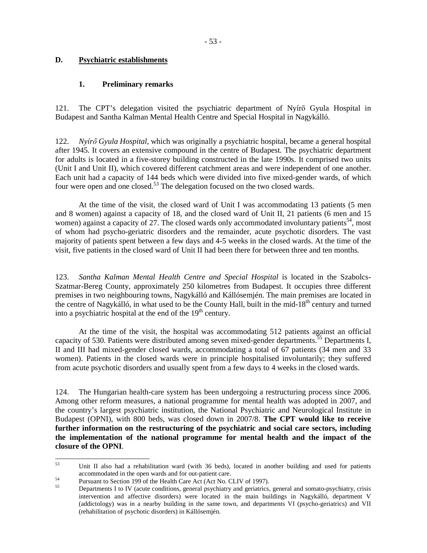# **D. Psychiatric establishments**

# **1. Preliminary remarks**

121. The CPT's delegation visited the psychiatric department of Nyírő Gyula Hospital in Budapest and Santha Kalman Mental Health Centre and Special Hospital in Nagykálló.

122. *Nyírő Gyula Hospital*, which was originally a psychiatric hospital, became a general hospital after 1945. It covers an extensive compound in the centre of Budapest. The psychiatric department for adults is located in a five-storey building constructed in the late 1990s. It comprised two units (Unit I and Unit II), which covered different catchment areas and were independent of one another. Each unit had a capacity of 144 beds which were divided into five mixed-gender wards, of which four were open and one closed.<sup>53</sup> The delegation focused on the two closed wards.

 At the time of the visit, the closed ward of Unit I was accommodating 13 patients (5 men and 8 women) against a capacity of 18, and the closed ward of Unit II, 21 patients (6 men and 15 women) against a capacity of 27. The closed wards only accommodated involuntary patients<sup>54</sup>, most of whom had psycho-geriatric disorders and the remainder, acute psychotic disorders. The vast majority of patients spent between a few days and 4-5 weeks in the closed wards. At the time of the visit, five patients in the closed ward of Unit II had been there for between three and ten months.

123. *Santha Kalman Mental Health Centre and Special Hospital* is located in the Szabolcs-Szatmar-Bereg County, approximately 250 kilometres from Budapest. It occupies three different premises in two neighbouring towns, Nagykálló and Kállósemjén. The main premises are located in the centre of Nagykálló, in what used to be the County Hall, built in the mid- $18<sup>th</sup>$  century and turned into a psychiatric hospital at the end of the  $19<sup>th</sup>$  century.

 At the time of the visit, the hospital was accommodating 512 patients against an official capacity of 530. Patients were distributed among seven mixed-gender departments.<sup>55</sup> Departments I, II and III had mixed-gender closed wards, accommodating a total of 67 patients (34 men and 33 women). Patients in the closed wards were in principle hospitalised involuntarily; they suffered from acute psychotic disorders and usually spent from a few days to 4 weeks in the closed wards.

124. The Hungarian health-care system has been undergoing a restructuring process since 2006. Among other reform measures, a national programme for mental health was adopted in 2007, and the country's largest psychiatric institution, the National Psychiatric and Neurological Institute in Budapest (OPNI), with 800 beds, was closed down in 2007/8. **The CPT would like to receive further information on the restructuring of the psychiatric and social care sectors, including the implementation of the national programme for mental health and the impact of the closure of the OPNI**.

<sup>53</sup> Unit II also had a rehabilitation ward (with 36 beds), located in another building and used for patients accommodated in the open wards and for out-patient care.

 $54$  Pursuant to Section 199 of the Health Care Act (Act No. CLIV of 1997).<br>Pursuant to Section 199 of the Health Care Act (Act No. CLIV of 1997).

<sup>55</sup> Departments I to IV (acute conditions, general psychiatry and geriatrics, general and somato-psychiatry, crisis intervention and affective disorders) were located in the main buildings in Nagykálló, department V (addictology) was in a nearby building in the same town, and departments VI (psycho-geriatrics) and VII (rehabilitation of psychotic disorders) in Kállósemjén.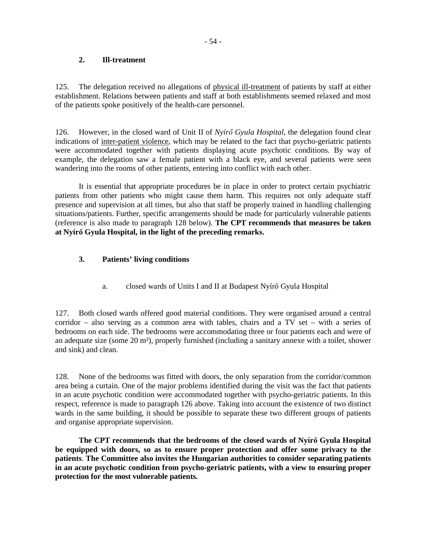## **2. Ill-treatment**

125. The delegation received no allegations of physical ill-treatment of patients by staff at either establishment. Relations between patients and staff at both establishments seemed relaxed and most of the patients spoke positively of the health-care personnel.

126. However, in the closed ward of Unit II of *Nytro Gyula Hospital*, the delegation found clear indications of inter-patient violence, which may be related to the fact that psycho-geriatric patients were accommodated together with patients displaying acute psychotic conditions. By way of example, the delegation saw a female patient with a black eye, and several patients were seen wandering into the rooms of other patients, entering into conflict with each other.

 It is essential that appropriate procedures be in place in order to protect certain psychiatric patients from other patients who might cause them harm. This requires not only adequate staff presence and supervision at all times, but also that staff be properly trained in handling challenging situations/patients. Further, specific arrangements should be made for particularly vulnerable patients (reference is also made to paragraph 128 below). **The CPT recommends that measures be taken at Nyír**ı **Gyula Hospital, in the light of the preceding remarks.** 

# **3. Patients' living conditions**

a. closed wards of Units I and II at Budapest Nyírő Gyula Hospital

127. Both closed wards offered good material conditions. They were organised around a central corridor – also serving as a common area with tables, chairs and a TV set – with a series of bedrooms on each side. The bedrooms were accommodating three or four patients each and were of an adequate size (some 20 m²), properly furnished (including a sanitary annexe with a toilet, shower and sink) and clean.

128. None of the bedrooms was fitted with doors, the only separation from the corridor/common area being a curtain. One of the major problems identified during the visit was the fact that patients in an acute psychotic condition were accommodated together with psycho-geriatric patients. In this respect, reference is made to paragraph 126 above. Taking into account the existence of two distinct wards in the same building, it should be possible to separate these two different groups of patients and organise appropriate supervision.

 **The CPT recommends that the bedrooms of the closed wards of Nyír**ı **Gyula Hospital be equipped with doors, so as to ensure proper protection and offer some privacy to the patients**. **The Committee also invites the Hungarian authorities to consider separating patients in an acute psychotic condition from psycho-geriatric patients, with a view to ensuring proper protection for the most vulnerable patients.**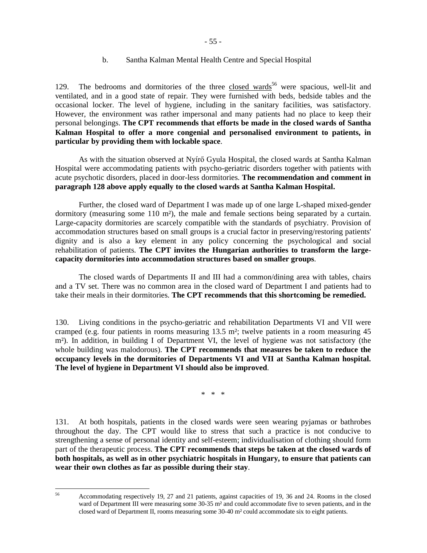## b. Santha Kalman Mental Health Centre and Special Hospital

129. The bedrooms and dormitories of the three closed wards<sup>56</sup> were spacious, well-lit and ventilated, and in a good state of repair. They were furnished with beds, bedside tables and the occasional locker. The level of hygiene, including in the sanitary facilities, was satisfactory. However, the environment was rather impersonal and many patients had no place to keep their personal belongings. **The CPT recommends that efforts be made in the closed wards of Santha Kalman Hospital to offer a more congenial and personalised environment to patients, in particular by providing them with lockable space**.

As with the situation observed at Nyírő Gyula Hospital, the closed wards at Santha Kalman Hospital were accommodating patients with psycho-geriatric disorders together with patients with acute psychotic disorders, placed in door-less dormitories. **The recommendation and comment in paragraph 128 above apply equally to the closed wards at Santha Kalman Hospital.** 

 Further, the closed ward of Department I was made up of one large L-shaped mixed-gender dormitory (measuring some  $110 \text{ m}^2$ ), the male and female sections being separated by a curtain. Large-capacity dormitories are scarcely compatible with the standards of psychiatry. Provision of accommodation structures based on small groups is a crucial factor in preserving/restoring patients' dignity and is also a key element in any policy concerning the psychological and social rehabilitation of patients. **The CPT invites the Hungarian authorities to transform the largecapacity dormitories into accommodation structures based on smaller groups**.

 The closed wards of Departments II and III had a common/dining area with tables, chairs and a TV set. There was no common area in the closed ward of Department I and patients had to take their meals in their dormitories. **The CPT recommends that this shortcoming be remedied.** 

130. Living conditions in the psycho-geriatric and rehabilitation Departments VI and VII were cramped (e.g. four patients in rooms measuring 13.5 m²; twelve patients in a room measuring 45 m²). In addition, in building I of Department VI, the level of hygiene was not satisfactory (the whole building was malodorous). **The CPT recommends that measures be taken to reduce the occupancy levels in the dormitories of Departments VI and VII at Santha Kalman hospital. The level of hygiene in Department VI should also be improved**.

\* \* \*

131. At both hospitals, patients in the closed wards were seen wearing pyjamas or bathrobes throughout the day. The CPT would like to stress that such a practice is not conducive to strengthening a sense of personal identity and self-esteem; individualisation of clothing should form part of the therapeutic process. **The CPT recommends that steps be taken at the closed wards of both hospitals, as well as in other psychiatric hospitals in Hungary, to ensure that patients can wear their own clothes as far as possible during their stay**.

<sup>56</sup> 

<sup>56</sup> Accommodating respectively 19, 27 and 21 patients, against capacities of 19, 36 and 24. Rooms in the closed ward of Department III were measuring some 30-35 m<sup>2</sup> and could accommodate five to seven patients, and in the closed ward of Department II, rooms measuring some 30-40 m² could accommodate six to eight patients.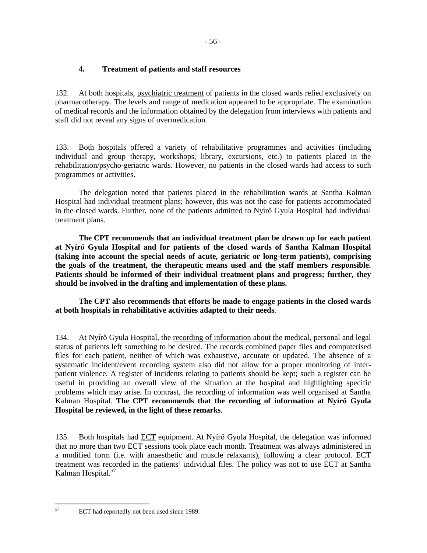# **4. Treatment of patients and staff resources**

132. At both hospitals, psychiatric treatment of patients in the closed wards relied exclusively on pharmacotherapy. The levels and range of medication appeared to be appropriate. The examination of medical records and the information obtained by the delegation from interviews with patients and staff did not reveal any signs of overmedication.

133. Both hospitals offered a variety of rehabilitative programmes and activities (including individual and group therapy, workshops, library, excursions, etc.) to patients placed in the rehabilitation/psycho-geriatric wards. However, no patients in the closed wards had access to such programmes or activities.

The delegation noted that patients placed in the rehabilitation wards at Santha Kalman Hospital had individual treatment plans; however, this was not the case for patients accommodated in the closed wards. Further, none of the patients admitted to Nyírő Gyula Hospital had individual treatment plans.

**The CPT recommends that an individual treatment plan be drawn up for each patient at Nyír**ı **Gyula Hospital and for patients of the closed wards of Santha Kalman Hospital (taking into account the special needs of acute, geriatric or long-term patients), comprising the goals of the treatment, the therapeutic means used and the staff members responsible. Patients should be informed of their individual treatment plans and progress; further, they should be involved in the drafting and implementation of these plans.** 

 **The CPT also recommends that efforts be made to engage patients in the closed wards at both hospitals in rehabilitative activities adapted to their needs**.

134. At Nyírő Gyula Hospital, the recording of information about the medical, personal and legal status of patients left something to be desired. The records combined paper files and computerised files for each patient, neither of which was exhaustive, accurate or updated. The absence of a systematic incident/event recording system also did not allow for a proper monitoring of interpatient violence. A register of incidents relating to patients should be kept; such a register can be useful in providing an overall view of the situation at the hospital and highlighting specific problems which may arise. In contrast, the recording of information was well organised at Santha Kalman Hospital. **The CPT recommends that the recording of information at Nyír**ı **Gyula Hospital be reviewed, in the light of these remarks**.

135. Both hospitals had **ECT** equipment. At Nyírő Gyula Hospital, the delegation was informed that no more than two ECT sessions took place each month. Treatment was always administered in a modified form (i.e. with anaesthetic and muscle relaxants), following a clear protocol. ECT treatment was recorded in the patients' individual files. The policy was not to use ECT at Santha Kalman Hospital.<sup>57</sup>

<sup>57</sup> 

<sup>57</sup> ECT had reportedly not been used since 1989.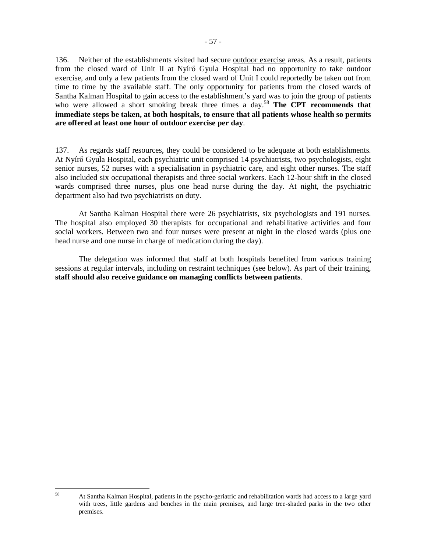136. Neither of the establishments visited had secure <u>outdoor exercise</u> areas. As a result, patients from the closed ward of Unit II at Nyírő Gyula Hospital had no opportunity to take outdoor exercise, and only a few patients from the closed ward of Unit I could reportedly be taken out from time to time by the available staff. The only opportunity for patients from the closed wards of Santha Kalman Hospital to gain access to the establishment's yard was to join the group of patients who were allowed a short smoking break three times a day.<sup>58</sup> **The CPT recommends that immediate steps be taken, at both hospitals, to ensure that all patients whose health so permits are offered at least one hour of outdoor exercise per day**.

137. As regards staff resources, they could be considered to be adequate at both establishments. At Nyírő Gyula Hospital, each psychiatric unit comprised 14 psychiatrists, two psychologists, eight senior nurses, 52 nurses with a specialisation in psychiatric care, and eight other nurses. The staff also included six occupational therapists and three social workers. Each 12-hour shift in the closed wards comprised three nurses, plus one head nurse during the day. At night, the psychiatric department also had two psychiatrists on duty.

 At Santha Kalman Hospital there were 26 psychiatrists, six psychologists and 191 nurses. The hospital also employed 30 therapists for occupational and rehabilitative activities and four social workers. Between two and four nurses were present at night in the closed wards (plus one head nurse and one nurse in charge of medication during the day).

 The delegation was informed that staff at both hospitals benefited from various training sessions at regular intervals, including on restraint techniques (see below). As part of their training, **staff should also receive guidance on managing conflicts between patients**.

58

<sup>58</sup> At Santha Kalman Hospital, patients in the psycho-geriatric and rehabilitation wards had access to a large yard with trees, little gardens and benches in the main premises, and large tree-shaded parks in the two other premises.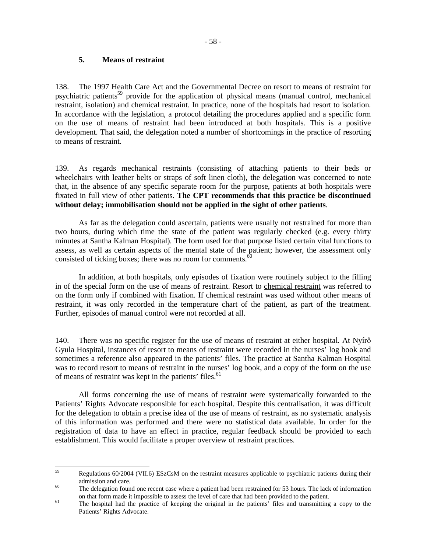## **5. Means of restraint**

138. The 1997 Health Care Act and the Governmental Decree on resort to means of restraint for psychiatric patients<sup>59</sup> provide for the application of physical means (manual control, mechanical restraint, isolation) and chemical restraint. In practice, none of the hospitals had resort to isolation. In accordance with the legislation, a protocol detailing the procedures applied and a specific form on the use of means of restraint had been introduced at both hospitals. This is a positive development. That said, the delegation noted a number of shortcomings in the practice of resorting to means of restraint.

139. As regards mechanical restraints (consisting of attaching patients to their beds or wheelchairs with leather belts or straps of soft linen cloth), the delegation was concerned to note that, in the absence of any specific separate room for the purpose, patients at both hospitals were fixated in full view of other patients. **The CPT recommends that this practice be discontinued without delay; immobilisation should not be applied in the sight of other patients**.

 As far as the delegation could ascertain, patients were usually not restrained for more than two hours, during which time the state of the patient was regularly checked (e.g. every thirty minutes at Santha Kalman Hospital). The form used for that purpose listed certain vital functions to assess, as well as certain aspects of the mental state of the patient; however, the assessment only consisted of ticking boxes; there was no room for comments. $60$ 

In addition, at both hospitals, only episodes of fixation were routinely subject to the filling in of the special form on the use of means of restraint. Resort to chemical restraint was referred to on the form only if combined with fixation. If chemical restraint was used without other means of restraint, it was only recorded in the temperature chart of the patient, as part of the treatment. Further, episodes of manual control were not recorded at all.

140. There was no specific register for the use of means of restraint at either hospital. At Nyírő Gyula Hospital, instances of resort to means of restraint were recorded in the nurses' log book and sometimes a reference also appeared in the patients' files. The practice at Santha Kalman Hospital was to record resort to means of restraint in the nurses' log book, and a copy of the form on the use of means of restraint was kept in the patients' files.<sup>61</sup>

All forms concerning the use of means of restraint were systematically forwarded to the Patients' Rights Advocate responsible for each hospital. Despite this centralisation, it was difficult for the delegation to obtain a precise idea of the use of means of restraint, as no systematic analysis of this information was performed and there were no statistical data available. In order for the registration of data to have an effect in practice, regular feedback should be provided to each establishment. This would facilitate a proper overview of restraint practices.

<sup>59</sup> <sup>59</sup> Regulations 60/2004 (VII.6) ESzCsM on the restraint measures applicable to psychiatric patients during their admission and care.

<sup>&</sup>lt;sup>60</sup> The delegation found one recent case where a patient had been restrained for 53 hours. The lack of information on that form made it impossible to assess the level of care that had been provided to the patient.

<sup>&</sup>lt;sup>61</sup> The hospital had the practice of keeping the original in the patients' files and transmitting a copy to the Patients' Rights Advocate.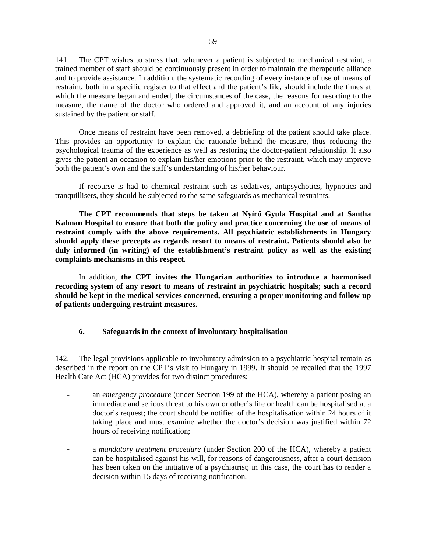141. The CPT wishes to stress that, whenever a patient is subjected to mechanical restraint, a trained member of staff should be continuously present in order to maintain the therapeutic alliance and to provide assistance. In addition, the systematic recording of every instance of use of means of restraint, both in a specific register to that effect and the patient's file, should include the times at which the measure began and ended, the circumstances of the case, the reasons for resorting to the measure, the name of the doctor who ordered and approved it, and an account of any injuries sustained by the patient or staff.

 Once means of restraint have been removed, a debriefing of the patient should take place. This provides an opportunity to explain the rationale behind the measure, thus reducing the psychological trauma of the experience as well as restoring the doctor-patient relationship. It also gives the patient an occasion to explain his/her emotions prior to the restraint, which may improve both the patient's own and the staff's understanding of his/her behaviour.

 If recourse is had to chemical restraint such as sedatives, antipsychotics, hypnotics and tranquillisers, they should be subjected to the same safeguards as mechanical restraints.

 **The CPT recommends that steps be taken at Nyír**ı **Gyula Hospital and at Santha Kalman Hospital to ensure that both the policy and practice concerning the use of means of restraint comply with the above requirements. All psychiatric establishments in Hungary should apply these precepts as regards resort to means of restraint. Patients should also be duly informed (in writing) of the establishment's restraint policy as well as the existing complaints mechanisms in this respect.** 

 In addition, **the CPT invites the Hungarian authorities to introduce a harmonised recording system of any resort to means of restraint in psychiatric hospitals; such a record should be kept in the medical services concerned, ensuring a proper monitoring and follow-up of patients undergoing restraint measures.**

## **6. Safeguards in the context of involuntary hospitalisation**

142. The legal provisions applicable to involuntary admission to a psychiatric hospital remain as described in the report on the CPT's visit to Hungary in 1999. It should be recalled that the 1997 Health Care Act (HCA) provides for two distinct procedures:

- an *emergency procedure* (under Section 199 of the HCA), whereby a patient posing an immediate and serious threat to his own or other's life or health can be hospitalised at a doctor's request; the court should be notified of the hospitalisation within 24 hours of it taking place and must examine whether the doctor's decision was justified within 72 hours of receiving notification;
- a *mandatory treatment procedure* (under Section 200 of the HCA), whereby a patient can be hospitalised against his will, for reasons of dangerousness, after a court decision has been taken on the initiative of a psychiatrist; in this case, the court has to render a decision within 15 days of receiving notification.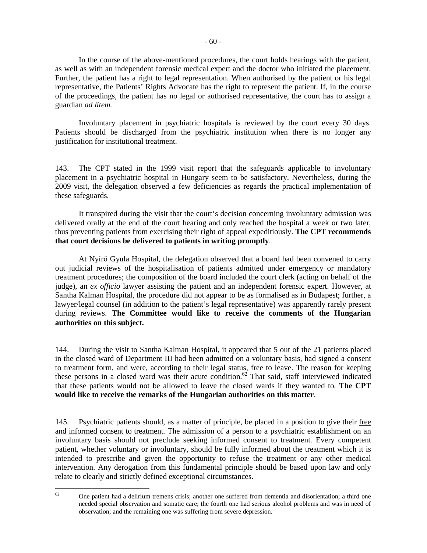In the course of the above-mentioned procedures, the court holds hearings with the patient, as well as with an independent forensic medical expert and the doctor who initiated the placement. Further, the patient has a right to legal representation. When authorised by the patient or his legal representative, the Patients' Rights Advocate has the right to represent the patient. If, in the course of the proceedings, the patient has no legal or authorised representative, the court has to assign a guardian *ad litem.* 

 Involuntary placement in psychiatric hospitals is reviewed by the court every 30 days. Patients should be discharged from the psychiatric institution when there is no longer any justification for institutional treatment.

143. The CPT stated in the 1999 visit report that the safeguards applicable to involuntary placement in a psychiatric hospital in Hungary seem to be satisfactory. Nevertheless, during the 2009 visit, the delegation observed a few deficiencies as regards the practical implementation of these safeguards.

 It transpired during the visit that the court's decision concerning involuntary admission was delivered orally at the end of the court hearing and only reached the hospital a week or two later, thus preventing patients from exercising their right of appeal expeditiously. **The CPT recommends that court decisions be delivered to patients in writing promptly**.

At Nyírő Gyula Hospital, the delegation observed that a board had been convened to carry out judicial reviews of the hospitalisation of patients admitted under emergency or mandatory treatment procedures; the composition of the board included the court clerk (acting on behalf of the judge), an *ex officio* lawyer assisting the patient and an independent forensic expert. However, at Santha Kalman Hospital, the procedure did not appear to be as formalised as in Budapest; further, a lawyer/legal counsel (in addition to the patient's legal representative) was apparently rarely present during reviews. **The Committee would like to receive the comments of the Hungarian authorities on this subject.** 

144. During the visit to Santha Kalman Hospital, it appeared that 5 out of the 21 patients placed in the closed ward of Department III had been admitted on a voluntary basis, had signed a consent to treatment form, and were, according to their legal status, free to leave. The reason for keeping these persons in a closed ward was their acute condition.<sup>62</sup> That said, staff interviewed indicated that these patients would not be allowed to leave the closed wards if they wanted to. **The CPT would like to receive the remarks of the Hungarian authorities on this matter**.

145. Psychiatric patients should, as a matter of principle, be placed in a position to give their free and informed consent to treatment. The admission of a person to a psychiatric establishment on an involuntary basis should not preclude seeking informed consent to treatment. Every competent patient, whether voluntary or involuntary, should be fully informed about the treatment which it is intended to prescribe and given the opportunity to refuse the treatment or any other medical intervention. Any derogation from this fundamental principle should be based upon law and only relate to clearly and strictly defined exceptional circumstances.

<sup>62</sup> <sup>62</sup> One patient had a delirium tremens crisis; another one suffered from dementia and disorientation; a third one needed special observation and somatic care; the fourth one had serious alcohol problems and was in need of observation; and the remaining one was suffering from severe depression.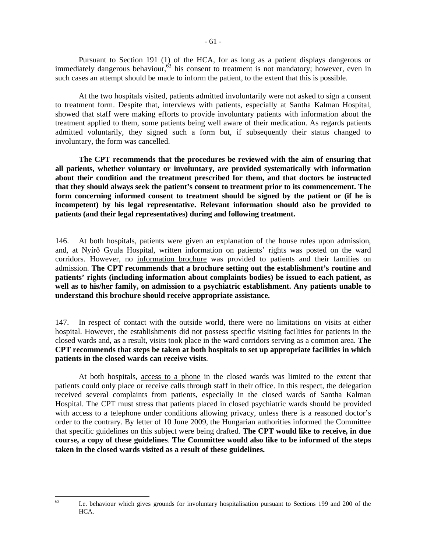Pursuant to Section 191 (1) of the HCA, for as long as a patient displays dangerous or immediately dangerous behaviour, $63$  his consent to treatment is not mandatory; however, even in such cases an attempt should be made to inform the patient, to the extent that this is possible.

 At the two hospitals visited, patients admitted involuntarily were not asked to sign a consent to treatment form. Despite that, interviews with patients, especially at Santha Kalman Hospital, showed that staff were making efforts to provide involuntary patients with information about the treatment applied to them, some patients being well aware of their medication. As regards patients admitted voluntarily, they signed such a form but, if subsequently their status changed to involuntary, the form was cancelled.

 **The CPT recommends that the procedures be reviewed with the aim of ensuring that all patients, whether voluntary or involuntary, are provided systematically with information about their condition and the treatment prescribed for them, and that doctors be instructed that they should always seek the patient's consent to treatment prior to its commencement. The form concerning informed consent to treatment should be signed by the patient or (if he is incompetent) by his legal representative. Relevant information should also be provided to patients (and their legal representatives) during and following treatment.** 

146. At both hospitals, patients were given an explanation of the house rules upon admission, and, at Nyírő Gyula Hospital, written information on patients' rights was posted on the ward corridors. However, no information brochure was provided to patients and their families on admission. **The CPT recommends that a brochure setting out the establishment's routine and patients' rights (including information about complaints bodies) be issued to each patient, as well as to his/her family, on admission to a psychiatric establishment. Any patients unable to understand this brochure should receive appropriate assistance.** 

147. In respect of contact with the outside world, there were no limitations on visits at either hospital. However, the establishments did not possess specific visiting facilities for patients in the closed wards and, as a result, visits took place in the ward corridors serving as a common area. **The CPT recommends that steps be taken at both hospitals to set up appropriate facilities in which patients in the closed wards can receive visits**.

 At both hospitals, access to a phone in the closed wards was limited to the extent that patients could only place or receive calls through staff in their office. In this respect, the delegation received several complaints from patients, especially in the closed wards of Santha Kalman Hospital. The CPT must stress that patients placed in closed psychiatric wards should be provided with access to a telephone under conditions allowing privacy, unless there is a reasoned doctor's order to the contrary. By letter of 10 June 2009, the Hungarian authorities informed the Committee that specific guidelines on this subject were being drafted. **The CPT would like to receive, in due course, a copy of these guidelines**. **The Committee would also like to be informed of the steps taken in the closed wards visited as a result of these guidelines.**

<sup>63</sup> <sup>63</sup> I.e. behaviour which gives grounds for involuntary hospitalisation pursuant to Sections 199 and 200 of the HCA.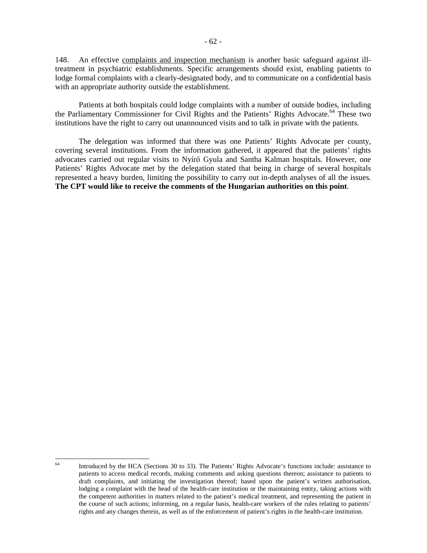148. An effective complaints and inspection mechanism is another basic safeguard against illtreatment in psychiatric establishments. Specific arrangements should exist, enabling patients to lodge formal complaints with a clearly-designated body, and to communicate on a confidential basis with an appropriate authority outside the establishment.

 Patients at both hospitals could lodge complaints with a number of outside bodies, including the Parliamentary Commissioner for Civil Rights and the Patients' Rights Advocate.<sup>64</sup> These two institutions have the right to carry out unannounced visits and to talk in private with the patients.

 The delegation was informed that there was one Patients' Rights Advocate per county, covering several institutions. From the information gathered, it appeared that the patients' rights advocates carried out regular visits to Nyírő Gyula and Santha Kalman hospitals. However, one Patients' Rights Advocate met by the delegation stated that being in charge of several hospitals represented a heavy burden, limiting the possibility to carry out in-depth analyses of all the issues. **The CPT would like to receive the comments of the Hungarian authorities on this point**.

<sup>64</sup> <sup>64</sup> Introduced by the HCA (Sections 30 to 33). The Patients' Rights Advocate's functions include: assistance to patients to access medical records, making comments and asking questions thereon; assistance to patients to draft complaints, and initiating the investigation thereof; based upon the patient's written authorisation, lodging a complaint with the head of the health-care institution or the maintaining entity, taking actions with the competent authorities in matters related to the patient's medical treatment, and representing the patient in the course of such actions; informing, on a regular basis, health-care workers of the rules relating to patients' rights and any changes therein, as well as of the enforcement of patient's rights in the health-care institution.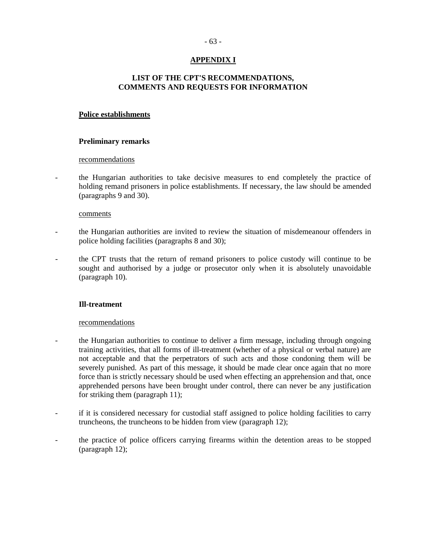# **APPENDIX I**

# **LIST OF THE CPT'S RECOMMENDATIONS, COMMENTS AND REQUESTS FOR INFORMATION**

## **Police establishments**

## **Preliminary remarks**

## recommendations

- the Hungarian authorities to take decisive measures to end completely the practice of holding remand prisoners in police establishments. If necessary, the law should be amended (paragraphs 9 and 30).

### comments

- the Hungarian authorities are invited to review the situation of misdemeanour offenders in police holding facilities (paragraphs 8 and 30);
- the CPT trusts that the return of remand prisoners to police custody will continue to be sought and authorised by a judge or prosecutor only when it is absolutely unavoidable (paragraph 10).

### **Ill-treatment**

### recommendations

- the Hungarian authorities to continue to deliver a firm message, including through ongoing training activities, that all forms of ill-treatment (whether of a physical or verbal nature) are not acceptable and that the perpetrators of such acts and those condoning them will be severely punished. As part of this message, it should be made clear once again that no more force than is strictly necessary should be used when effecting an apprehension and that, once apprehended persons have been brought under control, there can never be any justification for striking them (paragraph 11);
- if it is considered necessary for custodial staff assigned to police holding facilities to carry truncheons, the truncheons to be hidden from view (paragraph 12);
- the practice of police officers carrying firearms within the detention areas to be stopped (paragraph 12);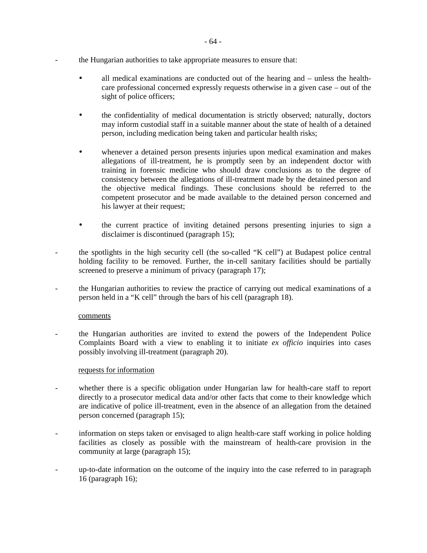- the Hungarian authorities to take appropriate measures to ensure that:
	- all medical examinations are conducted out of the hearing and unless the healthcare professional concerned expressly requests otherwise in a given case – out of the sight of police officers;
	- the confidentiality of medical documentation is strictly observed; naturally, doctors may inform custodial staff in a suitable manner about the state of health of a detained person, including medication being taken and particular health risks;
	- whenever a detained person presents injuries upon medical examination and makes allegations of ill-treatment, he is promptly seen by an independent doctor with training in forensic medicine who should draw conclusions as to the degree of consistency between the allegations of ill-treatment made by the detained person and the objective medical findings. These conclusions should be referred to the competent prosecutor and be made available to the detained person concerned and his lawyer at their request;
	- the current practice of inviting detained persons presenting injuries to sign a disclaimer is discontinued (paragraph 15);
- the spotlights in the high security cell (the so-called "K cell") at Budapest police central holding facility to be removed. Further, the in-cell sanitary facilities should be partially screened to preserve a minimum of privacy (paragraph 17);
- the Hungarian authorities to review the practice of carrying out medical examinations of a person held in a "K cell" through the bars of his cell (paragraph 18).

### comments

the Hungarian authorities are invited to extend the powers of the Independent Police Complaints Board with a view to enabling it to initiate *ex officio* inquiries into cases possibly involving ill-treatment (paragraph 20).

### requests for information

- whether there is a specific obligation under Hungarian law for health-care staff to report directly to a prosecutor medical data and/or other facts that come to their knowledge which are indicative of police ill-treatment, even in the absence of an allegation from the detained person concerned (paragraph 15);
- information on steps taken or envisaged to align health-care staff working in police holding facilities as closely as possible with the mainstream of health-care provision in the community at large (paragraph 15);
- up-to-date information on the outcome of the inquiry into the case referred to in paragraph 16 (paragraph 16);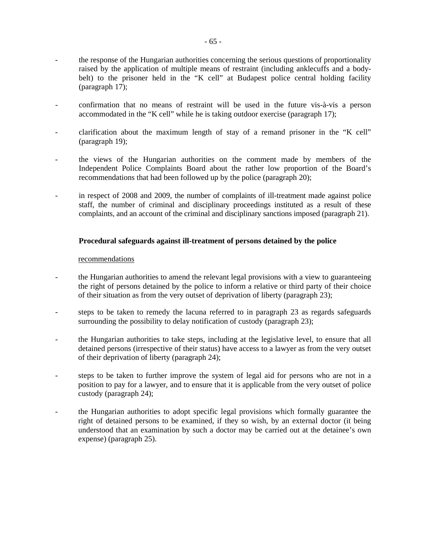- the response of the Hungarian authorities concerning the serious questions of proportionality raised by the application of multiple means of restraint (including anklecuffs and a bodybelt) to the prisoner held in the "K cell" at Budapest police central holding facility (paragraph 17);
- confirmation that no means of restraint will be used in the future vis-à-vis a person accommodated in the "K cell" while he is taking outdoor exercise (paragraph 17);
- clarification about the maximum length of stay of a remand prisoner in the "K cell" (paragraph 19);
- the views of the Hungarian authorities on the comment made by members of the Independent Police Complaints Board about the rather low proportion of the Board's recommendations that had been followed up by the police (paragraph 20);
- in respect of 2008 and 2009, the number of complaints of ill-treatment made against police staff, the number of criminal and disciplinary proceedings instituted as a result of these complaints, and an account of the criminal and disciplinary sanctions imposed (paragraph 21).

### **Procedural safeguards against ill-treatment of persons detained by the police**

#### recommendations

- the Hungarian authorities to amend the relevant legal provisions with a view to guaranteeing the right of persons detained by the police to inform a relative or third party of their choice of their situation as from the very outset of deprivation of liberty (paragraph 23);
- steps to be taken to remedy the lacuna referred to in paragraph 23 as regards safeguards surrounding the possibility to delay notification of custody (paragraph 23);
- the Hungarian authorities to take steps, including at the legislative level, to ensure that all detained persons (irrespective of their status) have access to a lawyer as from the very outset of their deprivation of liberty (paragraph 24);
- steps to be taken to further improve the system of legal aid for persons who are not in a position to pay for a lawyer, and to ensure that it is applicable from the very outset of police custody (paragraph 24);
- the Hungarian authorities to adopt specific legal provisions which formally guarantee the right of detained persons to be examined, if they so wish, by an external doctor (it being understood that an examination by such a doctor may be carried out at the detainee's own expense) (paragraph 25).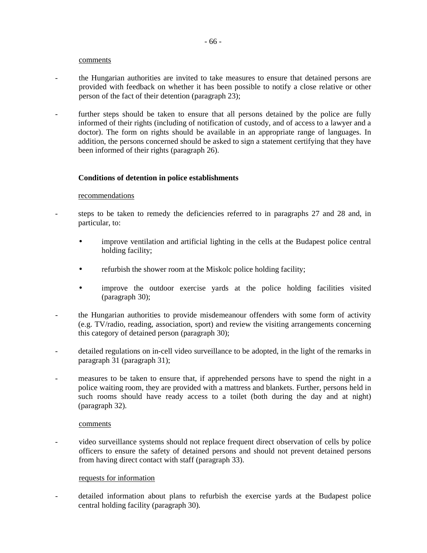#### comments

- the Hungarian authorities are invited to take measures to ensure that detained persons are provided with feedback on whether it has been possible to notify a close relative or other person of the fact of their detention (paragraph 23);
- further steps should be taken to ensure that all persons detained by the police are fully informed of their rights (including of notification of custody, and of access to a lawyer and a doctor). The form on rights should be available in an appropriate range of languages. In addition, the persons concerned should be asked to sign a statement certifying that they have been informed of their rights (paragraph 26).

## **Conditions of detention in police establishments**

### recommendations

- steps to be taken to remedy the deficiencies referred to in paragraphs 27 and 28 and, in particular, to:
	- improve ventilation and artificial lighting in the cells at the Budapest police central holding facility;
	- refurbish the shower room at the Miskolc police holding facility;
	- improve the outdoor exercise yards at the police holding facilities visited (paragraph 30);
- the Hungarian authorities to provide misdemeanour offenders with some form of activity (e.g. TV/radio, reading, association, sport) and review the visiting arrangements concerning this category of detained person (paragraph 30);
- detailed regulations on in-cell video surveillance to be adopted, in the light of the remarks in paragraph 31 (paragraph 31);
- measures to be taken to ensure that, if apprehended persons have to spend the night in a police waiting room, they are provided with a mattress and blankets. Further, persons held in such rooms should have ready access to a toilet (both during the day and at night) (paragraph 32).

#### comments

- video surveillance systems should not replace frequent direct observation of cells by police officers to ensure the safety of detained persons and should not prevent detained persons from having direct contact with staff (paragraph 33).

### requests for information

- detailed information about plans to refurbish the exercise yards at the Budapest police central holding facility (paragraph 30).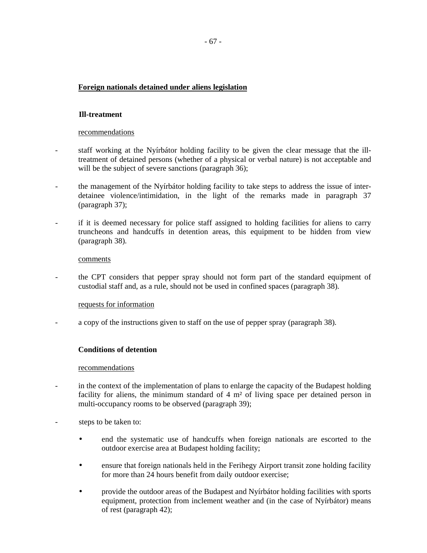## **Foreign nationals detained under aliens legislation**

## **Ill-treatment**

### recommendations

- staff working at the Nyírbátor holding facility to be given the clear message that the illtreatment of detained persons (whether of a physical or verbal nature) is not acceptable and will be the subject of severe sanctions (paragraph 36);
- the management of the Nyírbátor holding facility to take steps to address the issue of interdetainee violence/intimidation, in the light of the remarks made in paragraph 37 (paragraph 37);
- if it is deemed necessary for police staff assigned to holding facilities for aliens to carry truncheons and handcuffs in detention areas, this equipment to be hidden from view (paragraph 38).

### comments

- the CPT considers that pepper spray should not form part of the standard equipment of custodial staff and, as a rule, should not be used in confined spaces (paragraph 38).

### requests for information

a copy of the instructions given to staff on the use of pepper spray (paragraph 38).

## **Conditions of detention**

### recommendations

- in the context of the implementation of plans to enlarge the capacity of the Budapest holding facility for aliens, the minimum standard of  $4 \text{ m}^2$  of living space per detained person in multi-occupancy rooms to be observed (paragraph 39);
- steps to be taken to:
	- end the systematic use of handcuffs when foreign nationals are escorted to the outdoor exercise area at Budapest holding facility;
	- ensure that foreign nationals held in the Ferihegy Airport transit zone holding facility for more than 24 hours benefit from daily outdoor exercise;
	- provide the outdoor areas of the Budapest and Nyírbátor holding facilities with sports equipment, protection from inclement weather and (in the case of Nyírbátor) means of rest (paragraph 42);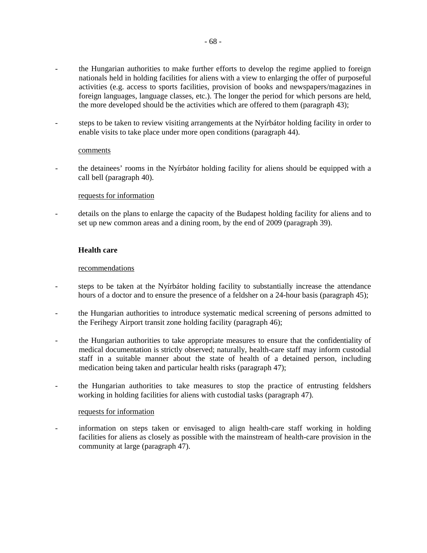- the Hungarian authorities to make further efforts to develop the regime applied to foreign nationals held in holding facilities for aliens with a view to enlarging the offer of purposeful activities (e.g. access to sports facilities, provision of books and newspapers/magazines in foreign languages, language classes, etc.). The longer the period for which persons are held, the more developed should be the activities which are offered to them (paragraph 43);
- steps to be taken to review visiting arrangements at the Nyírbátor holding facility in order to enable visits to take place under more open conditions (paragraph 44).

#### comments

the detainees' rooms in the Nyírbátor holding facility for aliens should be equipped with a call bell (paragraph 40).

#### requests for information

- details on the plans to enlarge the capacity of the Budapest holding facility for aliens and to set up new common areas and a dining room, by the end of 2009 (paragraph 39).

#### **Health care**

#### recommendations

- steps to be taken at the Nyírbátor holding facility to substantially increase the attendance hours of a doctor and to ensure the presence of a feldsher on a 24-hour basis (paragraph 45);
- the Hungarian authorities to introduce systematic medical screening of persons admitted to the Ferihegy Airport transit zone holding facility (paragraph 46);
- the Hungarian authorities to take appropriate measures to ensure that the confidentiality of medical documentation is strictly observed; naturally, health-care staff may inform custodial staff in a suitable manner about the state of health of a detained person, including medication being taken and particular health risks (paragraph 47);
- the Hungarian authorities to take measures to stop the practice of entrusting feldshers working in holding facilities for aliens with custodial tasks (paragraph 47).

### requests for information

- information on steps taken or envisaged to align health-care staff working in holding facilities for aliens as closely as possible with the mainstream of health-care provision in the community at large (paragraph 47).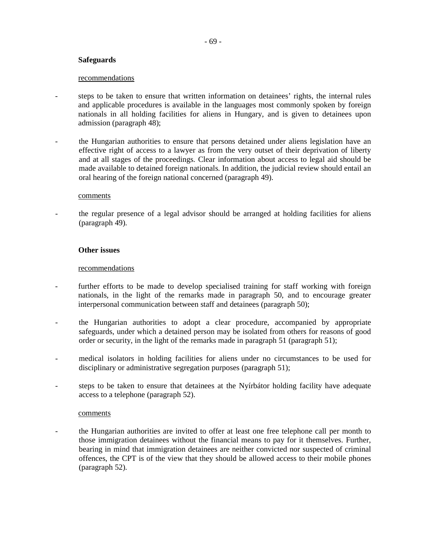## - 69 -

## **Safeguards**

#### recommendations

- steps to be taken to ensure that written information on detainees' rights, the internal rules and applicable procedures is available in the languages most commonly spoken by foreign nationals in all holding facilities for aliens in Hungary, and is given to detainees upon admission (paragraph 48);
- the Hungarian authorities to ensure that persons detained under aliens legislation have an effective right of access to a lawyer as from the very outset of their deprivation of liberty and at all stages of the proceedings. Clear information about access to legal aid should be made available to detained foreign nationals. In addition, the judicial review should entail an oral hearing of the foreign national concerned (paragraph 49).

#### comments

the regular presence of a legal advisor should be arranged at holding facilities for aliens (paragraph 49).

### **Other issues**

#### recommendations

- further efforts to be made to develop specialised training for staff working with foreign nationals, in the light of the remarks made in paragraph 50, and to encourage greater interpersonal communication between staff and detainees (paragraph 50);
- the Hungarian authorities to adopt a clear procedure, accompanied by appropriate safeguards, under which a detained person may be isolated from others for reasons of good order or security, in the light of the remarks made in paragraph 51 (paragraph 51);
- medical isolators in holding facilities for aliens under no circumstances to be used for disciplinary or administrative segregation purposes (paragraph 51);
- steps to be taken to ensure that detainees at the Nyírbátor holding facility have adequate access to a telephone (paragraph 52).

#### comments

- the Hungarian authorities are invited to offer at least one free telephone call per month to those immigration detainees without the financial means to pay for it themselves. Further, bearing in mind that immigration detainees are neither convicted nor suspected of criminal offences, the CPT is of the view that they should be allowed access to their mobile phones (paragraph 52).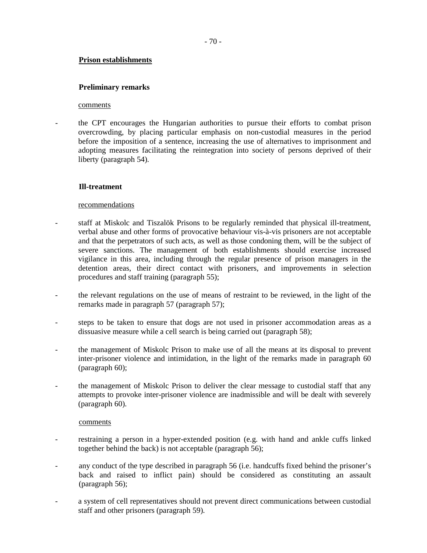## **Prison establishments**

## **Preliminary remarks**

#### comments

- the CPT encourages the Hungarian authorities to pursue their efforts to combat prison overcrowding, by placing particular emphasis on non-custodial measures in the period before the imposition of a sentence, increasing the use of alternatives to imprisonment and adopting measures facilitating the reintegration into society of persons deprived of their liberty (paragraph 54).

### **Ill-treatment**

### recommendations

- staff at Miskolc and Tiszalök Prisons to be regularly reminded that physical ill-treatment, verbal abuse and other forms of provocative behaviour vis-à-vis prisoners are not acceptable and that the perpetrators of such acts, as well as those condoning them, will be the subject of severe sanctions. The management of both establishments should exercise increased vigilance in this area, including through the regular presence of prison managers in the detention areas, their direct contact with prisoners, and improvements in selection procedures and staff training (paragraph 55);
- the relevant regulations on the use of means of restraint to be reviewed, in the light of the remarks made in paragraph 57 (paragraph 57);
- steps to be taken to ensure that dogs are not used in prisoner accommodation areas as a dissuasive measure while a cell search is being carried out (paragraph 58);
- the management of Miskolc Prison to make use of all the means at its disposal to prevent inter-prisoner violence and intimidation, in the light of the remarks made in paragraph 60 (paragraph 60);
- the management of Miskolc Prison to deliver the clear message to custodial staff that any attempts to provoke inter-prisoner violence are inadmissible and will be dealt with severely (paragraph 60).

### comments

- restraining a person in a hyper-extended position (e.g. with hand and ankle cuffs linked together behind the back) is not acceptable (paragraph 56);
- any conduct of the type described in paragraph 56 (i.e. handcuffs fixed behind the prisoner's back and raised to inflict pain) should be considered as constituting an assault (paragraph 56);
- a system of cell representatives should not prevent direct communications between custodial staff and other prisoners (paragraph 59).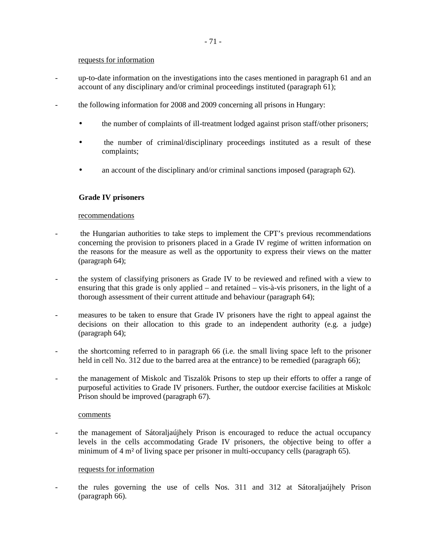### requests for information

- up-to-date information on the investigations into the cases mentioned in paragraph 61 and an account of any disciplinary and/or criminal proceedings instituted (paragraph 61);
- the following information for 2008 and 2009 concerning all prisons in Hungary:
	- the number of complaints of ill-treatment lodged against prison staff/other prisoners;
	- the number of criminal/disciplinary proceedings instituted as a result of these complaints;
	- an account of the disciplinary and/or criminal sanctions imposed (paragraph 62).

## **Grade IV prisoners**

## recommendations

- the Hungarian authorities to take steps to implement the CPT's previous recommendations concerning the provision to prisoners placed in a Grade IV regime of written information on the reasons for the measure as well as the opportunity to express their views on the matter (paragraph 64);
- the system of classifying prisoners as Grade IV to be reviewed and refined with a view to ensuring that this grade is only applied – and retained – vis-à-vis prisoners, in the light of a thorough assessment of their current attitude and behaviour (paragraph 64);
- measures to be taken to ensure that Grade IV prisoners have the right to appeal against the decisions on their allocation to this grade to an independent authority (e.g. a judge) (paragraph 64);
- the shortcoming referred to in paragraph 66 (i.e. the small living space left to the prisoner held in cell No. 312 due to the barred area at the entrance) to be remedied (paragraph 66);
- the management of Miskolc and Tiszalök Prisons to step up their efforts to offer a range of purposeful activities to Grade IV prisoners. Further, the outdoor exercise facilities at Miskolc Prison should be improved (paragraph 67).

### comments

- the management of Sátoraljaújhely Prison is encouraged to reduce the actual occupancy levels in the cells accommodating Grade IV prisoners, the objective being to offer a minimum of 4 m² of living space per prisoner in multi-occupancy cells (paragraph 65).

## requests for information

- the rules governing the use of cells Nos. 311 and 312 at Sátoraljaújhely Prison (paragraph 66).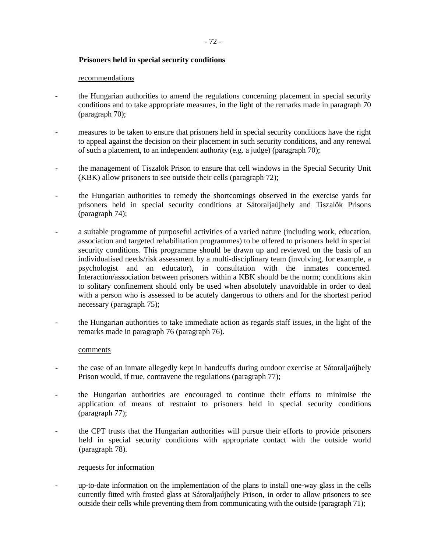## **Prisoners held in special security conditions**

### recommendations

- the Hungarian authorities to amend the regulations concerning placement in special security conditions and to take appropriate measures, in the light of the remarks made in paragraph 70 (paragraph 70);
- measures to be taken to ensure that prisoners held in special security conditions have the right to appeal against the decision on their placement in such security conditions, and any renewal of such a placement, to an independent authority (e.g. a judge) (paragraph 70);
- the management of Tiszalök Prison to ensure that cell windows in the Special Security Unit (KBK) allow prisoners to see outside their cells (paragraph 72);
- the Hungarian authorities to remedy the shortcomings observed in the exercise yards for prisoners held in special security conditions at Sátoraljaújhely and Tiszalök Prisons (paragraph 74);
- a suitable programme of purposeful activities of a varied nature (including work, education, association and targeted rehabilitation programmes) to be offered to prisoners held in special security conditions. This programme should be drawn up and reviewed on the basis of an individualised needs/risk assessment by a multi-disciplinary team (involving, for example, a psychologist and an educator), in consultation with the inmates concerned. Interaction/association between prisoners within a KBK should be the norm; conditions akin to solitary confinement should only be used when absolutely unavoidable in order to deal with a person who is assessed to be acutely dangerous to others and for the shortest period necessary (paragraph 75);
- the Hungarian authorities to take immediate action as regards staff issues, in the light of the remarks made in paragraph 76 (paragraph 76).

### comments

- the case of an inmate allegedly kept in handcuffs during outdoor exercise at Sátoraljaújhely Prison would, if true, contravene the regulations (paragraph 77);
- the Hungarian authorities are encouraged to continue their efforts to minimise the application of means of restraint to prisoners held in special security conditions (paragraph 77);
- the CPT trusts that the Hungarian authorities will pursue their efforts to provide prisoners held in special security conditions with appropriate contact with the outside world (paragraph 78).

## requests for information

- up-to-date information on the implementation of the plans to install one-way glass in the cells currently fitted with frosted glass at Sátoraljaújhely Prison, in order to allow prisoners to see outside their cells while preventing them from communicating with the outside (paragraph 71);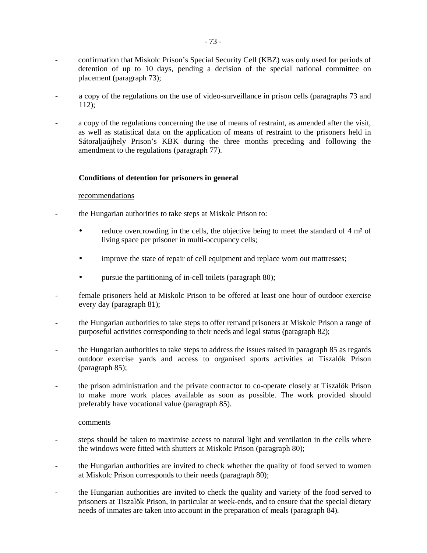- confirmation that Miskolc Prison's Special Security Cell (KBZ) was only used for periods of detention of up to 10 days, pending a decision of the special national committee on placement (paragraph 73);
- a copy of the regulations on the use of video-surveillance in prison cells (paragraphs 73 and 112);
- a copy of the regulations concerning the use of means of restraint, as amended after the visit, as well as statistical data on the application of means of restraint to the prisoners held in Sátoraljaújhely Prison's KBK during the three months preceding and following the amendment to the regulations (paragraph 77).

## **Conditions of detention for prisoners in general**

#### recommendations

- the Hungarian authorities to take steps at Miskolc Prison to:
	- reduce overcrowding in the cells, the objective being to meet the standard of  $4 \text{ m}^2$  of living space per prisoner in multi-occupancy cells;
	- improve the state of repair of cell equipment and replace worn out mattresses;
	- pursue the partitioning of in-cell toilets (paragraph 80);
- female prisoners held at Miskolc Prison to be offered at least one hour of outdoor exercise every day (paragraph 81);
- the Hungarian authorities to take steps to offer remand prisoners at Miskolc Prison a range of purposeful activities corresponding to their needs and legal status (paragraph 82);
- the Hungarian authorities to take steps to address the issues raised in paragraph 85 as regards outdoor exercise yards and access to organised sports activities at Tiszalök Prison (paragraph 85);
- the prison administration and the private contractor to co-operate closely at Tiszalök Prison to make more work places available as soon as possible. The work provided should preferably have vocational value (paragraph 85).

#### comments

- steps should be taken to maximise access to natural light and ventilation in the cells where the windows were fitted with shutters at Miskolc Prison (paragraph 80);
- the Hungarian authorities are invited to check whether the quality of food served to women at Miskolc Prison corresponds to their needs (paragraph 80);
- the Hungarian authorities are invited to check the quality and variety of the food served to prisoners at Tiszalök Prison, in particular at week-ends, and to ensure that the special dietary needs of inmates are taken into account in the preparation of meals (paragraph 84).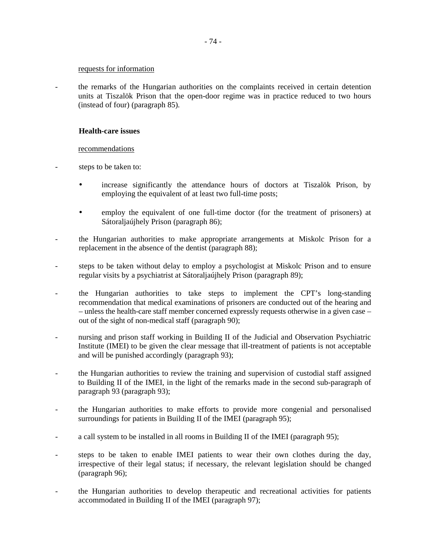#### requests for information

- the remarks of the Hungarian authorities on the complaints received in certain detention units at Tiszalök Prison that the open-door regime was in practice reduced to two hours (instead of four) (paragraph 85).

## **Health-care issues**

#### recommendations

- steps to be taken to:
	- increase significantly the attendance hours of doctors at Tiszalök Prison, by employing the equivalent of at least two full-time posts;
	- employ the equivalent of one full-time doctor (for the treatment of prisoners) at Sátoraljaújhely Prison (paragraph 86);
- the Hungarian authorities to make appropriate arrangements at Miskolc Prison for a replacement in the absence of the dentist (paragraph 88);
- steps to be taken without delay to employ a psychologist at Miskolc Prison and to ensure regular visits by a psychiatrist at Sátoraljaújhely Prison (paragraph 89);
- the Hungarian authorities to take steps to implement the CPT's long-standing recommendation that medical examinations of prisoners are conducted out of the hearing and – unless the health-care staff member concerned expressly requests otherwise in a given case – out of the sight of non-medical staff (paragraph 90);
- nursing and prison staff working in Building II of the Judicial and Observation Psychiatric Institute (IMEI) to be given the clear message that ill-treatment of patients is not acceptable and will be punished accordingly (paragraph 93);
- the Hungarian authorities to review the training and supervision of custodial staff assigned to Building II of the IMEI, in the light of the remarks made in the second sub-paragraph of paragraph 93 (paragraph 93);
- the Hungarian authorities to make efforts to provide more congenial and personalised surroundings for patients in Building II of the IMEI (paragraph 95);
- a call system to be installed in all rooms in Building II of the IMEI (paragraph 95);
- steps to be taken to enable IMEI patients to wear their own clothes during the day, irrespective of their legal status; if necessary, the relevant legislation should be changed (paragraph 96);
- the Hungarian authorities to develop therapeutic and recreational activities for patients accommodated in Building II of the IMEI (paragraph 97);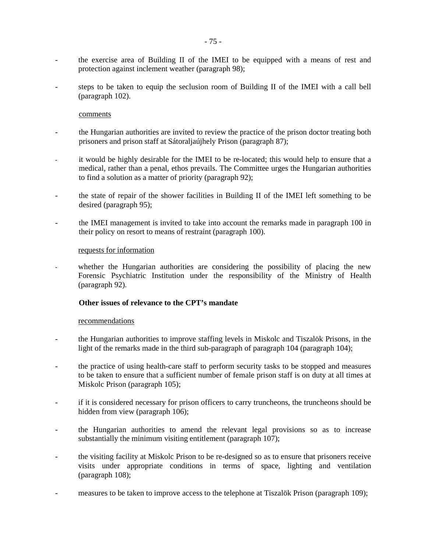- the exercise area of Building II of the IMEI to be equipped with a means of rest and protection against inclement weather (paragraph 98);
- steps to be taken to equip the seclusion room of Building II of the IMEI with a call bell (paragraph 102).

#### comments

- the Hungarian authorities are invited to review the practice of the prison doctor treating both prisoners and prison staff at Sátoraljaújhely Prison (paragraph 87);
- it would be highly desirable for the IMEI to be re-located; this would help to ensure that a medical, rather than a penal, ethos prevails. The Committee urges the Hungarian authorities to find a solution as a matter of priority (paragraph 92);
- the state of repair of the shower facilities in Building II of the IMEI left something to be desired (paragraph 95);
- the IMEI management is invited to take into account the remarks made in paragraph 100 in their policy on resort to means of restraint (paragraph 100).

#### requests for information

- whether the Hungarian authorities are considering the possibility of placing the new Forensic Psychiatric Institution under the responsibility of the Ministry of Health (paragraph 92).

#### **Other issues of relevance to the CPT's mandate**

#### recommendations

- the Hungarian authorities to improve staffing levels in Miskolc and Tiszalök Prisons, in the light of the remarks made in the third sub-paragraph of paragraph 104 (paragraph 104);
- the practice of using health-care staff to perform security tasks to be stopped and measures to be taken to ensure that a sufficient number of female prison staff is on duty at all times at Miskolc Prison (paragraph 105);
- if it is considered necessary for prison officers to carry truncheons, the truncheons should be hidden from view (paragraph 106);
- the Hungarian authorities to amend the relevant legal provisions so as to increase substantially the minimum visiting entitlement (paragraph 107);
- the visiting facility at Miskolc Prison to be re-designed so as to ensure that prisoners receive visits under appropriate conditions in terms of space, lighting and ventilation (paragraph 108);
- measures to be taken to improve access to the telephone at Tiszalök Prison (paragraph 109);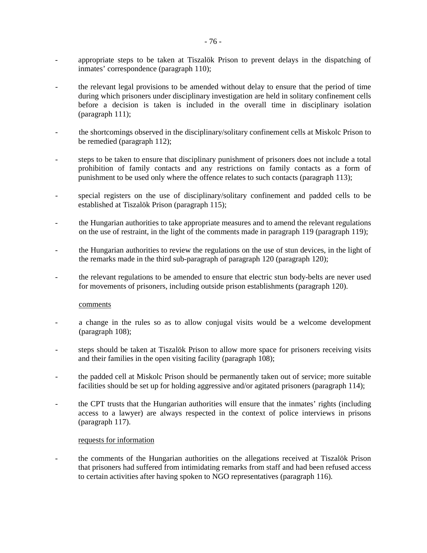- appropriate steps to be taken at Tiszalök Prison to prevent delays in the dispatching of inmates' correspondence (paragraph 110);
- the relevant legal provisions to be amended without delay to ensure that the period of time during which prisoners under disciplinary investigation are held in solitary confinement cells before a decision is taken is included in the overall time in disciplinary isolation (paragraph 111);
- the shortcomings observed in the disciplinary/solitary confinement cells at Miskolc Prison to be remedied (paragraph 112);
- steps to be taken to ensure that disciplinary punishment of prisoners does not include a total prohibition of family contacts and any restrictions on family contacts as a form of punishment to be used only where the offence relates to such contacts (paragraph 113);
- special registers on the use of disciplinary/solitary confinement and padded cells to be established at Tiszalök Prison (paragraph 115);
- the Hungarian authorities to take appropriate measures and to amend the relevant regulations on the use of restraint, in the light of the comments made in paragraph 119 (paragraph 119);
- the Hungarian authorities to review the regulations on the use of stun devices, in the light of the remarks made in the third sub-paragraph of paragraph 120 (paragraph 120);
- the relevant regulations to be amended to ensure that electric stun body-belts are never used for movements of prisoners, including outside prison establishments (paragraph 120).

#### comments

- a change in the rules so as to allow conjugal visits would be a welcome development (paragraph 108);
- steps should be taken at Tiszalök Prison to allow more space for prisoners receiving visits and their families in the open visiting facility (paragraph 108);
- the padded cell at Miskolc Prison should be permanently taken out of service; more suitable facilities should be set up for holding aggressive and/or agitated prisoners (paragraph 114);
- the CPT trusts that the Hungarian authorities will ensure that the inmates' rights (including access to a lawyer) are always respected in the context of police interviews in prisons (paragraph 117).

#### requests for information

- the comments of the Hungarian authorities on the allegations received at Tiszalök Prison that prisoners had suffered from intimidating remarks from staff and had been refused access to certain activities after having spoken to NGO representatives (paragraph 116).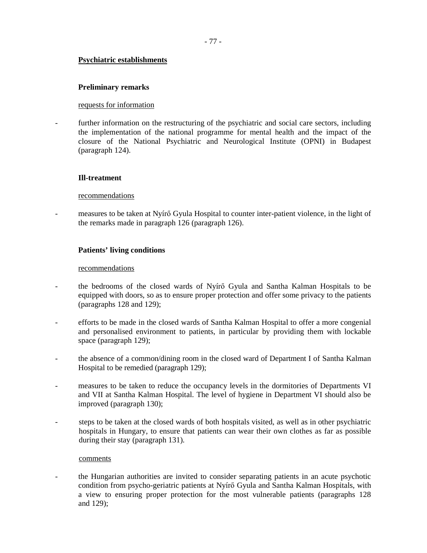## **Psychiatric establishments**

## **Preliminary remarks**

#### requests for information

further information on the restructuring of the psychiatric and social care sectors, including the implementation of the national programme for mental health and the impact of the closure of the National Psychiatric and Neurological Institute (OPNI) in Budapest (paragraph 124).

#### **Ill-treatment**

## recommendations

measures to be taken at Nyírő Gyula Hospital to counter inter-patient violence, in the light of the remarks made in paragraph 126 (paragraph 126).

## **Patients' living conditions**

#### recommendations

- the bedrooms of the closed wards of Nyíro Gyula and Santha Kalman Hospitals to be equipped with doors, so as to ensure proper protection and offer some privacy to the patients (paragraphs 128 and 129);
- efforts to be made in the closed wards of Santha Kalman Hospital to offer a more congenial and personalised environment to patients, in particular by providing them with lockable space (paragraph 129);
- the absence of a common/dining room in the closed ward of Department I of Santha Kalman Hospital to be remedied (paragraph 129);
- measures to be taken to reduce the occupancy levels in the dormitories of Departments VI and VII at Santha Kalman Hospital. The level of hygiene in Department VI should also be improved (paragraph 130);
- steps to be taken at the closed wards of both hospitals visited, as well as in other psychiatric hospitals in Hungary, to ensure that patients can wear their own clothes as far as possible during their stay (paragraph 131).

#### comments

- the Hungarian authorities are invited to consider separating patients in an acute psychotic condition from psycho-geriatric patients at Nyírő Gyula and Santha Kalman Hospitals, with a view to ensuring proper protection for the most vulnerable patients (paragraphs 128 and 129);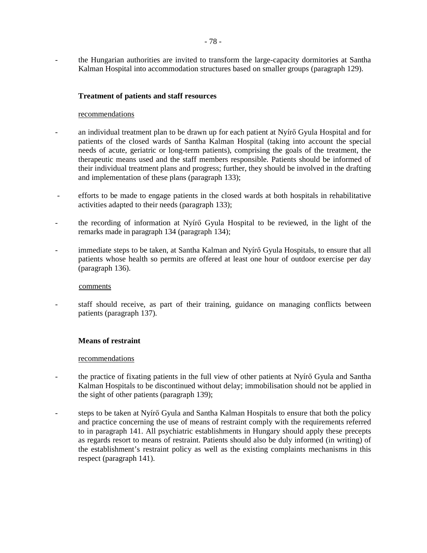- the Hungarian authorities are invited to transform the large-capacity dormitories at Santha Kalman Hospital into accommodation structures based on smaller groups (paragraph 129).

## **Treatment of patients and staff resources**

#### recommendations

- an individual treatment plan to be drawn up for each patient at Nyíro Gyula Hospital and for patients of the closed wards of Santha Kalman Hospital (taking into account the special needs of acute, geriatric or long-term patients), comprising the goals of the treatment, the therapeutic means used and the staff members responsible. Patients should be informed of their individual treatment plans and progress; further, they should be involved in the drafting and implementation of these plans (paragraph 133);
- efforts to be made to engage patients in the closed wards at both hospitals in rehabilitative activities adapted to their needs (paragraph 133);
- the recording of information at Nyírő Gyula Hospital to be reviewed, in the light of the remarks made in paragraph 134 (paragraph 134);
- immediate steps to be taken, at Santha Kalman and Nyírő Gyula Hospitals, to ensure that all patients whose health so permits are offered at least one hour of outdoor exercise per day (paragraph 136).

#### comments

staff should receive, as part of their training, guidance on managing conflicts between patients (paragraph 137).

#### **Means of restraint**

#### recommendations

- the practice of fixating patients in the full view of other patients at Nyíro Gyula and Santha Kalman Hospitals to be discontinued without delay; immobilisation should not be applied in the sight of other patients (paragraph 139);
- steps to be taken at Nyírő Gyula and Santha Kalman Hospitals to ensure that both the policy and practice concerning the use of means of restraint comply with the requirements referred to in paragraph 141. All psychiatric establishments in Hungary should apply these precepts as regards resort to means of restraint. Patients should also be duly informed (in writing) of the establishment's restraint policy as well as the existing complaints mechanisms in this respect (paragraph 141).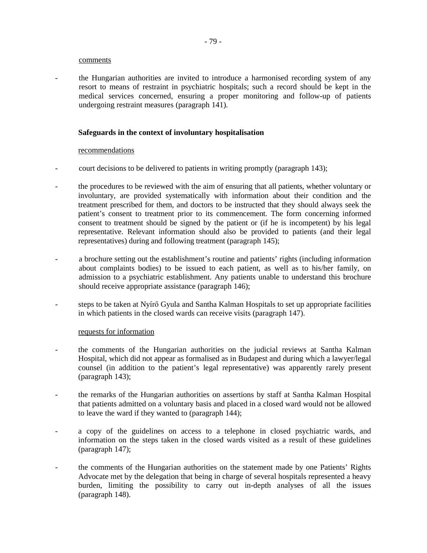#### comments

- the Hungarian authorities are invited to introduce a harmonised recording system of any resort to means of restraint in psychiatric hospitals; such a record should be kept in the medical services concerned, ensuring a proper monitoring and follow-up of patients undergoing restraint measures (paragraph 141).

## **Safeguards in the context of involuntary hospitalisation**

#### recommendations

- court decisions to be delivered to patients in writing promptly (paragraph 143);
- the procedures to be reviewed with the aim of ensuring that all patients, whether voluntary or involuntary, are provided systematically with information about their condition and the treatment prescribed for them, and doctors to be instructed that they should always seek the patient's consent to treatment prior to its commencement. The form concerning informed consent to treatment should be signed by the patient or (if he is incompetent) by his legal representative. Relevant information should also be provided to patients (and their legal representatives) during and following treatment (paragraph 145);
- a brochure setting out the establishment's routine and patients' rights (including information about complaints bodies) to be issued to each patient, as well as to his/her family, on admission to a psychiatric establishment. Any patients unable to understand this brochure should receive appropriate assistance (paragraph 146);
- steps to be taken at Nyírő Gyula and Santha Kalman Hospitals to set up appropriate facilities in which patients in the closed wards can receive visits (paragraph 147).

#### requests for information

- the comments of the Hungarian authorities on the judicial reviews at Santha Kalman Hospital, which did not appear as formalised as in Budapest and during which a lawyer/legal counsel (in addition to the patient's legal representative) was apparently rarely present (paragraph 143);
- the remarks of the Hungarian authorities on assertions by staff at Santha Kalman Hospital that patients admitted on a voluntary basis and placed in a closed ward would not be allowed to leave the ward if they wanted to (paragraph 144);
- a copy of the guidelines on access to a telephone in closed psychiatric wards, and information on the steps taken in the closed wards visited as a result of these guidelines (paragraph 147);
- the comments of the Hungarian authorities on the statement made by one Patients' Rights Advocate met by the delegation that being in charge of several hospitals represented a heavy burden, limiting the possibility to carry out in-depth analyses of all the issues (paragraph 148).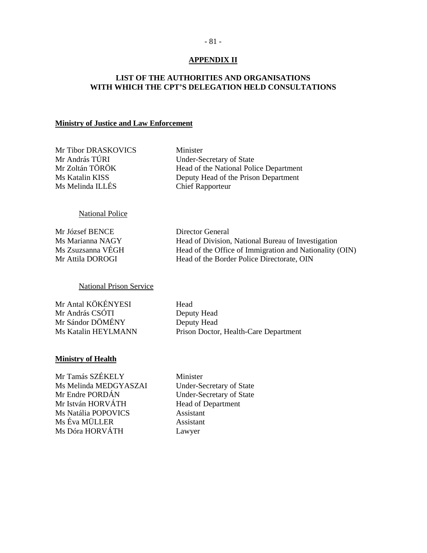# **APPENDIX II**

# **LIST OF THE AUTHORITIES AND ORGANISATIONS WITH WHICH THE CPT'S DELEGATION HELD CONSULTATIONS**

#### **Ministry of Justice and Law Enforcement**

Mr Tibor DRASKOVICS Minister Mr András TÚRI Under-Secretary of State Ms Melinda ILLÉS Chief Rapporteur

Mr Zoltán TÖRÖK Head of the National Police Department Ms Katalin KISS Deputy Head of the Prison Department

#### National Police

Mr József BENCE Director General

Ms Marianna NAGY<br>
Ms Zsuzsanna VÉGH<br>
Head of the Office of Immigration and Nationality ( Head of the Office of Immigration and Nationality (OIN) Mr Attila DOROGI Head of the Border Police Directorate, OIN

#### National Prison Service

Mr Antal KÖKÉNYESI Head Mr András CSÓTI Deputy Head Mr Sándor DÖMÉNY Deputy Head

Ms Katalin HEYLMANN Prison Doctor, Health-Care Department

## **Ministry of Health**

Mr Tamás SZÉKELY Minister Ms Melinda MEDGYASZAI Under-Secretary of State Mr Endre PORDÁN Under-Secretary of State Mr István HORVÁTH Head of Department Ms Natália POPOVICS Assistant Ms Éva MÜLLER Assistant Ms Dóra HORVÁTH Lawyer